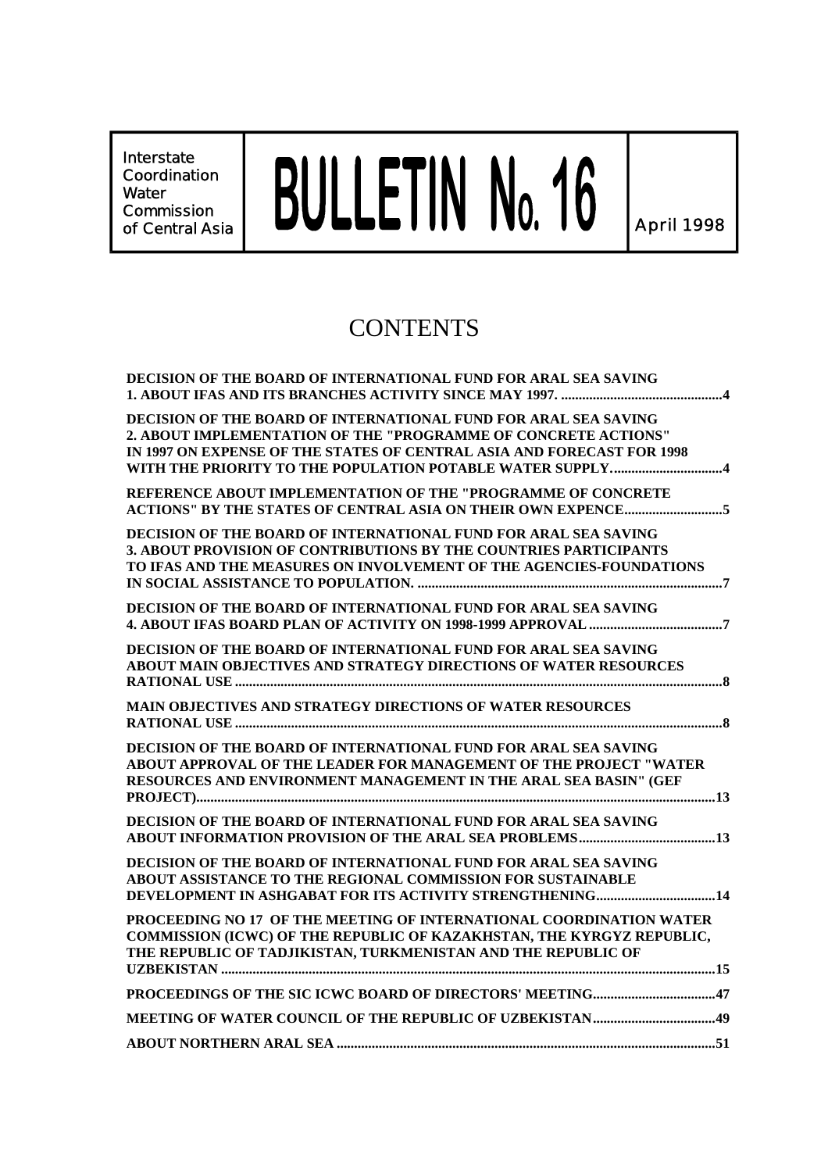**Interstate Coordination Water Commission**

# Interstate<br>Coordination<br>Commission **Contral Asia BULLETIN No. 16**

# **CONTENTS**

| <b>DECISION OF THE BOARD OF INTERNATIONAL FUND FOR ARAL SEA SAVING</b>                                                                                                                                        |
|---------------------------------------------------------------------------------------------------------------------------------------------------------------------------------------------------------------|
| DECISION OF THE BOARD OF INTERNATIONAL FUND FOR ARAL SEA SAVING<br>2. ABOUT IMPLEMENTATION OF THE "PROGRAMME OF CONCRETE ACTIONS"<br>IN 1997 ON EXPENSE OF THE STATES OF CENTRAL ASIA AND FORECAST FOR 1998   |
| REFERENCE ABOUT IMPLEMENTATION OF THE "PROGRAMME OF CONCRETE                                                                                                                                                  |
| DECISION OF THE BOARD OF INTERNATIONAL FUND FOR ARAL SEA SAVING<br>3. ABOUT PROVISION OF CONTRIBUTIONS BY THE COUNTRIES PARTICIPANTS<br>TO IFAS AND THE MEASURES ON INVOLVEMENT OF THE AGENCIES-FOUNDATIONS   |
| DECISION OF THE BOARD OF INTERNATIONAL FUND FOR ARAL SEA SAVING                                                                                                                                               |
| DECISION OF THE BOARD OF INTERNATIONAL FUND FOR ARAL SEA SAVING<br>ABOUT MAIN OBJECTIVES AND STRATEGY DIRECTIONS OF WATER RESOURCES                                                                           |
| <b>MAIN OBJECTIVES AND STRATEGY DIRECTIONS OF WATER RESOURCES</b>                                                                                                                                             |
| DECISION OF THE BOARD OF INTERNATIONAL FUND FOR ARAL SEA SAVING<br>ABOUT APPROVAL OF THE LEADER FOR MANAGEMENT OF THE PROJECT "WATER<br>RESOURCES AND ENVIRONMENT MANAGEMENT IN THE ARAL SEA BASIN" (GEF      |
| DECISION OF THE BOARD OF INTERNATIONAL FUND FOR ARAL SEA SAVING                                                                                                                                               |
| DECISION OF THE BOARD OF INTERNATIONAL FUND FOR ARAL SEA SAVING<br>ABOUT ASSISTANCE TO THE REGIONAL COMMISSION FOR SUSTAINABLE<br>DEVELOPMENT IN ASHGABAT FOR ITS ACTIVITY STRENGTHENING14                    |
| PROCEEDING NO 17 OF THE MEETING OF INTERNATIONAL COORDINATION WATER<br>COMMISSION (ICWC) OF THE REPUBLIC OF KAZAKHSTAN, THE KYRGYZ REPUBLIC,<br>THE REPUBLIC OF TADJIKISTAN, TURKMENISTAN AND THE REPUBLIC OF |
|                                                                                                                                                                                                               |
|                                                                                                                                                                                                               |
|                                                                                                                                                                                                               |
|                                                                                                                                                                                                               |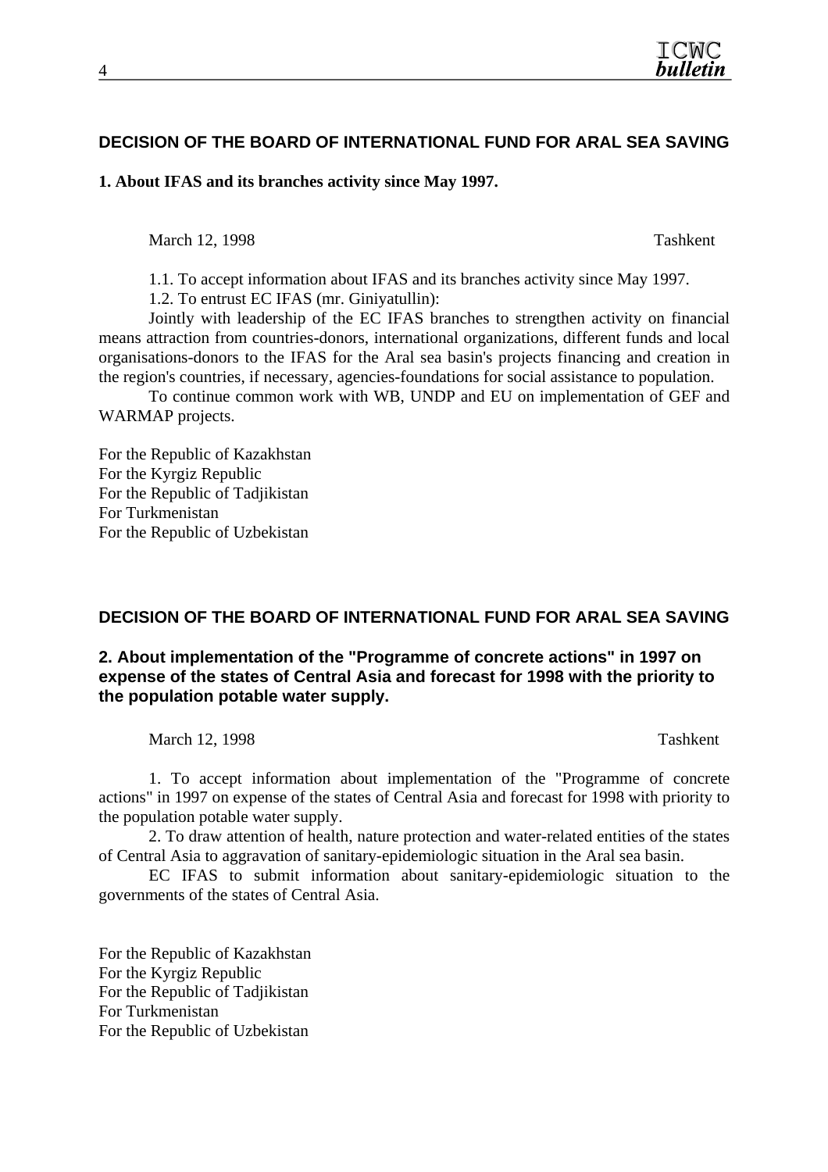# **DECISION OF THE BOARD OF INTERNATIONAL FUND FOR ARAL SEA SAVING**

**1. About IFAS and its branches activity since May 1997.** 

March 12, 1998 Tashkent

1.1. To accept information about IFAS and its branches activity since May 1997.

1.2. To entrust EC IFAS (mr. Giniyatullin):

Jointly with leadership of the EC IFAS branches to strengthen activity on financial means attraction from countries-donors, international organizations, different funds and local organisations-donors to the IFAS for the Aral sea basin's projects financing and creation in the region's countries, if necessary, agencies-foundations for social assistance to population.

To continue common work with WB, UNDP and EU on implementation of GEF and WARMAP projects.

For the Republic of Kazakhstan For the Kyrgiz Republic For the Republic of Tadjikistan For Turkmenistan For the Republic of Uzbekistan

# **DECISION OF THE BOARD OF INTERNATIONAL FUND FOR ARAL SEA SAVING**

# **2. About implementation of the "Programme of concrete actions" in 1997 on expense of the states of Central Asia and forecast for 1998 with the priority to the population potable water supply.**

March 12, 1998 Tashkent

1. To accept information about implementation of the "Programme of concrete actions" in 1997 on expense of the states of Central Asia and forecast for 1998 with priority to the population potable water supply.

2. To draw attention of health, nature protection and water-related entities of the states of Central Asia to aggravation of sanitary-epidemiologic situation in the Aral sea basin.

EC IFAS to submit information about sanitary-epidemiologic situation to the governments of the states of Central Asia.

For the Republic of Kazakhstan For the Kyrgiz Republic For the Republic of Tadjikistan For Turkmenistan For the Republic of Uzbekistan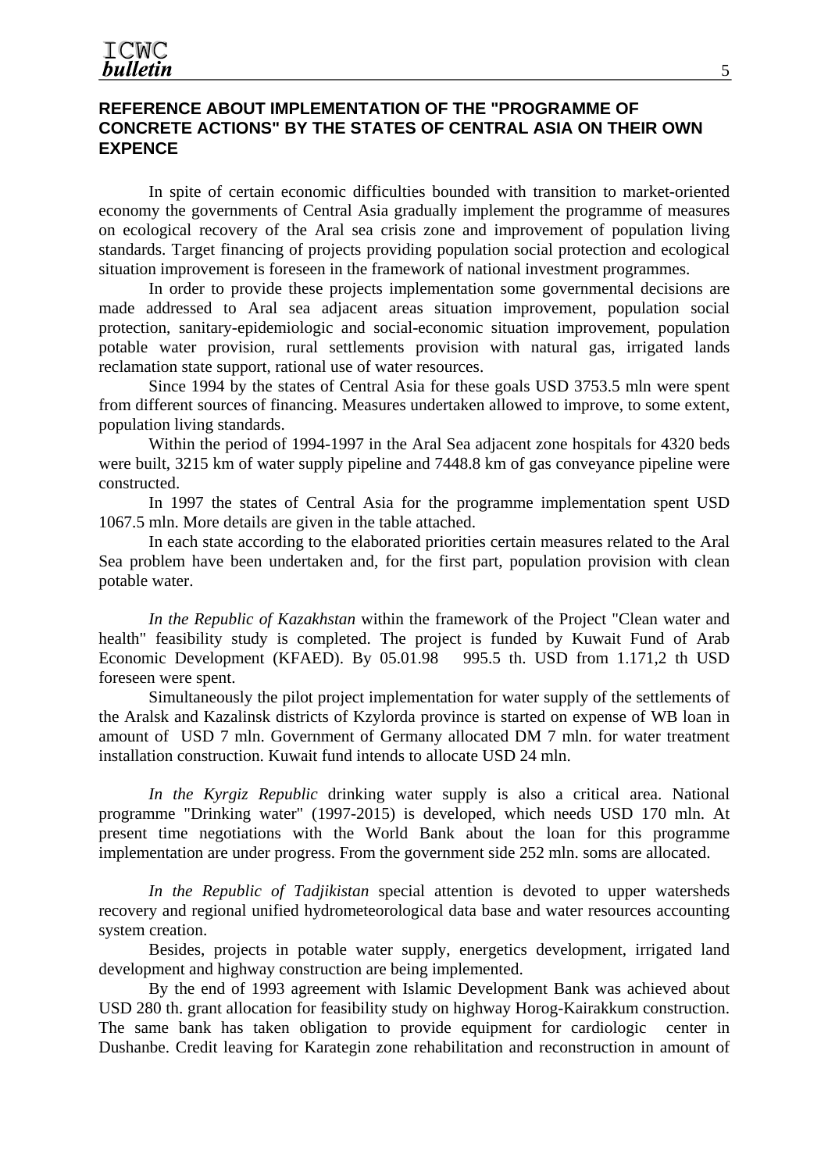#### **REFERENCE ABOUT IMPLEMENTATION OF THE "PROGRAMME OF CONCRETE ACTIONS" BY THE STATES OF CENTRAL ASIA ON THEIR OWN EXPENCE**

In spite of certain economic difficulties bounded with transition to market-oriented economy the governments of Central Asia gradually implement the programme of measures on ecological recovery of the Aral sea crisis zone and improvement of population living standards. Target financing of projects providing population social protection and ecological situation improvement is foreseen in the framework of national investment programmes.

In order to provide these projects implementation some governmental decisions are made addressed to Aral sea adjacent areas situation improvement, population social protection, sanitary-epidemiologic and social-economic situation improvement, population potable water provision, rural settlements provision with natural gas, irrigated lands reclamation state support, rational use of water resources.

Since 1994 by the states of Central Asia for these goals USD 3753.5 mln were spent from different sources of financing. Measures undertaken allowed to improve, to some extent, population living standards.

Within the period of 1994-1997 in the Aral Sea adjacent zone hospitals for 4320 beds were built, 3215 km of water supply pipeline and 7448.8 km of gas conveyance pipeline were constructed.

In 1997 the states of Central Asia for the programme implementation spent USD 1067.5 mln. More details are given in the table attached.

In each state according to the elaborated priorities certain measures related to the Aral Sea problem have been undertaken and, for the first part, population provision with clean potable water.

*In the Republic of Kazakhstan* within the framework of the Project "Clean water and health" feasibility study is completed. The project is funded by Kuwait Fund of Arab Economic Development (KFAED). By 05.01.98 995.5 th. USD from 1.171,2 th USD foreseen were spent.

Simultaneously the pilot project implementation for water supply of the settlements of the Aralsk and Kazalinsk districts of Kzylorda province is started on expense of WB loan in amount of USD 7 mln. Government of Germany allocated DM 7 mln. for water treatment installation construction. Kuwait fund intends to allocate USD 24 mln.

*In the Kyrgiz Republic* drinking water supply is also a critical area. National programme "Drinking water" (1997-2015) is developed, which needs USD 170 mln. At present time negotiations with the World Bank about the loan for this programme implementation are under progress. From the government side 252 mln. soms are allocated.

*In the Republic of Tadjikistan* special attention is devoted to upper watersheds recovery and regional unified hydrometeorological data base and water resources accounting system creation.

Besides, projects in potable water supply, energetics development, irrigated land development and highway construction are being implemented.

By the end of 1993 agreement with Islamic Development Bank was achieved about USD 280 th. grant allocation for feasibility study on highway Horog-Kairakkum construction. The same bank has taken obligation to provide equipment for cardiologic center in Dushanbe. Credit leaving for Karategin zone rehabilitation and reconstruction in amount of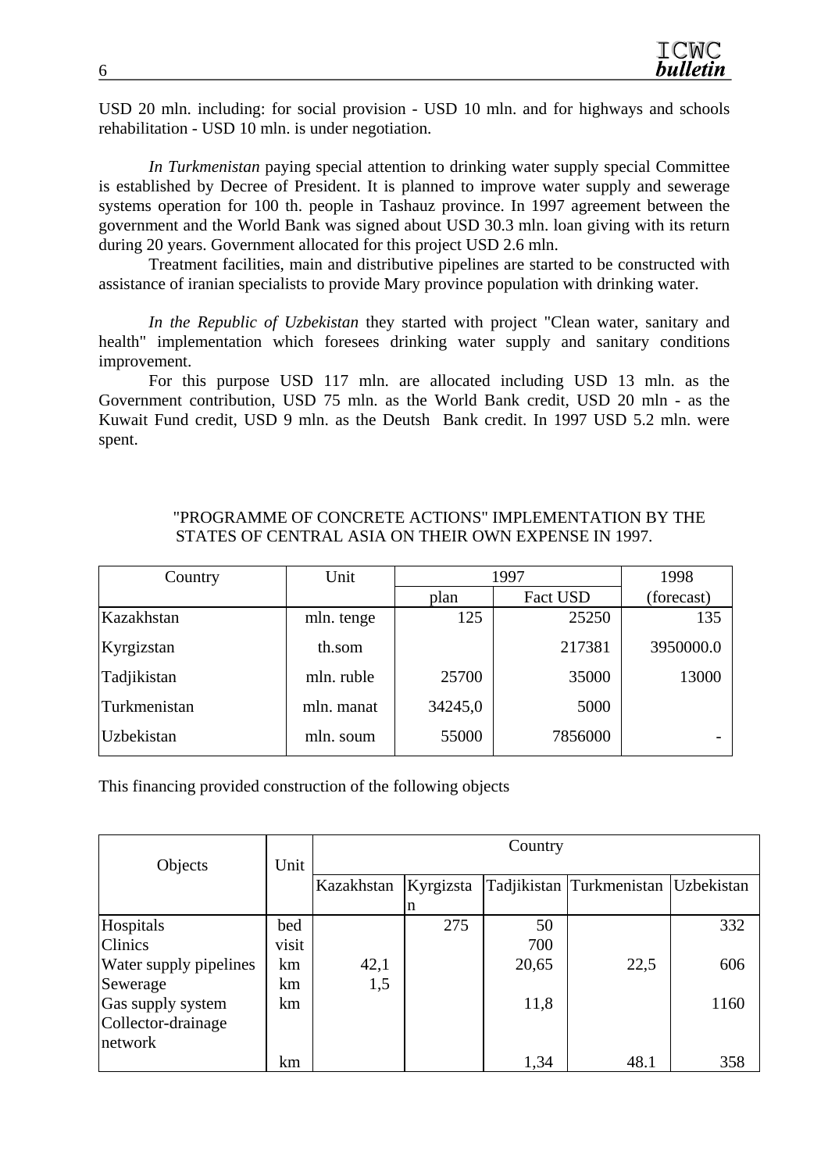USD 20 mln. including: for social provision - USD 10 mln. and for highways and schools rehabilitation - USD 10 mln. is under negotiation.

*In Turkmenistan* paying special attention to drinking water supply special Committee is established by Decree of President. It is planned to improve water supply and sewerage systems operation for 100 th. people in Tashauz province. In 1997 agreement between the government and the World Bank was signed about USD 30.3 mln. loan giving with its return during 20 years. Government allocated for this project USD 2.6 mln.

Treatment facilities, main and distributive pipelines are started to be constructed with assistance of iranian specialists to provide Mary province population with drinking water.

*In the Republic of Uzbekistan* they started with project "Clean water, sanitary and health" implementation which foresees drinking water supply and sanitary conditions improvement.

For this purpose USD 117 mln. are allocated including USD 13 mln. as the Government contribution, USD 75 mln. as the World Bank credit, USD 20 mln - as the Kuwait Fund credit, USD 9 mln. as the Deutsh Bank credit. In 1997 USD 5.2 mln. were spent.

#### "PROGRAMME OF CONCRETE ACTIONS" IMPLEMENTATION BY THE STATES OF CENTRAL ASIA ON THEIR OWN EXPENSE IN 1997.

| Country      | Unit       | 1997    | 1998     |            |
|--------------|------------|---------|----------|------------|
|              |            | plan    | Fact USD | (forecast) |
| Kazakhstan   | mln. tenge | 125     | 25250    | 135        |
| Kyrgizstan   | th.som     |         | 217381   | 3950000.0  |
| Tadjikistan  | mln. ruble | 25700   | 35000    | 13000      |
| Turkmenistan | mln. manat | 34245,0 | 5000     |            |
| Uzbekistan   | mln. soum  | 55000   | 7856000  |            |

This financing provided construction of the following objects

|                        |       | Country    |           |       |                          |                   |  |
|------------------------|-------|------------|-----------|-------|--------------------------|-------------------|--|
| Objects                | Unit  |            |           |       |                          |                   |  |
|                        |       | Kazakhstan | Kyrgizsta |       | Tadjikistan Turkmenistan | <b>Uzbekistan</b> |  |
|                        |       |            | n         |       |                          |                   |  |
| Hospitals              | bed   |            | 275       | 50    |                          | 332               |  |
| <b>Clinics</b>         | visit |            |           | 700   |                          |                   |  |
| Water supply pipelines | km    | 42,1       |           | 20,65 | 22,5                     | 606               |  |
| Sewerage               | km    | 1,5        |           |       |                          |                   |  |
| Gas supply system      | km    |            |           | 11,8  |                          | 1160              |  |
| Collector-drainage     |       |            |           |       |                          |                   |  |
| network                |       |            |           |       |                          |                   |  |
|                        | km    |            |           | 1,34  | 48.1                     | 358               |  |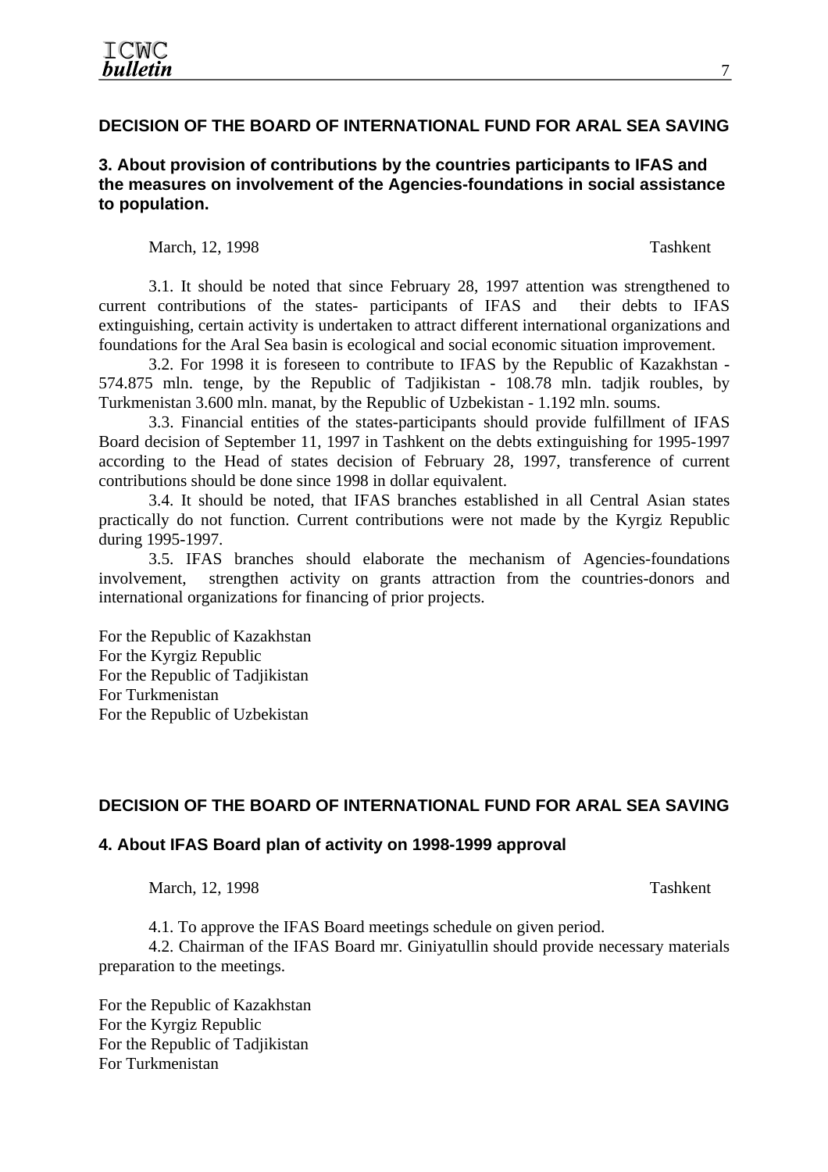# **DECISION OF THE BOARD OF INTERNATIONAL FUND FOR ARAL SEA SAVING**

#### **3. About provision of contributions by the countries participants to IFAS and the measures on involvement of the Agencies-foundations in social assistance to population.**

March, 12, 1998 Tashkent

3.1. It should be noted that since February 28, 1997 attention was strengthened to current contributions of the states- participants of IFAS and their debts to IFAS extinguishing, certain activity is undertaken to attract different international organizations and foundations for the Aral Sea basin is ecological and social economic situation improvement.

3.2. For 1998 it is foreseen to contribute to IFAS by the Republic of Kazakhstan - 574.875 mln. tenge, by the Republic of Tadjikistan - 108.78 mln. tadjik roubles, by Turkmenistan 3.600 mln. manat, by the Republic of Uzbekistan - 1.192 mln. soums.

3.3. Financial entities of the states-participants should provide fulfillment of IFAS Board decision of September 11, 1997 in Tashkent on the debts extinguishing for 1995-1997 according to the Head of states decision of February 28, 1997, transference of current contributions should be done since 1998 in dollar equivalent.

3.4. It should be noted, that IFAS branches established in all Central Asian states practically do not function. Current contributions were not made by the Kyrgiz Republic during 1995-1997.

3.5. IFAS branches should elaborate the mechanism of Agencies-foundations involvement, strengthen activity on grants attraction from the countries-donors and international organizations for financing of prior projects.

For the Republic of Kazakhstan For the Kyrgiz Republic For the Republic of Tadjikistan For Turkmenistan For the Republic of Uzbekistan

#### **DECISION OF THE BOARD OF INTERNATIONAL FUND FOR ARAL SEA SAVING**

#### **4. About IFAS Board plan of activity on 1998-1999 approval**

March, 12, 1998 Tashkent

4.1. To approve the IFAS Board meetings schedule on given period.

4.2. Chairman of the IFAS Board mr. Giniyatullin should provide necessary materials preparation to the meetings.

For the Republic of Kazakhstan For the Kyrgiz Republic For the Republic of Tadjikistan For Turkmenistan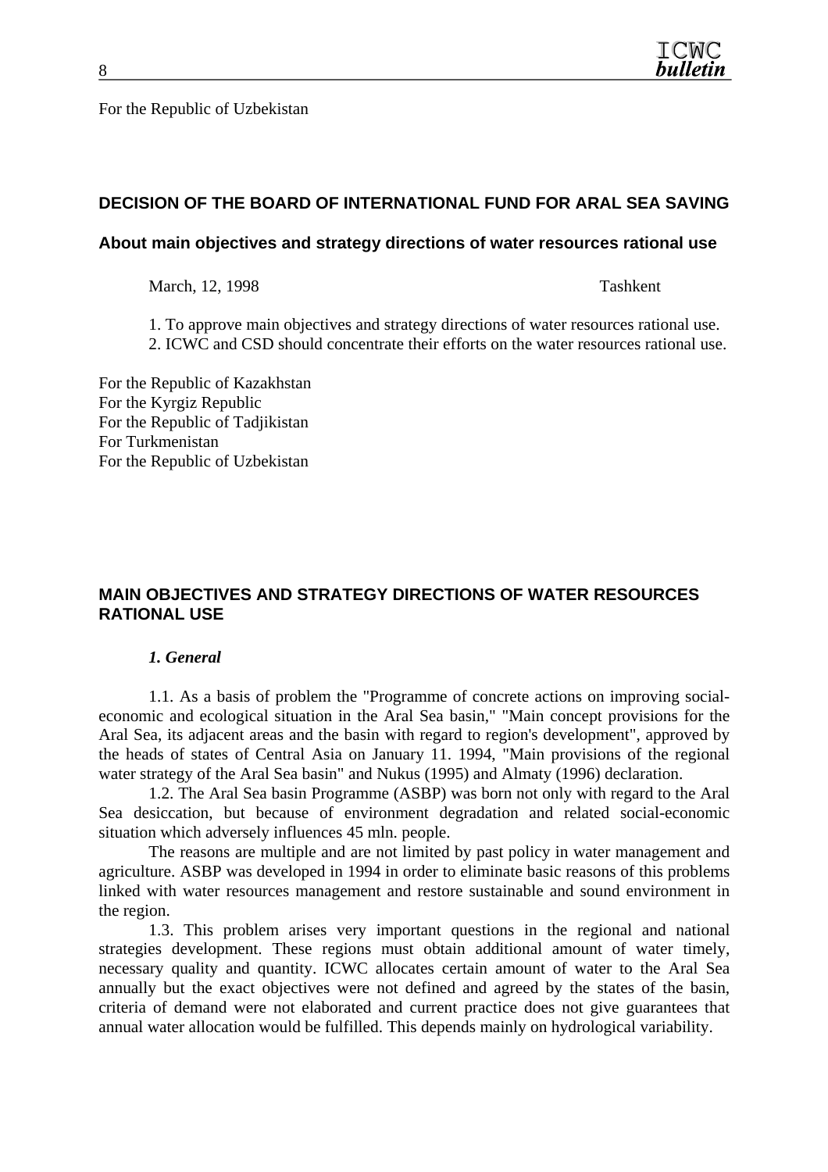For the Republic of Uzbekistan

# **DECISION OF THE BOARD OF INTERNATIONAL FUND FOR ARAL SEA SAVING**

#### **About main objectives and strategy directions of water resources rational use**

March, 12, 1998 Tashkent

1. To approve main objectives and strategy directions of water resources rational use.

2. ICWC and CSD should concentrate their efforts on the water resources rational use.

For the Republic of Kazakhstan For the Kyrgiz Republic For the Republic of Tadjikistan For Turkmenistan For the Republic of Uzbekistan

# **MAIN OBJECTIVES AND STRATEGY DIRECTIONS OF WATER RESOURCES RATIONAL USE**

#### *1. General*

1.1. As a basis of problem the "Programme of concrete actions on improving socialeconomic and ecological situation in the Aral Sea basin," "Main concept provisions for the Aral Sea, its adjacent areas and the basin with regard to region's development", approved by the heads of states of Central Asia on January 11. 1994, "Main provisions of the regional water strategy of the Aral Sea basin" and Nukus (1995) and Almaty (1996) declaration.

1.2. The Aral Sea basin Programme (ASBP) was born not only with regard to the Aral Sea desiccation, but because of environment degradation and related social-economic situation which adversely influences 45 mln. people.

The reasons are multiple and are not limited by past policy in water management and agriculture. ASBP was developed in 1994 in order to eliminate basic reasons of this problems linked with water resources management and restore sustainable and sound environment in the region.

1.3. This problem arises very important questions in the regional and national strategies development. These regions must obtain additional amount of water timely, necessary quality and quantity. ICWC allocates certain amount of water to the Aral Sea annually but the exact objectives were not defined and agreed by the states of the basin, criteria of demand were not elaborated and current practice does not give guarantees that annual water allocation would be fulfilled. This depends mainly on hydrological variability.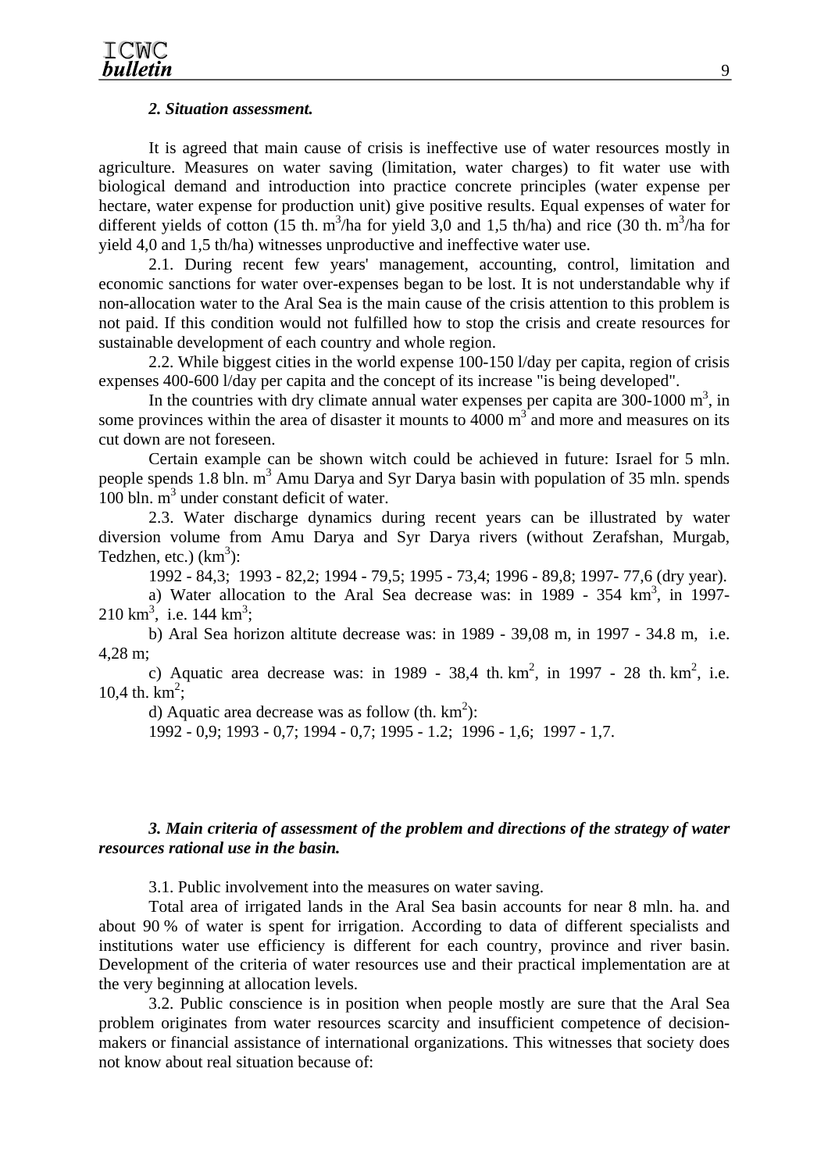#### *2. Situation assessment.*

It is agreed that main cause of crisis is ineffective use of water resources mostly in agriculture. Measures on water saving (limitation, water charges) to fit water use with biological demand and introduction into practice concrete principles (water expense per hectare, water expense for production unit) give positive results. Equal expenses of water for different yields of cotton (15 th. m<sup>3</sup>/ha for yield 3,0 and 1,5 th/ha) and rice (30 th. m<sup>3</sup>/ha for yield 4,0 and 1,5 th/ha) witnesses unproductive and ineffective water use.

2.1. During recent few years' management, accounting, control, limitation and economic sanctions for water over-expenses began to be lost. It is not understandable why if non-allocation water to the Aral Sea is the main cause of the crisis attention to this problem is not paid. If this condition would not fulfilled how to stop the crisis and create resources for sustainable development of each country and whole region.

2.2. While biggest cities in the world expense 100-150 l/day per capita, region of crisis expenses 400-600 l/day per capita and the concept of its increase "is being developed".

In the countries with dry climate annual water expenses per capita are  $300-1000$  m<sup>3</sup>, in some provinces within the area of disaster it mounts to  $4000 \text{ m}^3$  and more and measures on its cut down are not foreseen.

Certain example can be shown witch could be achieved in future: Israel for 5 mln. people spends 1.8 bln.  $m^3$  Amu Darya and Syr Darya basin with population of 35 mln. spends  $100$  bln.  $m<sup>3</sup>$  under constant deficit of water.

2.3. Water discharge dynamics during recent years can be illustrated by water diversion volume from Amu Darya and Syr Darya rivers (without Zerafshan, Murgab, Tedzhen, etc.)  $(km^3)$ :

1992 - 84,3; 1993 - 82,2; 1994 - 79,5; 1995 - 73,4; 1996 - 89,8; 1997- 77,6 (dry year).

a) Water allocation to the Aral Sea decrease was: in 1989 -  $354 \text{ km}^3$ , in 1997- $210 \text{ km}^3$ , i.e.  $144 \text{ km}^3$ ;

b) Aral Sea horizon altitute decrease was: in 1989 - 39,08 m, in 1997 - 34.8 m, i.e. 4,28 m;

c) Aquatic area decrease was: in 1989 - 38,4 th.  $km^2$ , in 1997 - 28 th.  $km^2$ , i.e. 10,4 th.  $km^2$ ;

d) Aquatic area decrease was as follow (th.  $km^2$ ):

1992 - 0,9; 1993 - 0,7; 1994 - 0,7; 1995 - 1.2; 1996 - 1,6; 1997 - 1,7.

#### *3. Main criteria of assessment of the problem and directions of the strategy of water resources rational use in the basin.*

3.1. Public involvement into the measures on water saving.

Total area of irrigated lands in the Aral Sea basin accounts for near 8 mln. ha. and about 90 % of water is spent for irrigation. According to data of different specialists and institutions water use efficiency is different for each country, province and river basin. Development of the criteria of water resources use and their practical implementation are at the very beginning at allocation levels.

3.2. Public conscience is in position when people mostly are sure that the Aral Sea problem originates from water resources scarcity and insufficient competence of decisionmakers or financial assistance of international organizations. This witnesses that society does not know about real situation because of: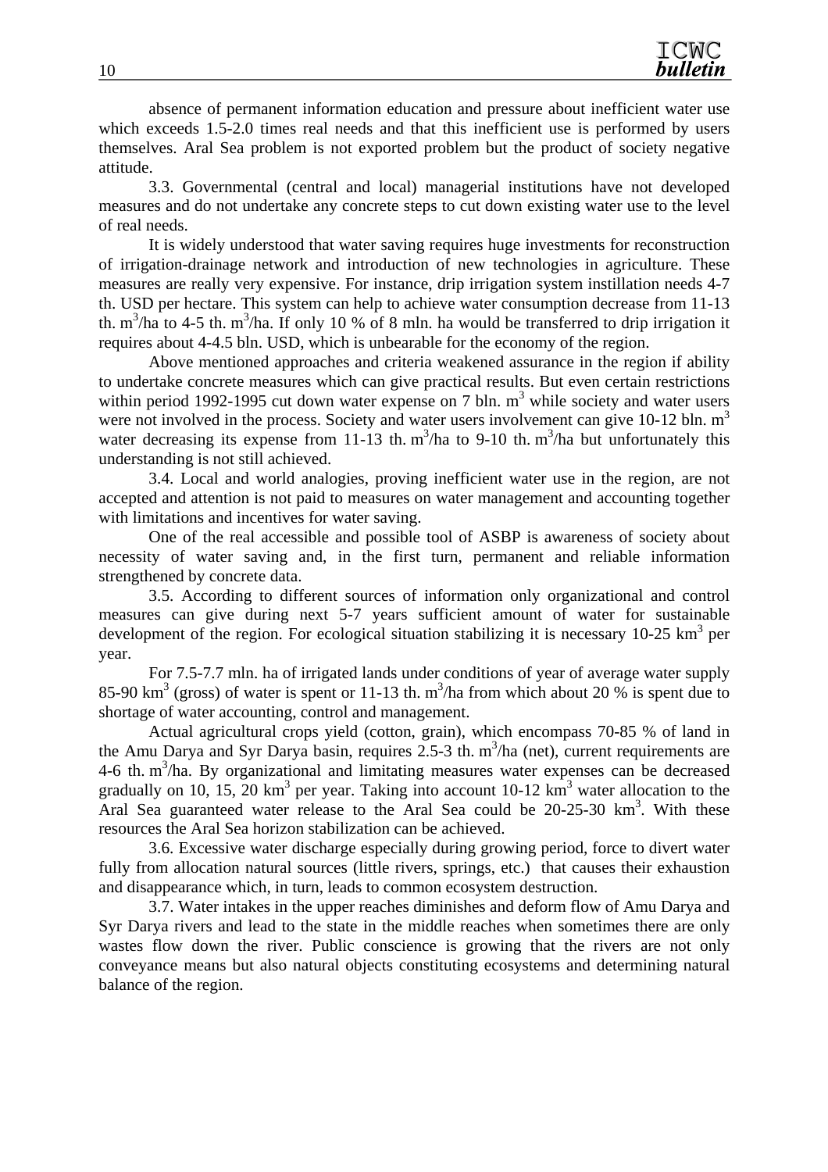absence of permanent information education and pressure about inefficient water use which exceeds 1.5-2.0 times real needs and that this inefficient use is performed by users themselves. Aral Sea problem is not exported problem but the product of society negative attitude.

3.3. Governmental (central and local) managerial institutions have not developed measures and do not undertake any concrete steps to cut down existing water use to the level of real needs.

It is widely understood that water saving requires huge investments for reconstruction of irrigation-drainage network and introduction of new technologies in agriculture. These measures are really very expensive. For instance, drip irrigation system instillation needs 4-7 th. USD per hectare. This system can help to achieve water consumption decrease from 11-13 th.  $m^3/ha$  to 4-5 th.  $m^3/ha$ . If only 10 % of 8 mln. ha would be transferred to drip irrigation it requires about 4-4.5 bln. USD, which is unbearable for the economy of the region.

Above mentioned approaches and criteria weakened assurance in the region if ability to undertake concrete measures which can give practical results. But even certain restrictions within period 1992-1995 cut down water expense on 7 bln.  $m<sup>3</sup>$  while society and water users were not involved in the process. Society and water users involvement can give 10-12 bln.  $m<sup>3</sup>$ water decreasing its expense from 11-13 th.  $m^3/ha$  to 9-10 th.  $m^3/ha$  but unfortunately this understanding is not still achieved.

3.4. Local and world analogies, proving inefficient water use in the region, are not accepted and attention is not paid to measures on water management and accounting together with limitations and incentives for water saving.

One of the real accessible and possible tool of ASBP is awareness of society about necessity of water saving and, in the first turn, permanent and reliable information strengthened by concrete data.

3.5. According to different sources of information only organizational and control measures can give during next 5-7 years sufficient amount of water for sustainable development of the region. For ecological situation stabilizing it is necessary 10-25  $km^3$  per year.

For 7.5-7.7 mln. ha of irrigated lands under conditions of year of average water supply 85-90 km<sup>3</sup> (gross) of water is spent or 11-13 th. m<sup>3</sup>/ha from which about 20 % is spent due to shortage of water accounting, control and management.

Actual agricultural crops yield (cotton, grain), which encompass 70-85 % of land in the Amu Darya and Syr Darya basin, requires  $2.5-3$  th. m<sup>3</sup>/ha (net), current requirements are  $4-6$  th. m<sup>3</sup>/ha. By organizational and limitating measures water expenses can be decreased gradually on 10, 15, 20 km<sup>3</sup> per year. Taking into account 10-12 km<sup>3</sup> water allocation to the Aral Sea guaranteed water release to the Aral Sea could be 20-25-30 km<sup>3</sup>. With these resources the Aral Sea horizon stabilization can be achieved.

3.6. Excessive water discharge especially during growing period, force to divert water fully from allocation natural sources (little rivers, springs, etc.) that causes their exhaustion and disappearance which, in turn, leads to common ecosystem destruction.

3.7. Water intakes in the upper reaches diminishes and deform flow of Amu Darya and Syr Darya rivers and lead to the state in the middle reaches when sometimes there are only wastes flow down the river. Public conscience is growing that the rivers are not only conveyance means but also natural objects constituting ecosystems and determining natural balance of the region.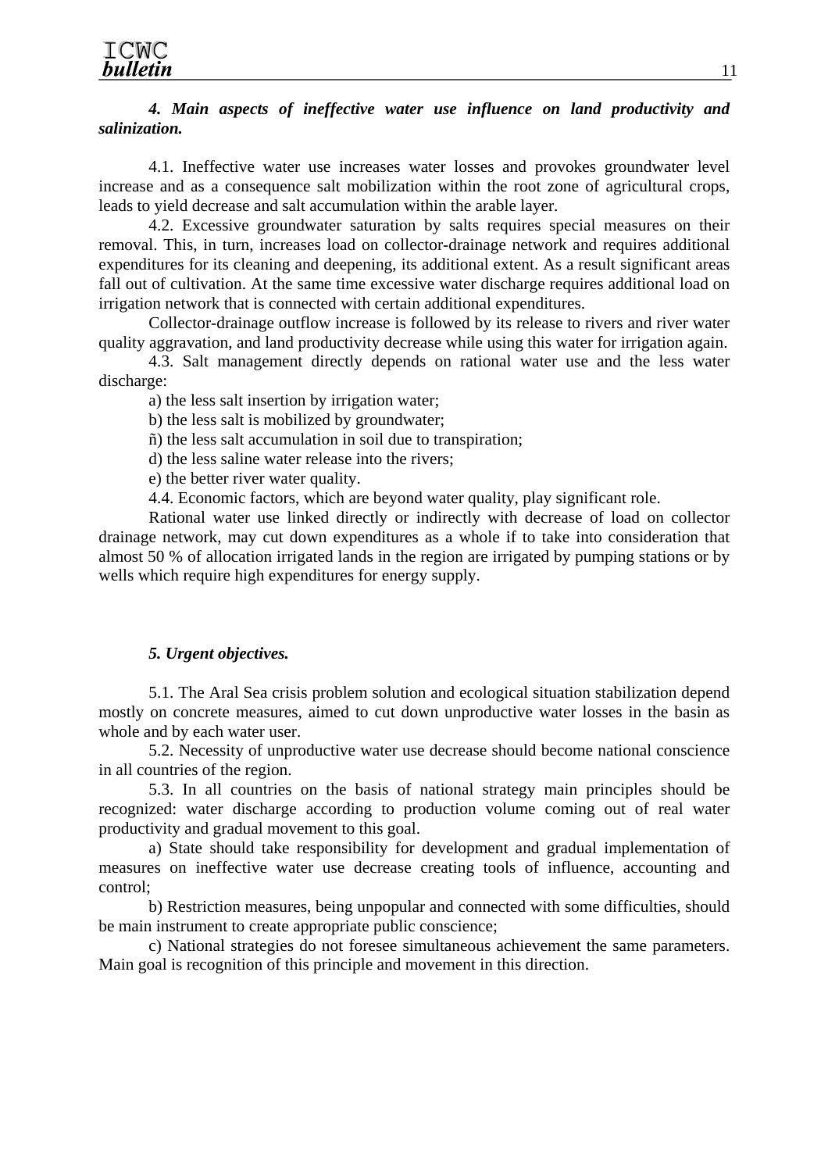#### *4. Main aspects of ineffective water use influence on land productivity and salinization.*

4.1. Ineffective water use increases water losses and provokes groundwater level increase and as a consequence salt mobilization within the root zone of agricultural crops, leads to yield decrease and salt accumulation within the arable layer.

4.2. Excessive groundwater saturation by salts requires special measures on their removal. This, in turn, increases load on collector-drainage network and requires additional expenditures for its cleaning and deepening, its additional extent. As a result significant areas fall out of cultivation. At the same time excessive water discharge requires additional load on irrigation network that is connected with certain additional expenditures.

Collector-drainage outflow increase is followed by its release to rivers and river water quality aggravation, and land productivity decrease while using this water for irrigation again.

4.3. Salt management directly depends on rational water use and the less water discharge:

a) the less salt insertion by irrigation water;

b) the less salt is mobilized by groundwater;

ñ) the less salt accumulation in soil due to transpiration;

d) the less saline water release into the rivers;

e) the better river water quality.

4.4. Economic factors, which are beyond water quality, play significant role.

Rational water use linked directly or indirectly with decrease of load on collector drainage network, may cut down expenditures as a whole if to take into consideration that almost 50 % of allocation irrigated lands in the region are irrigated by pumping stations or by wells which require high expenditures for energy supply.

#### *5. Urgent objectives.*

5.1. The Aral Sea crisis problem solution and ecological situation stabilization depend mostly on concrete measures, aimed to cut down unproductive water losses in the basin as whole and by each water user.

5.2. Necessity of unproductive water use decrease should become national conscience in all countries of the region.

5.3. In all countries on the basis of national strategy main principles should be recognized: water discharge according to production volume coming out of real water productivity and gradual movement to this goal.

a) State should take responsibility for development and gradual implementation of measures on ineffective water use decrease creating tools of influence, accounting and control;

b) Restriction measures, being unpopular and connected with some difficulties, should be main instrument to create appropriate public conscience;

c) National strategies do not foresee simultaneous achievement the same parameters. Main goal is recognition of this principle and movement in this direction.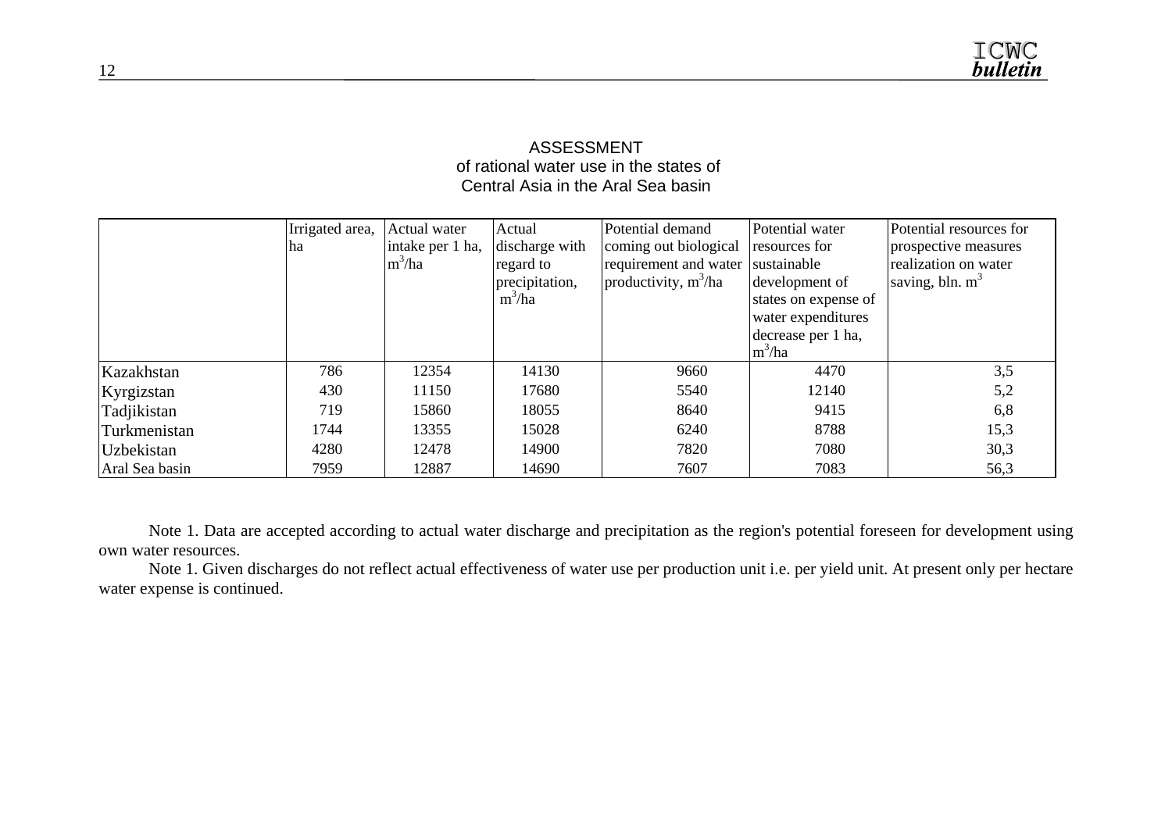#### ASSESSMENT of rational water use in the states of Central Asia in the Aral Sea basin

|                | Irrigated area, | Actual water     | Actual         | Potential demand       | Potential water      | Potential resources for |
|----------------|-----------------|------------------|----------------|------------------------|----------------------|-------------------------|
|                | ha              | intake per 1 ha, | discharge with | coming out biological  | resources for        | prospective measures    |
|                |                 | $m^3/ha$         | regard to      | requirement and water  | sustainable          | realization on water    |
|                |                 |                  | precipitation, | productivity, $m^3/ha$ | development of       | saving, bln. $m^3$      |
|                |                 |                  | $m^3/ha$       |                        | states on expense of |                         |
|                |                 |                  |                |                        | water expenditures   |                         |
|                |                 |                  |                |                        | decrease per 1 ha,   |                         |
|                |                 |                  |                |                        | $\rm{m}^3$ /ha       |                         |
| Kazakhstan     | 786             | 12354            | 14130          | 9660                   | 4470                 | 3,5                     |
| Kyrgizstan     | 430             | 11150            | 17680          | 5540                   | 12140                | 5,2                     |
| Tadjikistan    | 719             | 15860            | 18055          | 8640                   | 9415                 | 6,8                     |
| Turkmenistan   | 1744            | 13355            | 15028          | 6240                   | 8788                 | 15,3                    |
| Uzbekistan     | 4280            | 12478            | 14900          | 7820                   | 7080                 | 30,3                    |
| Aral Sea basin | 7959            | 12887            | 14690          | 7607                   | 7083                 | 56,3                    |

Note 1. Data are accepted according to actual water discharge and precipitation as the region's potential foreseen for development using own water resources.

Note 1. Given discharges do not reflect actual effectiveness of water use per production unit i.e. per yield unit. At present only per hectare water expense is continued.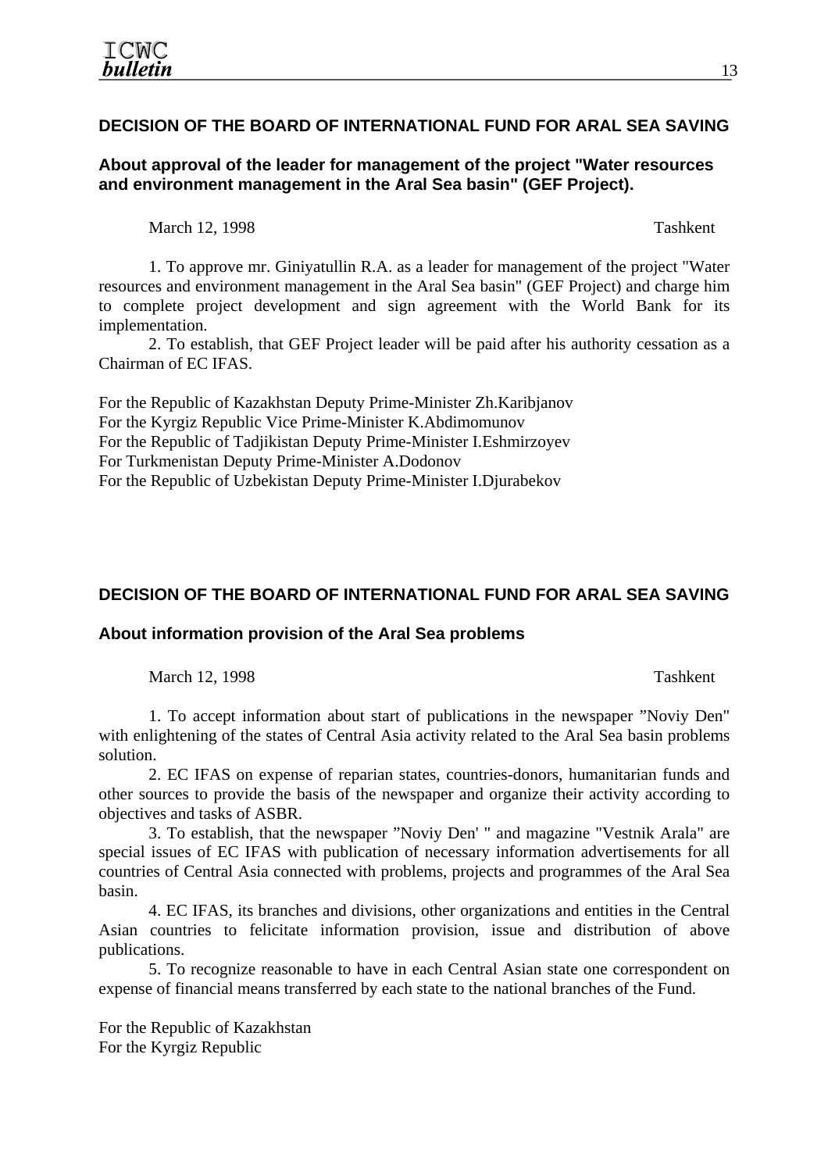# **DECISION OF THE BOARD OF INTERNATIONAL FUND FOR ARAL SEA SAVING**

**About approval of the leader for management of the project "Water resources and environment management in the Aral Sea basin" (GEF Project).** 

March 12, 1998 Tashkent

1. To approve mr. Giniyatullin R.A. as a leader for management of the project "Water resources and environment management in the Aral Sea basin" (GEF Project) and charge him to complete project development and sign agreement with the World Bank for its implementation.

2. To establish, that GEF Project leader will be paid after his authority cessation as a Chairman of EC IFAS.

For the Republic of Kazakhstan Deputy Prime-Minister Zh.Karibjanov For the Kyrgiz Republic Vice Prime-Minister K.Abdimomunov For the Republic of Tadjikistan Deputy Prime-Minister I.Eshmirzoyev For Turkmenistan Deputy Prime-Minister A.Dodonov For the Republic of Uzbekistan Deputy Prime-Minister I.Djurabekov

# **DECISION OF THE BOARD OF INTERNATIONAL FUND FOR ARAL SEA SAVING**

#### **About information provision of the Aral Sea problems**

March 12, 1998 Tashkent

1. To accept information about start of publications in the newspaper "Noviy Den" with enlightening of the states of Central Asia activity related to the Aral Sea basin problems solution.

2. EC IFAS on expense of reparian states, countries-donors, humanitarian funds and other sources to provide the basis of the newspaper and organize their activity according to objectives and tasks of ASBR.

3. To establish, that the newspaper "Noviy Den' " and magazine "Vestnik Arala" are special issues of EC IFAS with publication of necessary information advertisements for all countries of Central Asia connected with problems, projects and programmes of the Aral Sea basin.

4. EC IFAS, its branches and divisions, other organizations and entities in the Central Asian countries to felicitate information provision, issue and distribution of above publications.

5. To recognize reasonable to have in each Central Asian state one correspondent on expense of financial means transferred by each state to the national branches of the Fund.

For the Republic of Kazakhstan For the Kyrgiz Republic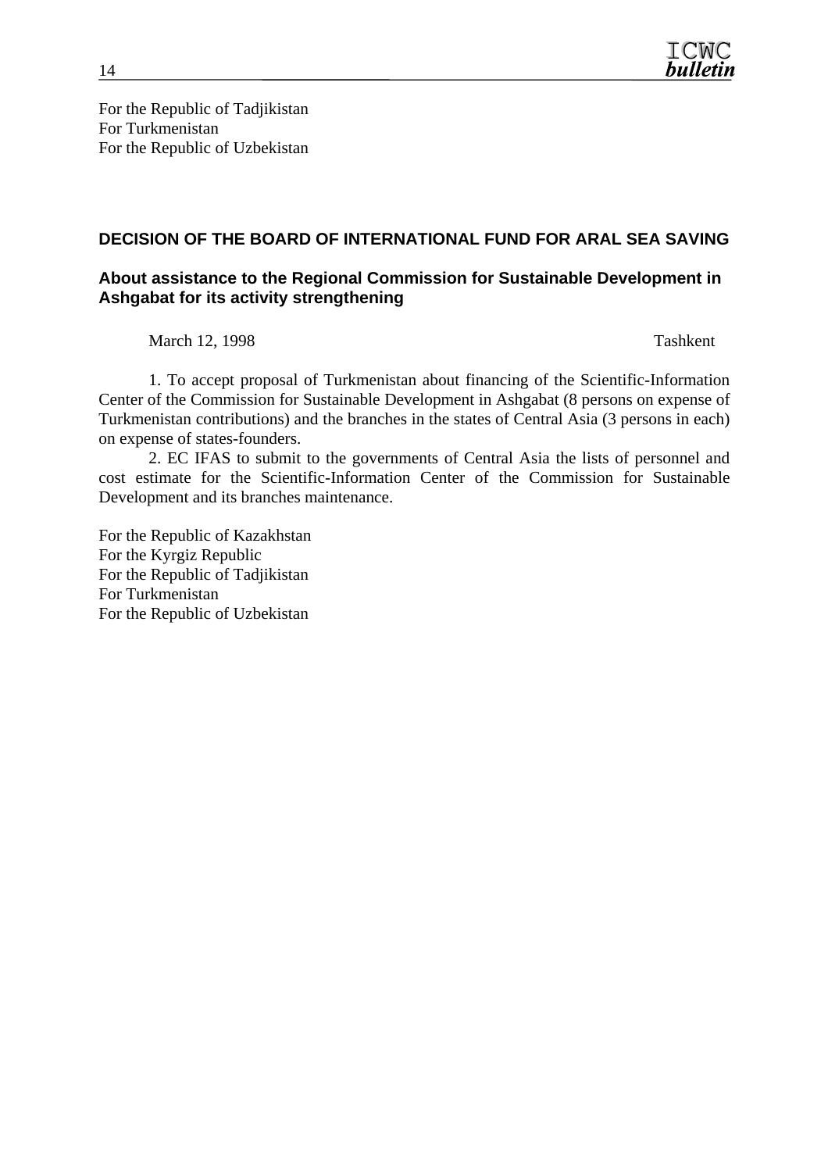

For the Republic of Tadjikistan For Turkmenistan For the Republic of Uzbekistan

#### **DECISION OF THE BOARD OF INTERNATIONAL FUND FOR ARAL SEA SAVING**

#### **About assistance to the Regional Commission for Sustainable Development in Ashgabat for its activity strengthening**

March 12, 1998 Tashkent

1. To accept proposal of Turkmenistan about financing of the Scientific-Information Center of the Commission for Sustainable Development in Ashgabat (8 persons on expense of Turkmenistan contributions) and the branches in the states of Central Asia (3 persons in each) on expense of states-founders.

2. EC IFAS to submit to the governments of Central Asia the lists of personnel and cost estimate for the Scientific-Information Center of the Commission for Sustainable Development and its branches maintenance.

For the Republic of Kazakhstan For the Kyrgiz Republic For the Republic of Tadjikistan For Turkmenistan For the Republic of Uzbekistan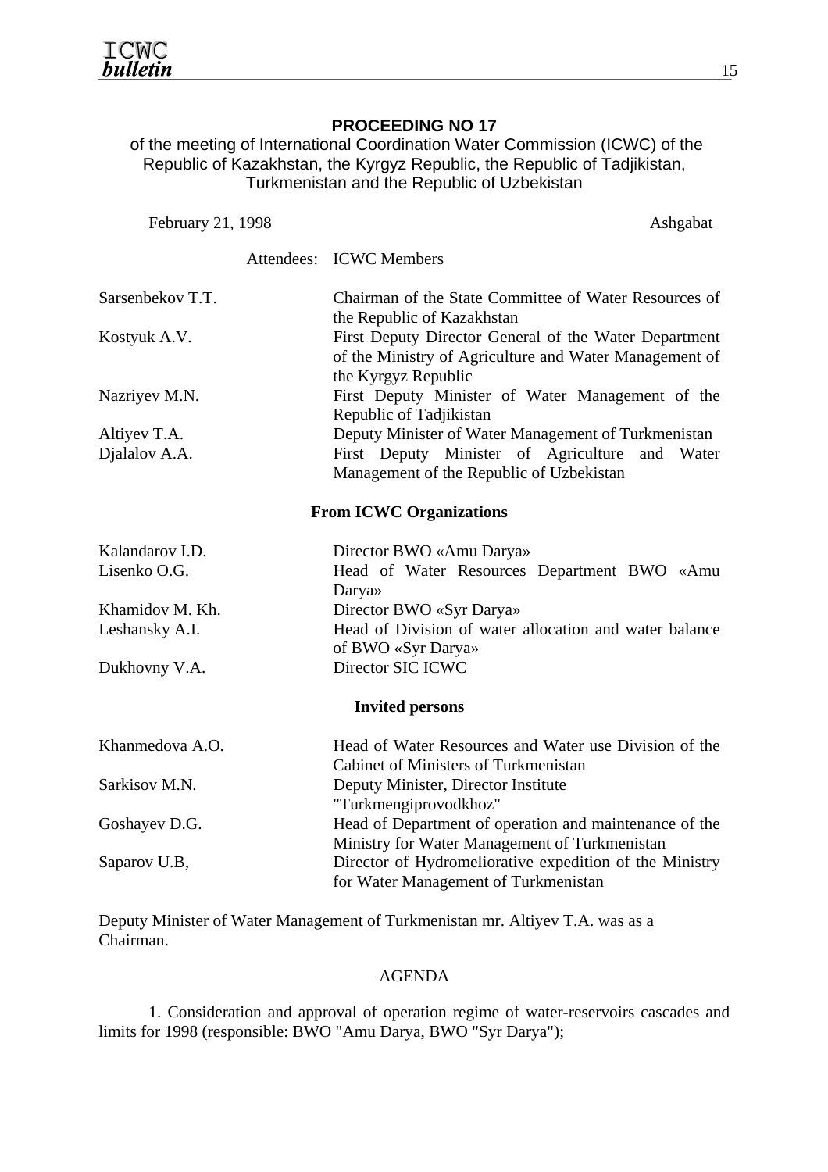# **PROCEEDING NO 17**

 of the meeting of International Coordination Water Commission (ICWC) of the Republic of Kazakhstan, the Kyrgyz Republic, the Republic of Tadjikistan, Turkmenistan and the Republic of Uzbekistan

| February 21, 1998 | Ashgabat                                                                                                                               |
|-------------------|----------------------------------------------------------------------------------------------------------------------------------------|
|                   | Attendees: ICWC Members                                                                                                                |
| Sarsenbekov T.T.  | Chairman of the State Committee of Water Resources of<br>the Republic of Kazakhstan                                                    |
| Kostyuk A.V.      | First Deputy Director General of the Water Department<br>of the Ministry of Agriculture and Water Management of<br>the Kyrgyz Republic |
| Nazriyev M.N.     | First Deputy Minister of Water Management of the<br>Republic of Tadjikistan                                                            |
| Altiyev T.A.      | Deputy Minister of Water Management of Turkmenistan                                                                                    |
| Djalalov A.A.     | First Deputy Minister of Agriculture<br>and Water                                                                                      |
|                   | Management of the Republic of Uzbekistan                                                                                               |
|                   | <b>From ICWC Organizations</b>                                                                                                         |
| Kalandarov I.D.   | Director BWO «Amu Darya»                                                                                                               |
| Lisenko O.G.      | Head of Water Resources Department BWO «Amu<br>Darya»                                                                                  |
| Khamidov M. Kh.   | Director BWO «Syr Darya»                                                                                                               |
| Leshansky A.I.    | Head of Division of water allocation and water balance<br>of BWO «Syr Darya»                                                           |
| Dukhovny V.A.     | Director SIC ICWC                                                                                                                      |
|                   | <b>Invited persons</b>                                                                                                                 |
| Khanmedova A.O.   | Head of Water Resources and Water use Division of the<br>Cabinet of Ministers of Turkmenistan                                          |
| Sarkisov M.N.     | Deputy Minister, Director Institute<br>"Turkmengiprovodkhoz"                                                                           |
| Goshayev D.G.     | Head of Department of operation and maintenance of the<br>Ministry for Water Management of Turkmenistan                                |
| Saparov U.B,      | Director of Hydromeliorative expedition of the Ministry<br>for Water Management of Turkmenistan                                        |

Deputy Minister of Water Management of Turkmenistan mr. Altiyev T.A. was as a Chairman.

#### AGENDA

1. Consideration and approval of operation regime of water-reservoirs cascades and limits for 1998 (responsible: BWO "Amu Darya, BWO "Syr Darya");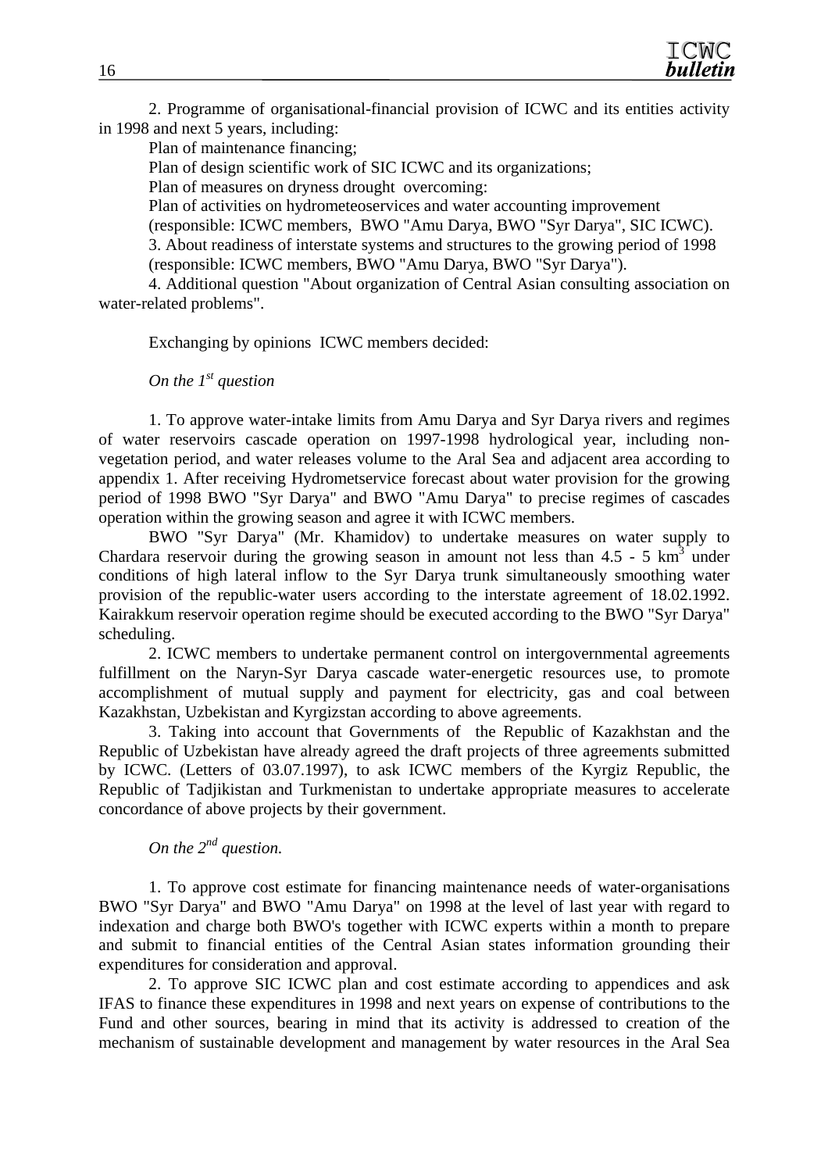2. Programme of organisational-financial provision of ICWC and its entities activity in 1998 and next 5 years, including:

Plan of maintenance financing;

Plan of design scientific work of SIC ICWC and its organizations;

Plan of measures on dryness drought overcoming:

Plan of activities on hydrometeoservices and water accounting improvement

(responsible: ICWC members, BWO "Amu Darya, BWO "Syr Darya", SIC ICWC).

3. About readiness of interstate systems and structures to the growing period of 1998 (responsible: ICWC members, BWO "Amu Darya, BWO "Syr Darya").

4. Additional question "About organization of Central Asian consulting association on water-related problems".

Exchanging by opinions ICWC members decided:

*On the 1<sup>st</sup> question* 

1. To approve water-intake limits from Amu Darya and Syr Darya rivers and regimes of water reservoirs cascade operation on 1997-1998 hydrological year, including nonvegetation period, and water releases volume to the Aral Sea and adjacent area according to appendix 1. After receiving Hydrometservice forecast about water provision for the growing period of 1998 BWO "Syr Darya" and BWO "Amu Darya" to precise regimes of cascades operation within the growing season and agree it with ICWC members.

BWO "Syr Darya" (Mr. Khamidov) to undertake measures on water supply to Chardara reservoir during the growing season in amount not less than  $4.5 - 5 \text{ km}^3$  under conditions of high lateral inflow to the Syr Darya trunk simultaneously smoothing water provision of the republic-water users according to the interstate agreement of 18.02.1992. Kairakkum reservoir operation regime should be executed according to the BWO "Syr Darya" scheduling.

2. ICWC members to undertake permanent control on intergovernmental agreements fulfillment on the Naryn-Syr Darya cascade water-energetic resources use, to promote accomplishment of mutual supply and payment for electricity, gas and coal between Kazakhstan, Uzbekistan and Kyrgizstan according to above agreements.

3. Taking into account that Governments of the Republic of Kazakhstan and the Republic of Uzbekistan have already agreed the draft projects of three agreements submitted by ICWC. (Letters of 03.07.1997), to ask ICWC members of the Kyrgiz Republic, the Republic of Tadjikistan and Turkmenistan to undertake appropriate measures to accelerate concordance of above projects by their government.

# *On the 2<sup>nd</sup> question.*

1. To approve cost estimate for financing maintenance needs of water-organisations BWO "Syr Darya" and BWO "Amu Darya" on 1998 at the level of last year with regard to indexation and charge both BWO's together with ICWC experts within a month to prepare and submit to financial entities of the Central Asian states information grounding their expenditures for consideration and approval.

2. To approve SIC ICWC plan and cost estimate according to appendices and ask IFAS to finance these expenditures in 1998 and next years on expense of contributions to the Fund and other sources, bearing in mind that its activity is addressed to creation of the mechanism of sustainable development and management by water resources in the Aral Sea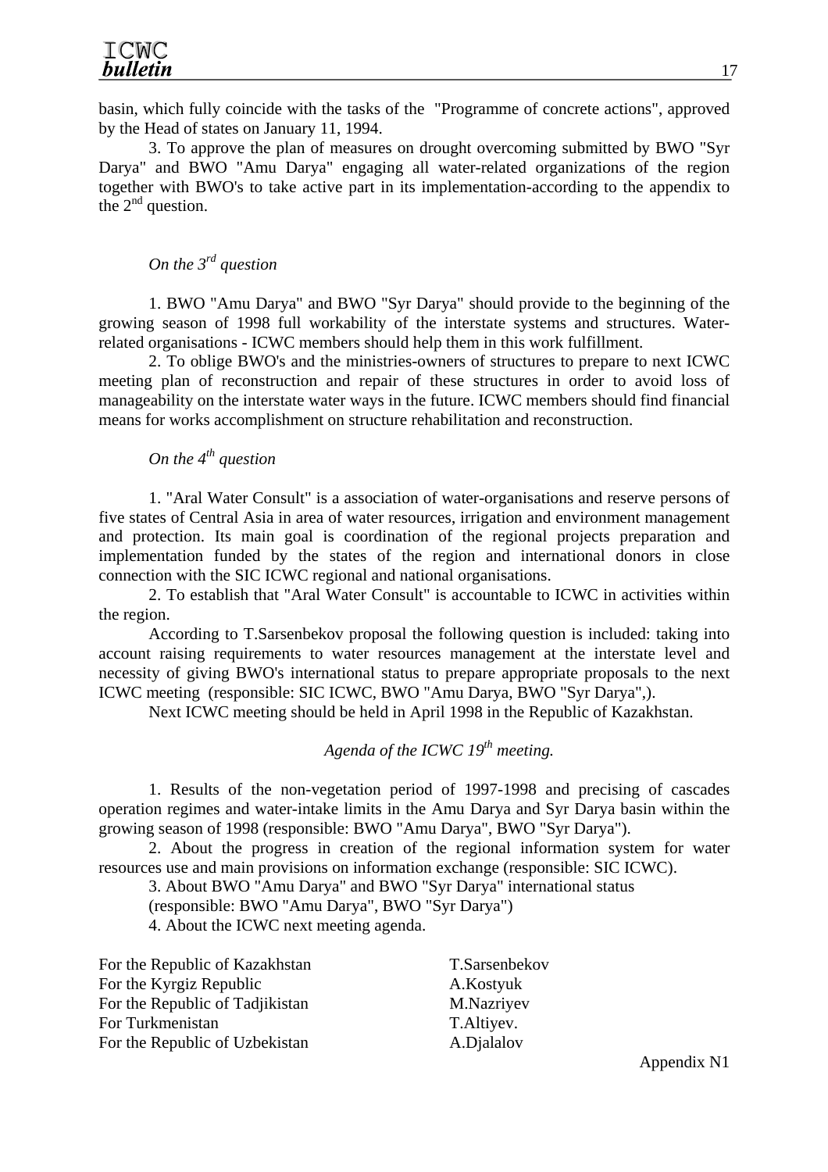basin, which fully coincide with the tasks of the "Programme of concrete actions", approved by the Head of states on January 11, 1994.

3. To approve the plan of measures on drought overcoming submitted by BWO "Syr Darya" and BWO "Amu Darya" engaging all water-related organizations of the region together with BWO's to take active part in its implementation-according to the appendix to the  $2<sup>nd</sup>$  question.

# *On the 3rd question*

1. BWO "Amu Darya" and BWO "Syr Darya" should provide to the beginning of the growing season of 1998 full workability of the interstate systems and structures. Waterrelated organisations - ICWC members should help them in this work fulfillment.

2. To oblige BWO's and the ministries-owners of structures to prepare to next ICWC meeting plan of reconstruction and repair of these structures in order to avoid loss of manageability on the interstate water ways in the future. ICWC members should find financial means for works accomplishment on structure rehabilitation and reconstruction.

# *On the 4<sup>th</sup> question*

1. "Aral Water Consult" is a association of water-organisations and reserve persons of five states of Central Asia in area of water resources, irrigation and environment management and protection. Its main goal is coordination of the regional projects preparation and implementation funded by the states of the region and international donors in close connection with the SIC ICWC regional and national organisations.

2. To establish that "Aral Water Consult" is accountable to ICWC in activities within the region.

According to T.Sarsenbekov proposal the following question is included: taking into account raising requirements to water resources management at the interstate level and necessity of giving BWO's international status to prepare appropriate proposals to the next ICWC meeting (responsible: SIC ICWC, BWO "Amu Darya, BWO "Syr Darya",).

Next ICWC meeting should be held in April 1998 in the Republic of Kazakhstan.

*Agenda of the ICWC 19th meeting.* 

1. Results of the non-vegetation period of 1997-1998 and precising of cascades operation regimes and water-intake limits in the Amu Darya and Syr Darya basin within the growing season of 1998 (responsible: BWO "Amu Darya", BWO "Syr Darya").

2. About the progress in creation of the regional information system for water resources use and main provisions on information exchange (responsible: SIC ICWC).

3. About BWO "Amu Darya" and BWO "Syr Darya" international status

(responsible: BWO "Amu Darya", BWO "Syr Darya")

4. About the ICWC next meeting agenda.

| For the Republic of Kazakhstan  | T.Sarsenbekov |
|---------------------------------|---------------|
| For the Kyrgiz Republic         | A.Kostyuk     |
| For the Republic of Tadjikistan | M.Nazriyev    |
| For Turkmenistan                | T.Altiyev.    |
| For the Republic of Uzbekistan  | A.Djalalov    |

17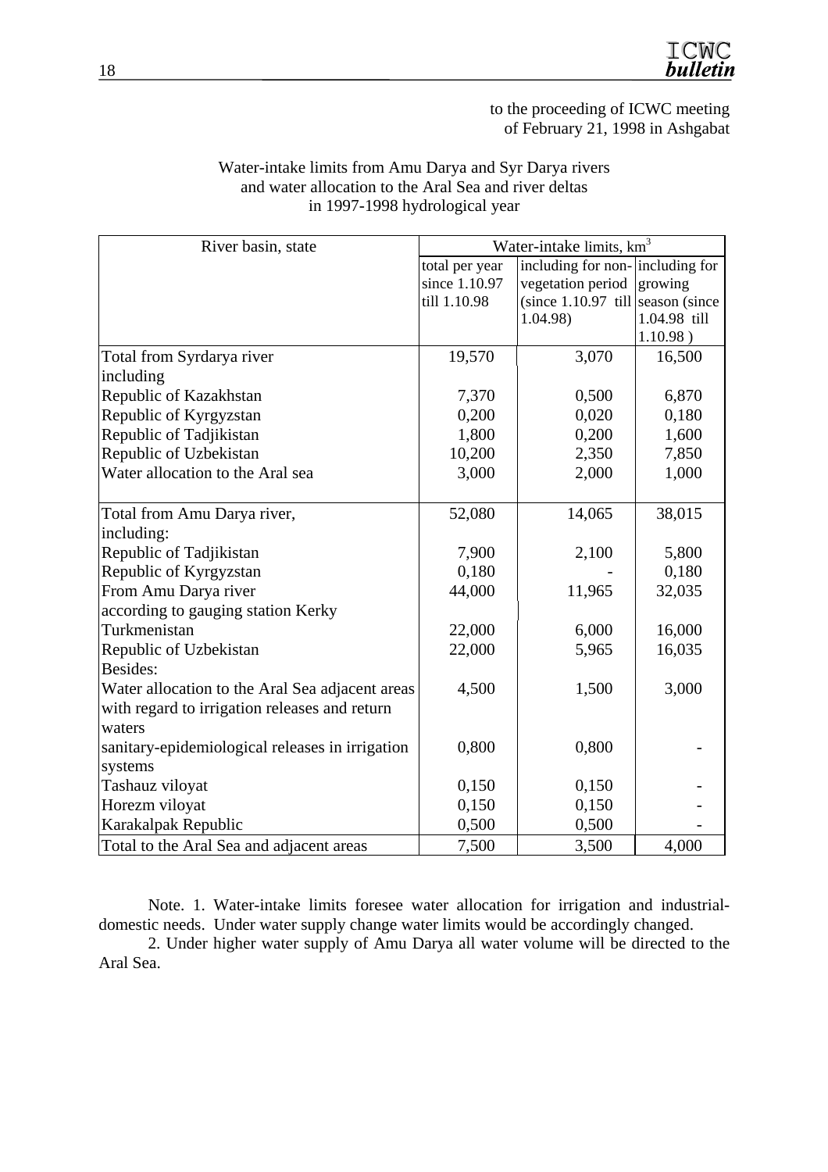

to the proceeding of ICWC meeting of February 21, 1998 in Ashgabat

|                                                 | Water-intake limits, km <sup>3</sup> |                                     |                          |  |  |  |
|-------------------------------------------------|--------------------------------------|-------------------------------------|--------------------------|--|--|--|
| River basin, state                              |                                      |                                     |                          |  |  |  |
|                                                 | total per year                       | including for non-including for     |                          |  |  |  |
|                                                 | since 1.10.97                        | vegetation period                   | growing                  |  |  |  |
|                                                 | till 1.10.98                         | $(since 1.10.97$ till season (since |                          |  |  |  |
|                                                 |                                      | 1.04.98)                            | 1.04.98 till<br>1.10.98) |  |  |  |
|                                                 | 19,570                               | 3,070                               |                          |  |  |  |
| Total from Syrdarya river                       |                                      |                                     | 16,500                   |  |  |  |
| including                                       |                                      |                                     |                          |  |  |  |
| Republic of Kazakhstan                          | 7,370                                | 0,500                               | 6,870                    |  |  |  |
| Republic of Kyrgyzstan                          | 0,200                                | 0,020                               | 0,180                    |  |  |  |
| Republic of Tadjikistan                         | 1,800                                | 0,200                               | 1,600                    |  |  |  |
| Republic of Uzbekistan                          | 10,200                               | 2,350                               | 7,850                    |  |  |  |
| Water allocation to the Aral sea                | 3,000                                | 2,000                               | 1,000                    |  |  |  |
|                                                 |                                      |                                     |                          |  |  |  |
| Total from Amu Darya river,                     | 52,080                               | 14,065                              | 38,015                   |  |  |  |
| including:                                      |                                      |                                     |                          |  |  |  |
| Republic of Tadjikistan                         | 7,900                                | 2,100                               | 5,800                    |  |  |  |
| Republic of Kyrgyzstan                          | 0,180                                |                                     | 0,180                    |  |  |  |
| From Amu Darya river                            | 44,000                               | 11,965                              | 32,035                   |  |  |  |
| according to gauging station Kerky              |                                      |                                     |                          |  |  |  |
| Turkmenistan                                    | 22,000                               | 6,000                               | 16,000                   |  |  |  |
| Republic of Uzbekistan                          | 22,000                               | 5,965                               | 16,035                   |  |  |  |
| Besides:                                        |                                      |                                     |                          |  |  |  |
| Water allocation to the Aral Sea adjacent areas | 4,500                                | 1,500                               | 3,000                    |  |  |  |
| with regard to irrigation releases and return   |                                      |                                     |                          |  |  |  |
| waters                                          |                                      |                                     |                          |  |  |  |
| sanitary-epidemiological releases in irrigation | 0,800                                | 0,800                               |                          |  |  |  |
| systems                                         |                                      |                                     |                          |  |  |  |
| Tashauz viloyat                                 | 0,150                                | 0,150                               |                          |  |  |  |
| Horezm viloyat                                  | 0,150                                | 0,150                               |                          |  |  |  |
| Karakalpak Republic                             | 0,500                                | 0,500                               |                          |  |  |  |
| Total to the Aral Sea and adjacent areas        | 7,500                                | 3,500                               | 4,000                    |  |  |  |

#### Water-intake limits from Amu Darya and Syr Darya rivers and water allocation to the Aral Sea and river deltas in 1997-1998 hydrological year

Note. 1. Water-intake limits foresee water allocation for irrigation and industrialdomestic needs. Under water supply change water limits would be accordingly changed.

2. Under higher water supply of Amu Darya all water volume will be directed to the Aral Sea.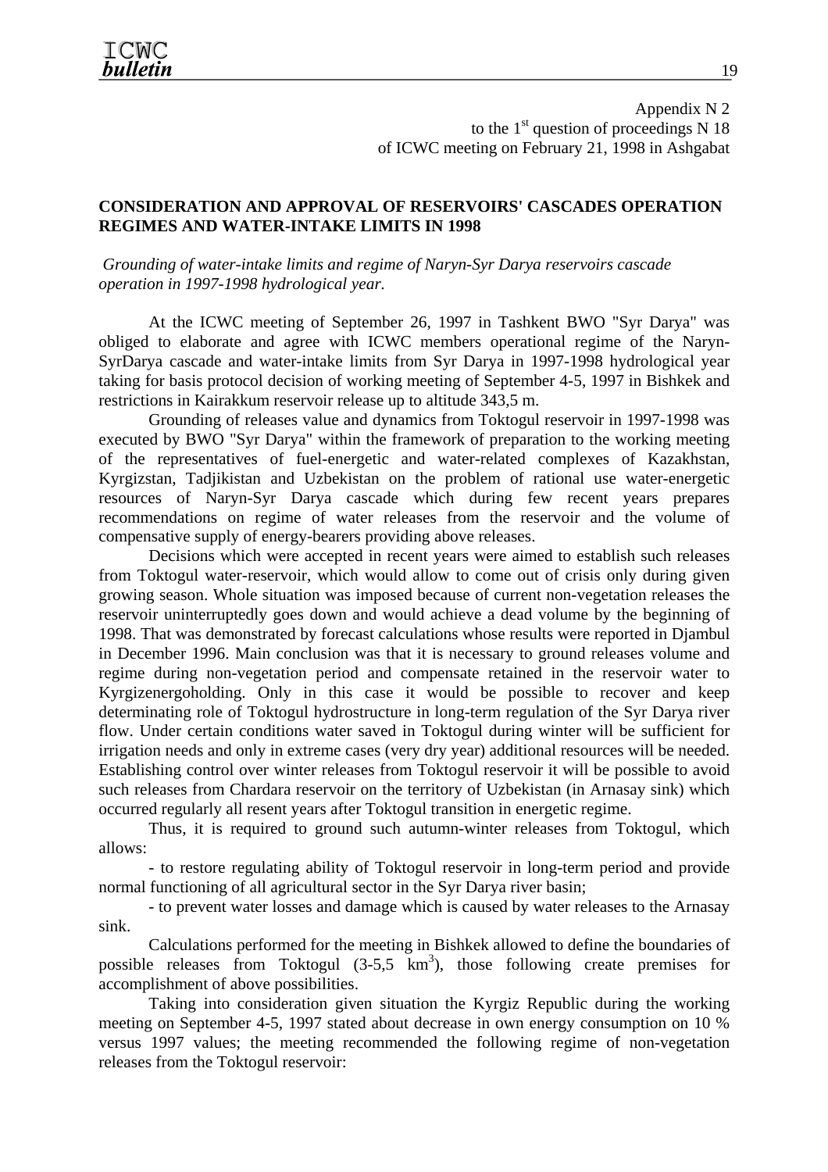Appendix N 2 to the  $1<sup>st</sup>$  question of proceedings N 18 of ICWC meeting on February 21, 1998 in Ashgabat

#### **CONSIDERATION AND APPROVAL OF RESERVOIRS' CASCADES OPERATION REGIMES AND WATER-INTAKE LIMITS IN 1998**

 *Grounding of water-intake limits and regime of Naryn-Syr Darya reservoirs cascade operation in 1997-1998 hydrological year.* 

At the ICWC meeting of September 26, 1997 in Tashkent BWO "Syr Darya" was obliged to elaborate and agree with ICWC members operational regime of the Naryn-SyrDarya cascade and water-intake limits from Syr Darya in 1997-1998 hydrological year taking for basis protocol decision of working meeting of September 4-5, 1997 in Bishkek and restrictions in Kairakkum reservoir release up to altitude 343,5 m.

Grounding of releases value and dynamics from Toktogul reservoir in 1997-1998 was executed by BWO "Syr Darya" within the framework of preparation to the working meeting of the representatives of fuel-energetic and water-related complexes of Kazakhstan, Kyrgizstan, Tadjikistan and Uzbekistan on the problem of rational use water-energetic resources of Naryn-Syr Darya cascade which during few recent years prepares recommendations on regime of water releases from the reservoir and the volume of compensative supply of energy-bearers providing above releases.

Decisions which were accepted in recent years were aimed to establish such releases from Toktogul water-reservoir, which would allow to come out of crisis only during given growing season. Whole situation was imposed because of current non-vegetation releases the reservoir uninterruptedly goes down and would achieve a dead volume by the beginning of 1998. That was demonstrated by forecast calculations whose results were reported in Djambul in December 1996. Main conclusion was that it is necessary to ground releases volume and regime during non-vegetation period and compensate retained in the reservoir water to Kyrgizenergoholding. Only in this case it would be possible to recover and keep determinating role of Toktogul hydrostructure in long-term regulation of the Syr Darya river flow. Under certain conditions water saved in Toktogul during winter will be sufficient for irrigation needs and only in extreme cases (very dry year) additional resources will be needed. Establishing control over winter releases from Toktogul reservoir it will be possible to avoid such releases from Chardara reservoir on the territory of Uzbekistan (in Arnasay sink) which occurred regularly all resent years after Toktogul transition in energetic regime.

Thus, it is required to ground such autumn-winter releases from Toktogul, which allows:

- to restore regulating ability of Toktogul reservoir in long-term period and provide normal functioning of all agricultural sector in the Syr Darya river basin;

- to prevent water losses and damage which is caused by water releases to the Arnasay sink.

Calculations performed for the meeting in Bishkek allowed to define the boundaries of possible releases from Toktogul  $(3-5.5 \text{ km}^3)$ , those following create premises for accomplishment of above possibilities.

Taking into consideration given situation the Kyrgiz Republic during the working meeting on September 4-5, 1997 stated about decrease in own energy consumption on 10 % versus 1997 values; the meeting recommended the following regime of non-vegetation releases from the Toktogul reservoir: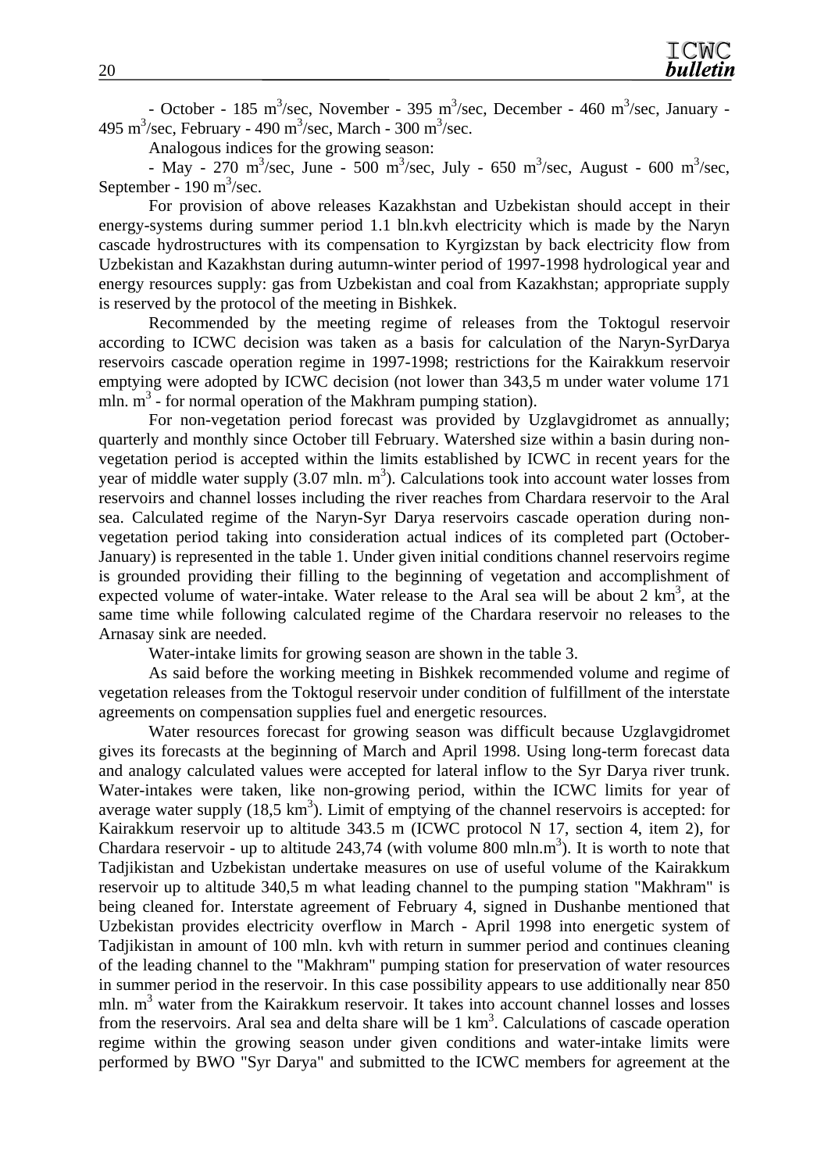- October - 185 m<sup>3</sup>/sec, November - 395 m<sup>3</sup>/sec, December - 460 m<sup>3</sup>/sec, January -495 m<sup>3</sup>/sec, February - 490 m<sup>3</sup>/sec, March - 300 m<sup>3</sup>/sec.

Analogous indices for the growing season:

- May - 270 m<sup>3</sup>/sec, June - 500 m<sup>3</sup>/sec, July - 650 m<sup>3</sup>/sec, August - 600 m<sup>3</sup>/sec, September -  $190 \text{ m}^3/\text{sec}$ .

For provision of above releases Kazakhstan and Uzbekistan should accept in their energy-systems during summer period 1.1 bln.kvh electricity which is made by the Naryn cascade hydrostructures with its compensation to Kyrgizstan by back electricity flow from Uzbekistan and Kazakhstan during autumn-winter period of 1997-1998 hydrological year and energy resources supply: gas from Uzbekistan and coal from Kazakhstan; appropriate supply is reserved by the protocol of the meeting in Bishkek.

Recommended by the meeting regime of releases from the Toktogul reservoir according to ICWC decision was taken as a basis for calculation of the Naryn-SyrDarya reservoirs cascade operation regime in 1997-1998; restrictions for the Kairakkum reservoir emptying were adopted by ICWC decision (not lower than 343,5 m under water volume 171 mln.  $m<sup>3</sup>$  - for normal operation of the Makhram pumping station).

For non-vegetation period forecast was provided by Uzglavgidromet as annually; quarterly and monthly since October till February. Watershed size within a basin during nonvegetation period is accepted within the limits established by ICWC in recent years for the year of middle water supply  $(3.07 \text{ mln. m}^3)$ . Calculations took into account water losses from reservoirs and channel losses including the river reaches from Chardara reservoir to the Aral sea. Calculated regime of the Naryn-Syr Darya reservoirs cascade operation during nonvegetation period taking into consideration actual indices of its completed part (October-January) is represented in the table 1. Under given initial conditions channel reservoirs regime is grounded providing their filling to the beginning of vegetation and accomplishment of expected volume of water-intake. Water release to the Aral sea will be about  $2 \text{ km}^3$ , at the same time while following calculated regime of the Chardara reservoir no releases to the Arnasay sink are needed.

Water-intake limits for growing season are shown in the table 3.

As said before the working meeting in Bishkek recommended volume and regime of vegetation releases from the Toktogul reservoir under condition of fulfillment of the interstate agreements on compensation supplies fuel and energetic resources.

Water resources forecast for growing season was difficult because Uzglavgidromet gives its forecasts at the beginning of March and April 1998. Using long-term forecast data and analogy calculated values were accepted for lateral inflow to the Syr Darya river trunk. Water-intakes were taken, like non-growing period, within the ICWC limits for year of average water supply  $(18.5 \text{ km}^3)$ . Limit of emptying of the channel reservoirs is accepted: for Kairakkum reservoir up to altitude 343.5 m (ICWC protocol N 17, section 4, item 2), for Chardara reservoir - up to altitude 243,74 (with volume 800 mln.m<sup>3</sup>). It is worth to note that Tadjikistan and Uzbekistan undertake measures on use of useful volume of the Kairakkum reservoir up to altitude 340,5 m what leading channel to the pumping station "Makhram" is being cleaned for. Interstate agreement of February 4, signed in Dushanbe mentioned that Uzbekistan provides electricity overflow in March - April 1998 into energetic system of Tadjikistan in amount of 100 mln. kvh with return in summer period and continues cleaning of the leading channel to the "Makhram" pumping station for preservation of water resources in summer period in the reservoir. In this case possibility appears to use additionally near 850 mln. m<sup>3</sup> water from the Kairakkum reservoir. It takes into account channel losses and losses from the reservoirs. Aral sea and delta share will be  $1 \text{ km}^3$ . Calculations of cascade operation regime within the growing season under given conditions and water-intake limits were performed by BWO "Syr Darya" and submitted to the ICWC members for agreement at the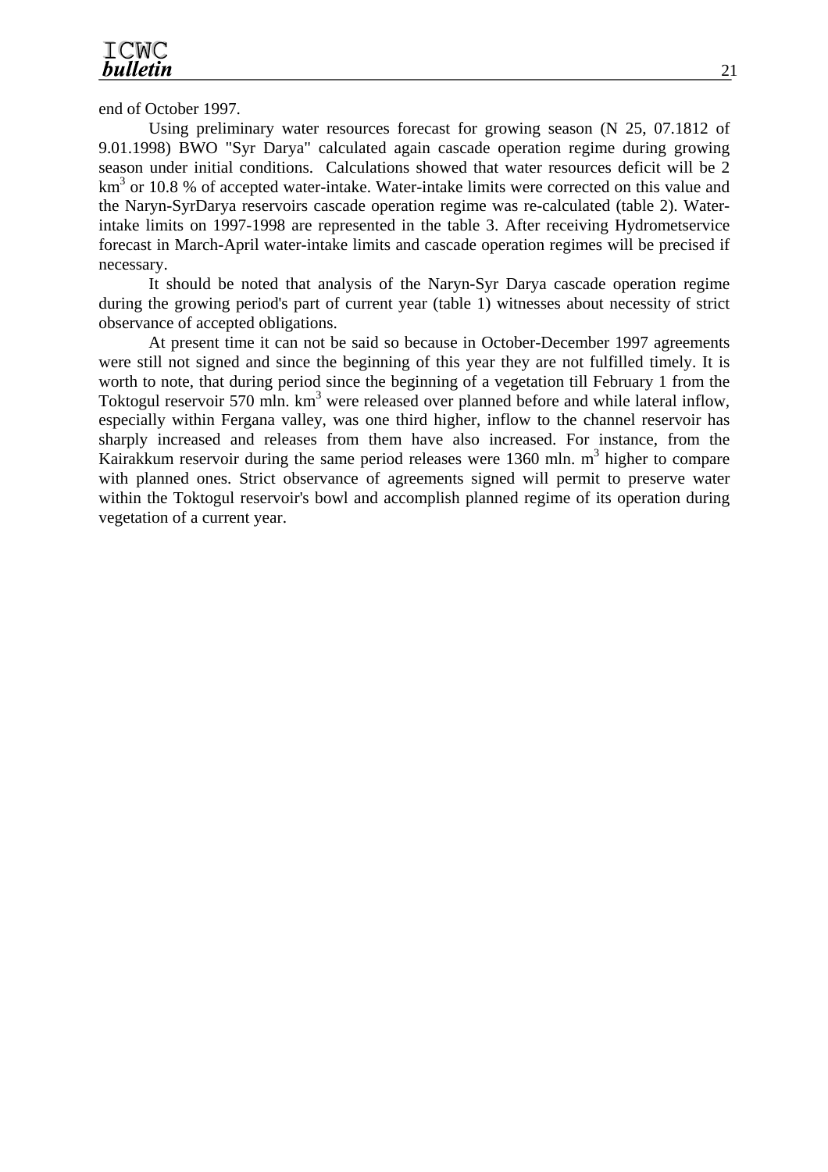end of October 1997.

Using preliminary water resources forecast for growing season (N 25, 07.1812 of 9.01.1998) BWO "Syr Darya" calculated again cascade operation regime during growing season under initial conditions. Calculations showed that water resources deficit will be 2  $km<sup>3</sup>$  or 10.8 % of accepted water-intake. Water-intake limits were corrected on this value and the Naryn-SyrDarya reservoirs cascade operation regime was re-calculated (table 2). Waterintake limits on 1997-1998 are represented in the table 3. After receiving Hydrometservice forecast in March-April water-intake limits and cascade operation regimes will be precised if necessary.

It should be noted that analysis of the Naryn-Syr Darya cascade operation regime during the growing period's part of current year (table 1) witnesses about necessity of strict observance of accepted obligations.

At present time it can not be said so because in October-December 1997 agreements were still not signed and since the beginning of this year they are not fulfilled timely. It is worth to note, that during period since the beginning of a vegetation till February 1 from the Toktogul reservoir 570 mln. km<sup>3</sup> were released over planned before and while lateral inflow, especially within Fergana valley, was one third higher, inflow to the channel reservoir has sharply increased and releases from them have also increased. For instance, from the Kairakkum reservoir during the same period releases were  $1360$  mln. m<sup>3</sup> higher to compare with planned ones. Strict observance of agreements signed will permit to preserve water within the Toktogul reservoir's bowl and accomplish planned regime of its operation during vegetation of a current year.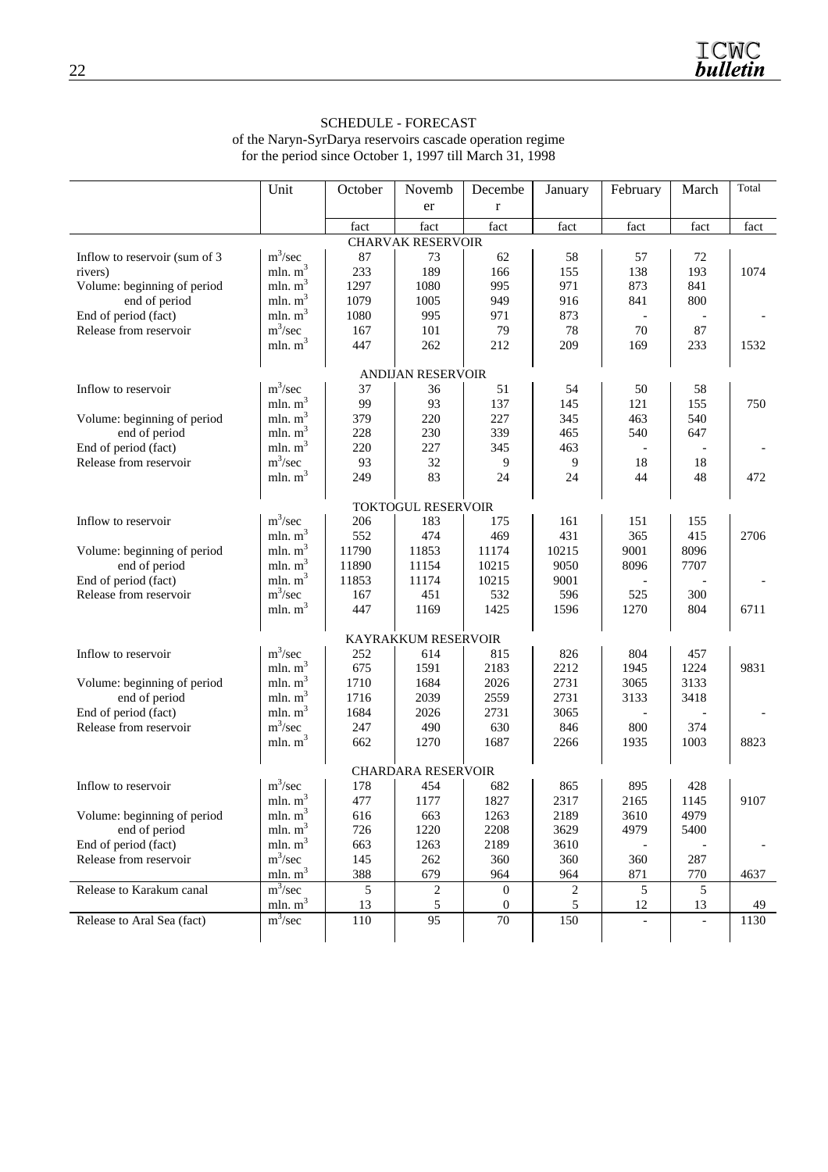#### SCHEDULE - FORECAST of the Naryn-SyrDarya reservoirs cascade operation regime for the period since October 1, 1997 till March 31, 1998

|                                | Unit       | October | Novemb                    | Decembe          | January        | February | March | Total |
|--------------------------------|------------|---------|---------------------------|------------------|----------------|----------|-------|-------|
|                                |            |         | er                        | $\bf r$          |                |          |       |       |
|                                |            | fact    | fact                      | fact             | fact           | fact     | fact  | fact  |
|                                |            |         | <b>CHARVAK RESERVOIR</b>  |                  |                |          |       |       |
| Inflow to reservoir (sum of 3) | $m^3/sec$  | 87      | 73                        | 62               | 58             | 57       | 72    |       |
| rivers)                        | mln. $m3$  | 233     | 189                       | 166              | 155            | 138      | 193   | 1074  |
| Volume: beginning of period    | mln. $m3$  | 1297    | 1080                      | 995              | 971            | 873      | 841   |       |
| end of period                  | mln. $m3$  | 1079    | 1005                      | 949              | 916            | 841      | 800   |       |
| End of period (fact)           | mln. $m3$  | 1080    | 995                       | 971              | 873            |          |       |       |
| Release from reservoir         | $m^3/sec$  | 167     | 101                       | 79               | 78             | 70       | 87    |       |
|                                | mln. $m^3$ | 447     | 262                       | 212              | 209            | 169      | 233   | 1532  |
|                                |            |         |                           |                  |                |          |       |       |
|                                |            |         | <b>ANDIJAN RESERVOIR</b>  |                  |                |          |       |       |
| Inflow to reservoir            | $m^3/sec$  | 37      | 36                        | 51               | 54             | 50       | 58    |       |
|                                | mln. $m3$  | 99      | 93                        | 137              | 145            | 121      | 155   | 750   |
| Volume: beginning of period    | mln. $m3$  | 379     | 220                       | 227              | 345            | 463      | 540   |       |
| end of period                  | mln. $m3$  | 228     | 230                       | 339              | 465            | 540      | 647   |       |
| End of period (fact)           | mln. $m3$  | 220     | 227                       | 345              | 463            |          |       |       |
| Release from reservoir         | $m^3/sec$  | 93      | 32                        | 9                | 9              | 18       | 18    |       |
|                                | mln. $m3$  | 249     | 83                        | 24               | 24             | 44       | 48    | 472   |
|                                |            |         |                           |                  |                |          |       |       |
|                                |            |         | <b>TOKTOGUL RESERVOIR</b> |                  |                |          |       |       |
| Inflow to reservoir            | $m^3/sec$  | 206     | 183                       | 175              | 161            | 151      | 155   |       |
|                                | mln. $m3$  | 552     | 474                       | 469              | 431            | 365      | 415   | 2706  |
| Volume: beginning of period    | mln. $m3$  | 11790   | 11853                     | 11174            | 10215          | 9001     | 8096  |       |
| end of period                  | mln. $m^3$ | 11890   | 11154                     | 10215            | 9050           | 8096     | 7707  |       |
| End of period (fact)           | mln. $m3$  | 11853   | 11174                     | 10215            | 9001           |          |       |       |
| Release from reservoir         | $m^3/sec$  | 167     | 451                       | 532              | 596            | 525      | 300   |       |
|                                | mln. $m3$  | 447     | 1169                      | 1425             | 1596           | 1270     | 804   | 6711  |
|                                |            |         | KAYRAKKUM RESERVOIR       |                  |                |          |       |       |
| Inflow to reservoir            | $m^3/sec$  | 252     | 614                       | 815              | 826            | 804      | 457   |       |
|                                | mln. $m3$  | 675     | 1591                      | 2183             | 2212           | 1945     | 1224  | 9831  |
| Volume: beginning of period    | mln. $m3$  | 1710    | 1684                      | 2026             | 2731           | 3065     | 3133  |       |
| end of period                  | mln. $m^3$ | 1716    | 2039                      | 2559             | 2731           | 3133     | 3418  |       |
| End of period (fact)           | mln. $m3$  | 1684    | 2026                      | 2731             | 3065           |          |       |       |
| Release from reservoir         | $m^3/sec$  | 247     | 490                       | 630              | 846            | 800      | 374   |       |
|                                | mln. $m3$  | 662     | 1270                      | 1687             | 2266           | 1935     | 1003  | 8823  |
|                                |            |         |                           |                  |                |          |       |       |
|                                |            |         | <b>CHARDARA RESERVOIR</b> |                  |                |          |       |       |
| Inflow to reservoir            | $m^3/sec$  | 178     | 454                       | 682              | 865            | 895      | 428   |       |
|                                | mln. $m^3$ | 477     | 1177                      | 1827             | 2317           | 2165     | 1145  | 9107  |
| Volume: beginning of period    | mln. $m3$  | 616     | 663                       | 1263             | 2189           | 3610     | 4979  |       |
| end of period                  | mln. $m^3$ | 726     | 1220                      | 2208             | 3629           | 4979     | 5400  |       |
| End of period (fact)           | mln. $m3$  | 663     | 1263                      | 2189             | 3610           |          |       |       |
| Release from reservoir         | $m^3/sec$  | 145     | 262                       | 360              | 360            | 360      | 287   |       |
|                                | mln. $m3$  | 388     | 679                       | 964              | 964            | 871      | 770   | 4637  |
| Release to Karakum canal       | $m^3/sec$  | 5       | $\sqrt{2}$                | $\boldsymbol{0}$ | $\overline{c}$ | 5        | 5     |       |
|                                | mln. $m^3$ | 13      | 5                         | 0                | 5              | 12       | 13    | 49    |
| Release to Aral Sea (fact)     | $m^3/sec$  | 110     | 95                        | 70               | 150            |          |       | 1130  |
|                                |            |         |                           |                  |                |          |       |       |
|                                |            |         |                           |                  |                |          |       |       |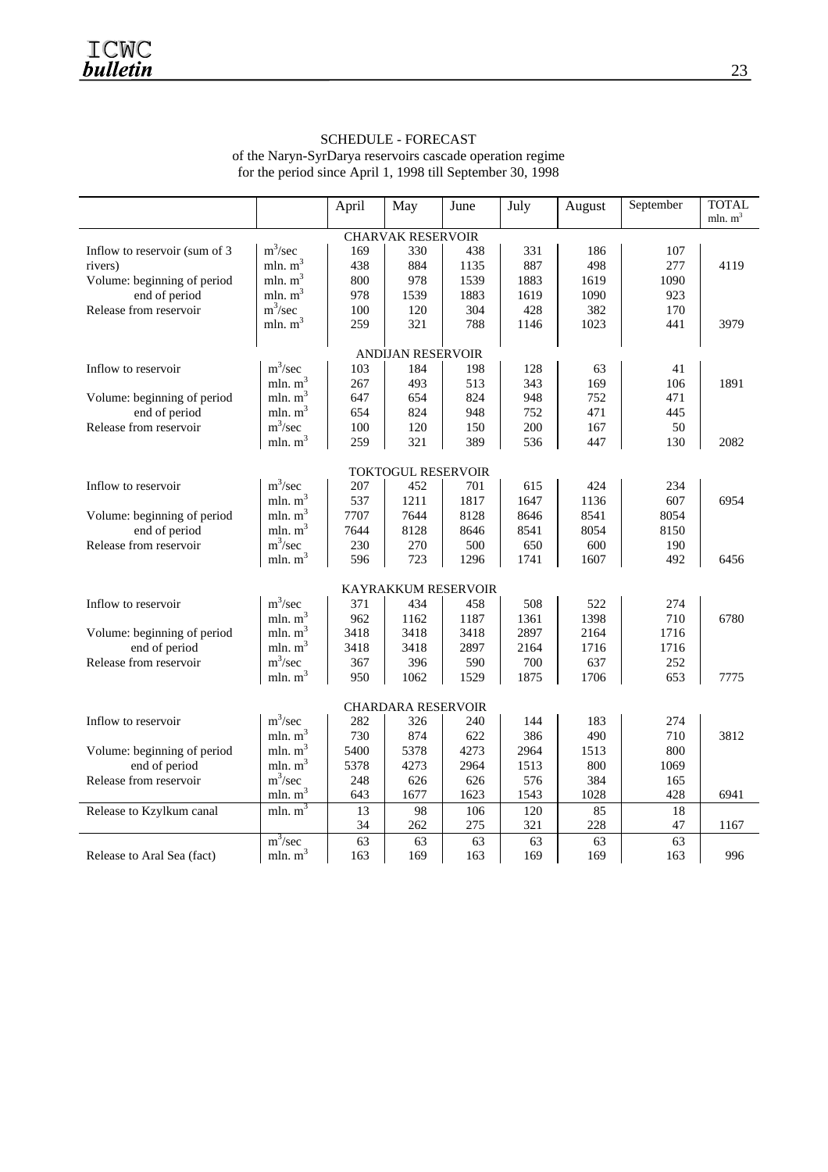#### SCHEDULE - FORECAST of the Naryn-SyrDarya reservoirs cascade operation regime for the period since April 1, 1998 till September 30, 1998

|                               |                          | April | May                        | June | July | August | September | <b>TOTAL</b> |
|-------------------------------|--------------------------|-------|----------------------------|------|------|--------|-----------|--------------|
|                               |                          |       |                            |      |      |        |           | mln. $m^3$   |
|                               |                          |       | <b>CHARVAK RESERVOIR</b>   |      |      |        |           |              |
| Inflow to reservoir (sum of 3 | $m^3/sec$                | 169   | 330                        | 438  | 331  | 186    | 107       |              |
| rivers)                       | mln. $m3$                | 438   | 884                        | 1135 | 887  | 498    | 277       | 4119         |
| Volume: beginning of period   | mln. $m3$                | 800   | 978                        | 1539 | 1883 | 1619   | 1090      |              |
| end of period                 | mln. $m3$                | 978   | 1539                       | 1883 | 1619 | 1090   | 923       |              |
| Release from reservoir        | $m^3/sec$                | 100   | 120                        | 304  | 428  | 382    | 170       |              |
|                               | mln. $m3$                | 259   | 321                        | 788  | 1146 | 1023   | 441       | 3979         |
|                               | <b>ANDIJAN RESERVOIR</b> |       |                            |      |      |        |           |              |
|                               | $m^3/sec$                |       |                            |      |      |        |           |              |
| Inflow to reservoir           |                          | 103   | 184                        | 198  | 128  | 63     | 41        |              |
|                               | mln. $m3$                | 267   | 493                        | 513  | 343  | 169    | 106       | 1891         |
| Volume: beginning of period   | mln. $m3$                | 647   | 654                        | 824  | 948  | 752    | 471       |              |
| end of period                 | mln. $m3$                | 654   | 824                        | 948  | 752  | 471    | 445       |              |
| Release from reservoir        | $m^3/sec$                | 100   | 120                        | 150  | 200  | 167    | 50        |              |
|                               | mln. $m3$                | 259   | 321                        | 389  | 536  | 447    | 130       | 2082         |
| <b>TOKTOGUL RESERVOIR</b>     |                          |       |                            |      |      |        |           |              |
| Inflow to reservoir           | $m^3/sec$                | 207   | 452                        | 701  | 615  | 424    | 234       |              |
|                               | mln. $m^3$               | 537   | 1211                       | 1817 | 1647 | 1136   | 607       | 6954         |
| Volume: beginning of period   | mln. $m3$                | 7707  | 7644                       | 8128 | 8646 | 8541   | 8054      |              |
| end of period                 | mln. $m3$                | 7644  | 8128                       | 8646 | 8541 | 8054   | 8150      |              |
| Release from reservoir        | $m^3/sec$                | 230   | 270                        | 500  | 650  | 600    | 190       |              |
|                               | mln. $m3$                | 596   | 723                        | 1296 | 1741 | 1607   | 492       | 6456         |
|                               |                          |       |                            |      |      |        |           |              |
|                               |                          |       | <b>KAYRAKKUM RESERVOIR</b> |      |      |        |           |              |
| Inflow to reservoir           | $m^3/sec$                | 371   | 434                        | 458  | 508  | 522    | 274       |              |
|                               | mln. $m3$                | 962   | 1162                       | 1187 | 1361 | 1398   | 710       | 6780         |
| Volume: beginning of period   | mln. $m3$                | 3418  | 3418                       | 3418 | 2897 | 2164   | 1716      |              |
| end of period                 | mln. $m3$                | 3418  | 3418                       | 2897 | 2164 | 1716   | 1716      |              |
| Release from reservoir        | $m^3/sec$                | 367   | 396                        | 590  | 700  | 637    | 252       |              |
|                               | mln. $m^3$               | 950   | 1062                       | 1529 | 1875 | 1706   | 653       | 7775         |
|                               |                          |       | <b>CHARDARA RESERVOIR</b>  |      |      |        |           |              |
| Inflow to reservoir           | $m^3/sec$                | 282   | 326                        | 240  | 144  | 183    | 274       |              |
|                               | mln. $m^3$               | 730   | 874                        | 622  | 386  | 490    | 710       | 3812         |
| Volume: beginning of period   | mln. $m3$                | 5400  | 5378                       | 4273 | 2964 | 1513   | 800       |              |
| end of period                 | mln. $m3$                | 5378  | 4273                       | 2964 | 1513 | 800    | 1069      |              |
| Release from reservoir        | $m^3/sec$                | 248   | 626                        | 626  | 576  | 384    | 165       |              |
|                               | mln. $m3$                | 643   | 1677                       | 1623 | 1543 | 1028   | 428       | 6941         |
| Release to Kzylkum canal      | mln. $\overline{m^3}$    | 13    | 98                         | 106  | 120  | 85     | 18        |              |
|                               |                          | 34    | 262                        | 275  | 321  | 228    | 47        | 1167         |
|                               | $m^3/sec$                | 63    | 63                         | 63   | 63   | 63     | 63        |              |
| Release to Aral Sea (fact)    | mln. $m3$                | 163   | 169                        | 163  | 169  | 169    | 163       | 996          |
|                               |                          |       |                            |      |      |        |           |              |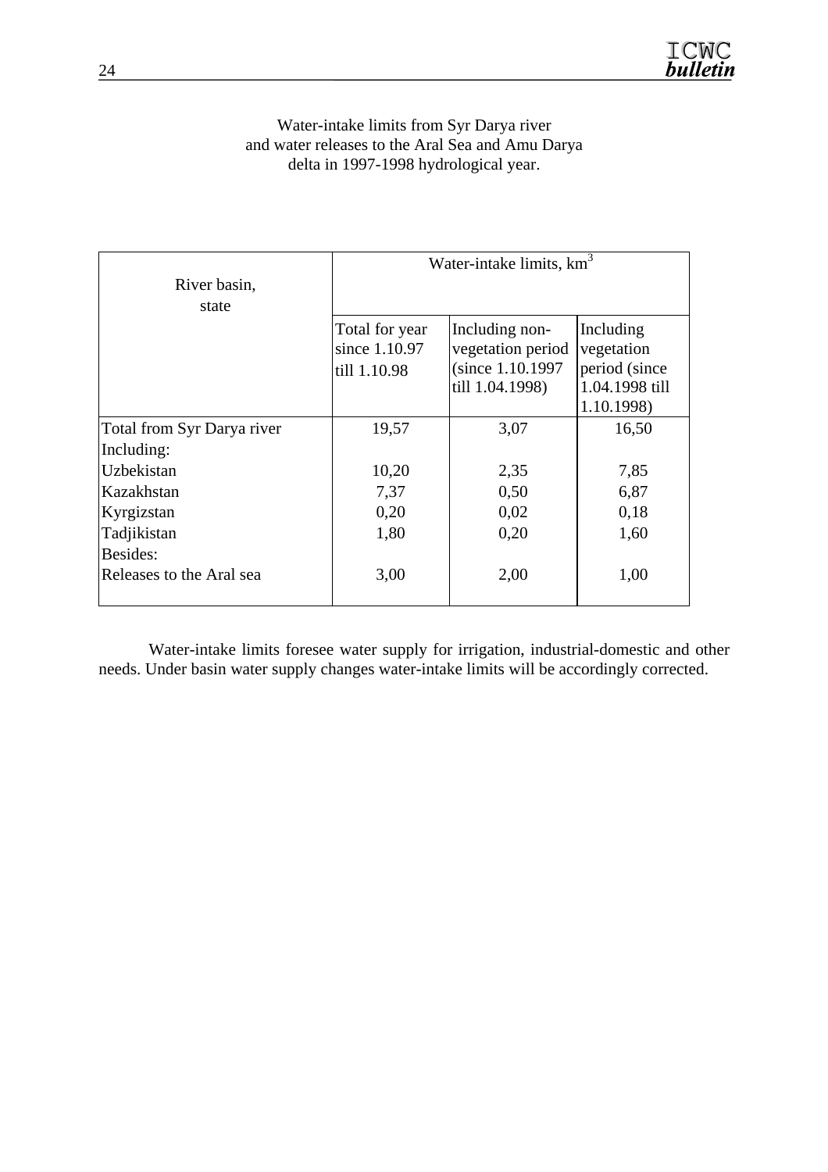## Water-intake limits from Syr Darya river and water releases to the Aral Sea and Amu Darya delta in 1997-1998 hydrological year.

|                            | Water-intake limits, $km3$                      |                                                                             |                                                                          |  |  |  |  |
|----------------------------|-------------------------------------------------|-----------------------------------------------------------------------------|--------------------------------------------------------------------------|--|--|--|--|
| River basin,               |                                                 |                                                                             |                                                                          |  |  |  |  |
| state                      |                                                 |                                                                             |                                                                          |  |  |  |  |
|                            | Total for year<br>since 1.10.97<br>till 1.10.98 | Including non-<br>vegetation period<br>(since 1.10.1997)<br>till 1.04.1998) | Including<br>vegetation<br>period (since<br>1.04.1998 till<br>1.10.1998) |  |  |  |  |
| Total from Syr Darya river | 19,57                                           | 3,07                                                                        | 16,50                                                                    |  |  |  |  |
| Including:                 |                                                 |                                                                             |                                                                          |  |  |  |  |
| Uzbekistan                 | 10,20                                           | 2,35                                                                        | 7,85                                                                     |  |  |  |  |
| Kazakhstan                 | 7,37                                            | 0,50                                                                        | 6,87                                                                     |  |  |  |  |
| Kyrgizstan                 | 0,20                                            | 0,02                                                                        | 0,18                                                                     |  |  |  |  |
| Tadjikistan                | 1,80                                            | 0,20                                                                        | 1,60                                                                     |  |  |  |  |
| Besides:                   |                                                 |                                                                             |                                                                          |  |  |  |  |
| Releases to the Aral sea   | 3,00                                            | 2,00                                                                        | 1,00                                                                     |  |  |  |  |

Water-intake limits foresee water supply for irrigation, industrial-domestic and other needs. Under basin water supply changes water-intake limits will be accordingly corrected.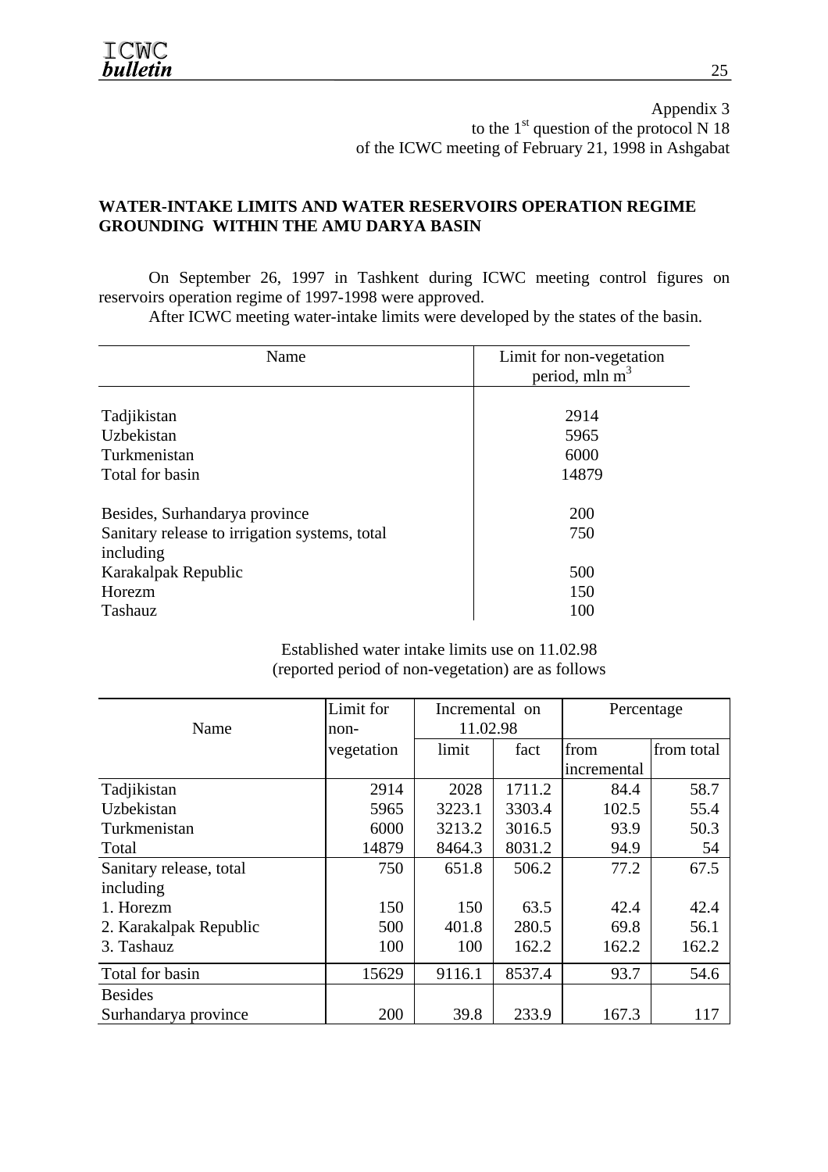Appendix 3 to the  $1<sup>st</sup>$  question of the protocol N 18 of the ICWC meeting of February 21, 1998 in Ashgabat

# **WATER-INTAKE LIMITS AND WATER RESERVOIRS OPERATION REGIME GROUNDING WITHIN THE AMU DARYA BASIN**

On September 26, 1997 in Tashkent during ICWC meeting control figures on reservoirs operation regime of 1997-1998 were approved.

After ICWC meeting water-intake limits were developed by the states of the basin.

| Name                                          | Limit for non-vegetation<br>period, mln m <sup>3</sup> |
|-----------------------------------------------|--------------------------------------------------------|
|                                               |                                                        |
| Tadjikistan                                   | 2914                                                   |
| Uzbekistan                                    | 5965                                                   |
| Turkmenistan                                  | 6000                                                   |
| Total for basin                               | 14879                                                  |
| Besides, Surhandarya province                 | 200                                                    |
| Sanitary release to irrigation systems, total | 750                                                    |
| including                                     |                                                        |
| Karakalpak Republic                           | 500                                                    |
| Horezm                                        | 150                                                    |
| Tashauz                                       | 100                                                    |

#### Established water intake limits use on 11.02.98 (reported period of non-vegetation) are as follows

|                         | Limit for  | Incremental on |        | Percentage  |            |
|-------------------------|------------|----------------|--------|-------------|------------|
| Name                    | non-       | 11.02.98       |        |             |            |
|                         | vegetation | limit          | fact   | from        | from total |
|                         |            |                |        | incremental |            |
| Tadjikistan             | 2914       | 2028           | 1711.2 | 84.4        | 58.7       |
| Uzbekistan              | 5965       | 3223.1         | 3303.4 | 102.5       | 55.4       |
| Turkmenistan            | 6000       | 3213.2         | 3016.5 | 93.9        | 50.3       |
| Total                   | 14879      | 8464.3         | 8031.2 | 94.9        | 54         |
| Sanitary release, total | 750        | 651.8          | 506.2  | 77.2        | 67.5       |
| including               |            |                |        |             |            |
| 1. Horezm               | 150        | 150            | 63.5   | 42.4        | 42.4       |
| 2. Karakalpak Republic  | 500        | 401.8          | 280.5  | 69.8        | 56.1       |
| 3. Tashauz              | 100        | 100            | 162.2  | 162.2       | 162.2      |
| Total for basin         | 15629      | 9116.1         | 8537.4 | 93.7        | 54.6       |
| <b>Besides</b>          |            |                |        |             |            |
| Surhandarya province    | 200        | 39.8           | 233.9  | 167.3       | 117        |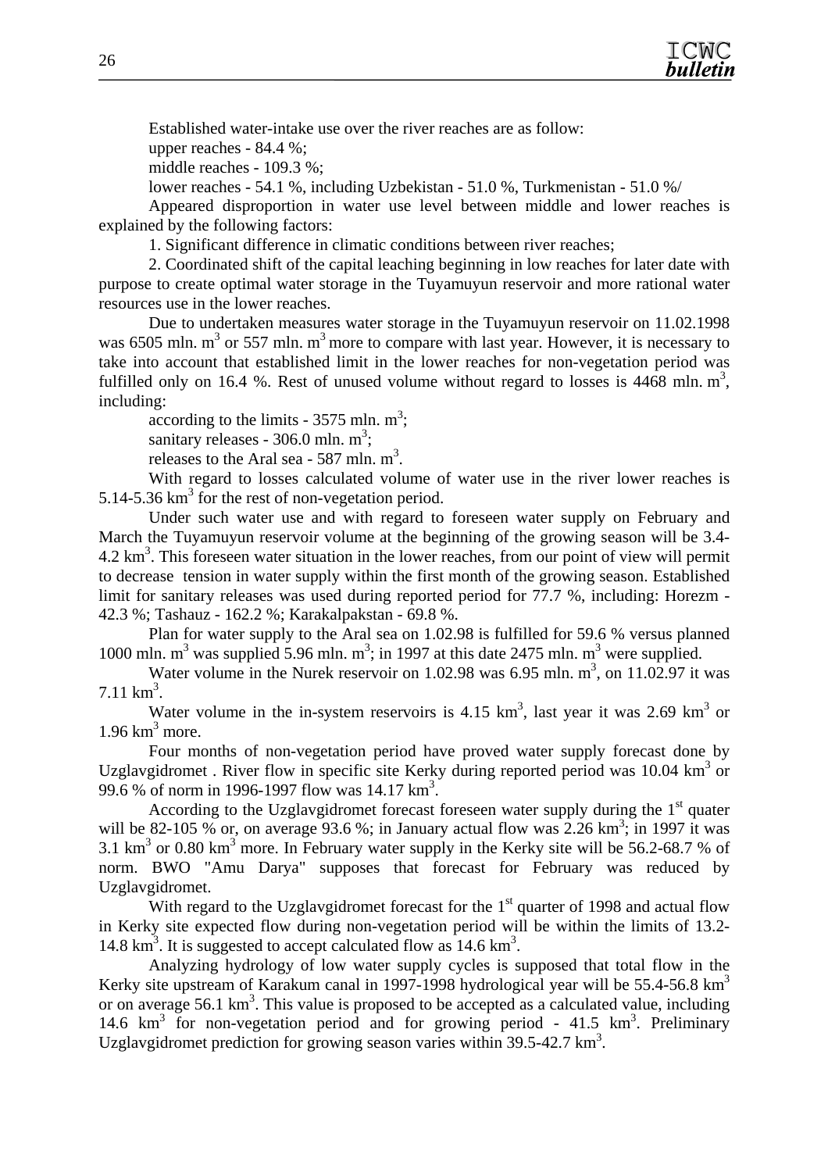

Established water-intake use over the river reaches are as follow:

upper reaches - 84.4 %;

middle reaches - 109.3 %;

lower reaches - 54.1 %, including Uzbekistan - 51.0 %, Turkmenistan - 51.0 %/

Appeared disproportion in water use level between middle and lower reaches is explained by the following factors:

1. Significant difference in climatic conditions between river reaches;

2. Coordinated shift of the capital leaching beginning in low reaches for later date with purpose to create optimal water storage in the Tuyamuyun reservoir and more rational water resources use in the lower reaches.

Due to undertaken measures water storage in the Tuyamuyun reservoir on 11.02.1998 was 6505 mln.  $m<sup>3</sup>$  or 557 mln.  $m<sup>3</sup>$  more to compare with last year. However, it is necessary to take into account that established limit in the lower reaches for non-vegetation period was fulfilled only on 16.4 %. Rest of unused volume without regard to losses is  $4468$  mln. m<sup>3</sup>, including:

according to the limits -  $3575$  mln. m<sup>3</sup>;

sanitary releases -  $306.0$  mln.  $m^3$ ;

releases to the Aral sea - 587 mln.  $m^3$ .

With regard to losses calculated volume of water use in the river lower reaches is 5.14-5.36  $km<sup>3</sup>$  for the rest of non-vegetation period.

Under such water use and with regard to foreseen water supply on February and March the Tuyamuyun reservoir volume at the beginning of the growing season will be 3.4- 4.2 km<sup>3</sup>. This foreseen water situation in the lower reaches, from our point of view will permit to decrease tension in water supply within the first month of the growing season. Established limit for sanitary releases was used during reported period for 77.7 %, including: Horezm - 42.3 %; Tashauz - 162.2 %; Karakalpakstan - 69.8 %.

Plan for water supply to the Aral sea on 1.02.98 is fulfilled for 59.6 % versus planned 1000 mln.  $m^3$  was supplied 5.96 mln.  $m^3$ ; in 1997 at this date 2475 mln.  $m^3$  were supplied.

Water volume in the Nurek reservoir on  $1.02.98$  was 6.95 mln.  $m^3$ , on  $11.02.97$  it was  $7.11 \text{ km}^3$ .

Water volume in the in-system reservoirs is  $4.15 \text{ km}^3$ , last year it was  $2.69 \text{ km}^3$  or  $1.96 \text{ km}^3 \text{ more.}$ 

Four months of non-vegetation period have proved water supply forecast done by Uzglavgidromet . River flow in specific site Kerky during reported period was  $10.04 \text{ km}^3$  or 99.6 % of norm in 1996-1997 flow was 14.17 km<sup>3</sup>.

According to the Uzglavgidromet forecast foreseen water supply during the  $1<sup>st</sup>$  quater will be 82-105 % or, on average 93.6 %; in January actual flow was  $2.26 \text{ km}^3$ ; in 1997 it was 3.1  $\text{km}^3$  or 0.80  $\text{km}^3$  more. In February water supply in the Kerky site will be 56.2-68.7 % of norm. BWO "Amu Darya" supposes that forecast for February was reduced by Uzglavgidromet.

With regard to the Uzglavgidromet forecast for the  $1<sup>st</sup>$  quarter of 1998 and actual flow in Kerky site expected flow during non-vegetation period will be within the limits of 13.2- 14.8  $\text{km}^3$ . It is suggested to accept calculated flow as 14.6  $\text{km}^3$ .

Analyzing hydrology of low water supply cycles is supposed that total flow in the Kerky site upstream of Karakum canal in 1997-1998 hydrological year will be  $55.4$ -56.8 km<sup>3</sup> or on average 56.1  $\text{km}^3$ . This value is proposed to be accepted as a calculated value, including 14.6 km<sup>3</sup> for non-vegetation period and for growing period - 41.5 km<sup>3</sup>. Preliminary Uzglavgidromet prediction for growing season varies within  $39.5-42.7 \text{ km}^3$ .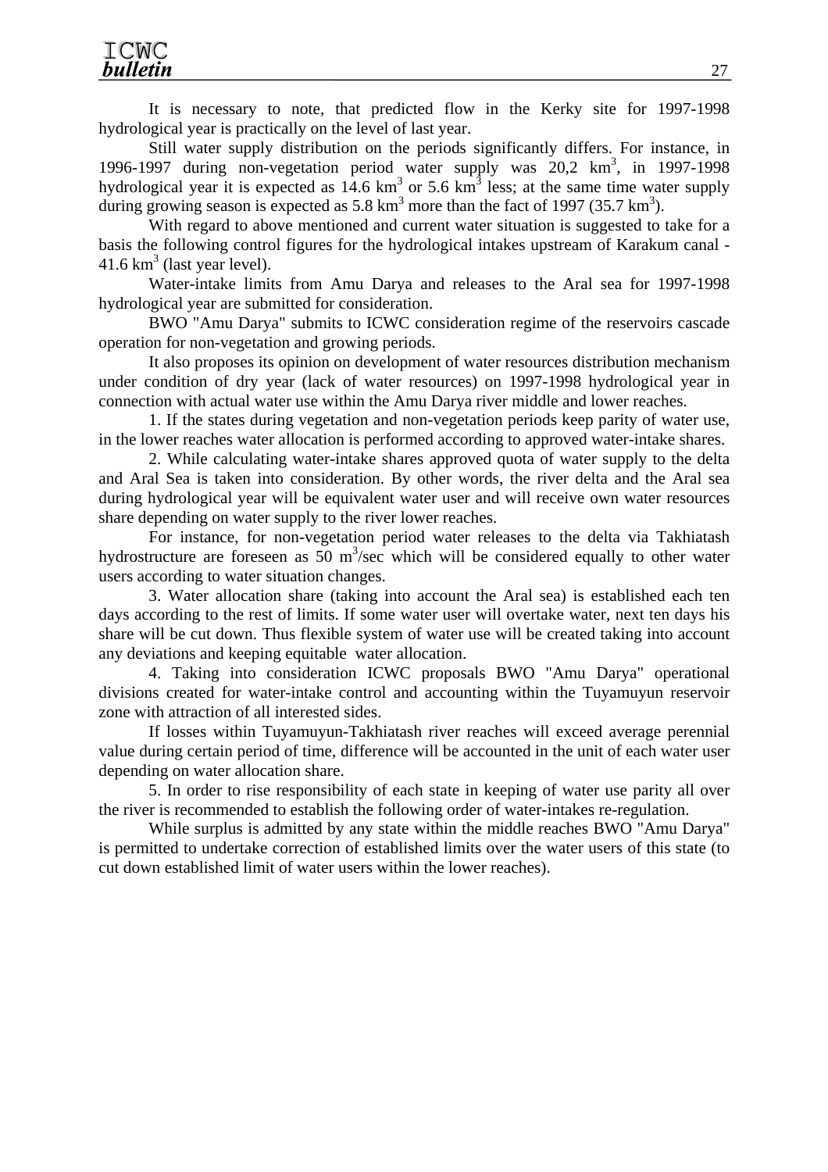It is necessary to note, that predicted flow in the Kerky site for 1997-1998 hydrological year is practically on the level of last year.

Still water supply distribution on the periods significantly differs. For instance, in 1996-1997 during non-vegetation period water supply was  $20.2 \text{ km}^3$ , in 1997-1998 hydrological year it is expected as  $14.6 \text{ km}^3$  or 5.6 km<sup>3</sup> less; at the same time water supply during growing season is expected as  $5.8 \text{ km}^3$  more than the fact of 1997 (35.7 km<sup>3</sup>).

With regard to above mentioned and current water situation is suggested to take for a basis the following control figures for the hydrological intakes upstream of Karakum canal - 41.6  $km^3$  (last year level).

Water-intake limits from Amu Darya and releases to the Aral sea for 1997-1998 hydrological year are submitted for consideration.

BWO "Amu Darya" submits to ICWC consideration regime of the reservoirs cascade operation for non-vegetation and growing periods.

It also proposes its opinion on development of water resources distribution mechanism under condition of dry year (lack of water resources) on 1997-1998 hydrological year in connection with actual water use within the Amu Darya river middle and lower reaches.

1. If the states during vegetation and non-vegetation periods keep parity of water use, in the lower reaches water allocation is performed according to approved water-intake shares.

2. While calculating water-intake shares approved quota of water supply to the delta and Aral Sea is taken into consideration. By other words, the river delta and the Aral sea during hydrological year will be equivalent water user and will receive own water resources share depending on water supply to the river lower reaches.

For instance, for non-vegetation period water releases to the delta via Takhiatash hydrostructure are foreseen as  $50 \text{ m}^3/\text{sec}$  which will be considered equally to other water users according to water situation changes.

3. Water allocation share (taking into account the Aral sea) is established each ten days according to the rest of limits. If some water user will overtake water, next ten days his share will be cut down. Thus flexible system of water use will be created taking into account any deviations and keeping equitable water allocation.

4. Taking into consideration ICWC proposals BWO "Amu Darya" operational divisions created for water-intake control and accounting within the Tuyamuyun reservoir zone with attraction of all interested sides.

If losses within Tuyamuyun-Takhiatash river reaches will exceed average perennial value during certain period of time, difference will be accounted in the unit of each water user depending on water allocation share.

5. In order to rise responsibility of each state in keeping of water use parity all over the river is recommended to establish the following order of water-intakes re-regulation.

While surplus is admitted by any state within the middle reaches BWO "Amu Darya" is permitted to undertake correction of established limits over the water users of this state (to cut down established limit of water users within the lower reaches).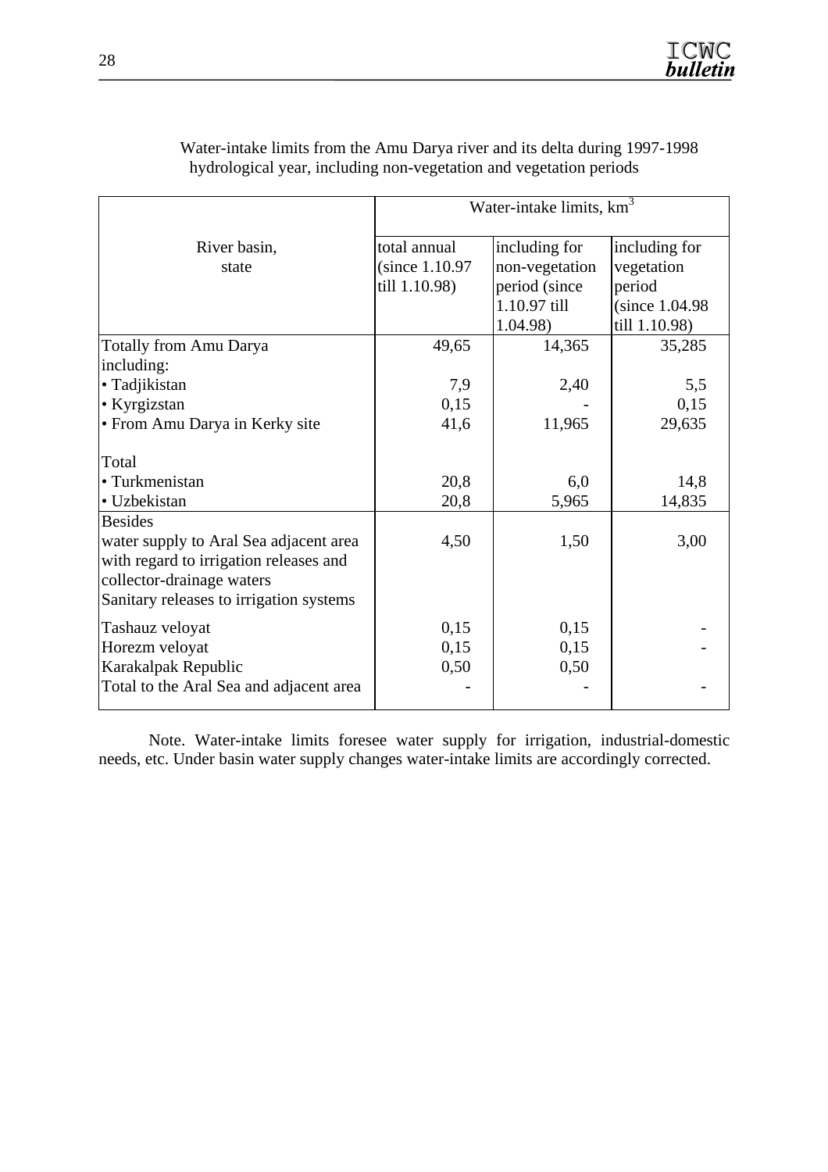|                                         | Water-intake limits, km <sup>3</sup> |                |                 |  |  |  |  |
|-----------------------------------------|--------------------------------------|----------------|-----------------|--|--|--|--|
| River basin,                            | total annual                         | including for  | including for   |  |  |  |  |
| state                                   | (since 1.10.97)                      | non-vegetation | vegetation      |  |  |  |  |
|                                         | till 1.10.98)                        | period (since  | period          |  |  |  |  |
|                                         |                                      | 1.10.97 till   | (since 1.04.98) |  |  |  |  |
|                                         |                                      | 1.04.98)       | till 1.10.98)   |  |  |  |  |
| <b>Totally from Amu Darya</b>           | 49,65                                | 14,365         | 35,285          |  |  |  |  |
| including:                              |                                      |                |                 |  |  |  |  |
| · Tadjikistan                           | 7,9                                  | 2,40           | 5,5             |  |  |  |  |
| • Kyrgizstan                            | 0,15                                 |                | 0,15            |  |  |  |  |
| • From Amu Darya in Kerky site          | 41,6                                 | 11,965         | 29,635          |  |  |  |  |
| Total                                   |                                      |                |                 |  |  |  |  |
| • Turkmenistan                          | 20,8                                 | 6,0            | 14,8            |  |  |  |  |
| · Uzbekistan                            | 20,8                                 | 5,965          | 14,835          |  |  |  |  |
| <b>Besides</b>                          |                                      |                |                 |  |  |  |  |
| water supply to Aral Sea adjacent area  | 4,50                                 | 1,50           | 3,00            |  |  |  |  |
| with regard to irrigation releases and  |                                      |                |                 |  |  |  |  |
| collector-drainage waters               |                                      |                |                 |  |  |  |  |
| Sanitary releases to irrigation systems |                                      |                |                 |  |  |  |  |
| Tashauz veloyat                         | 0,15                                 | 0,15           |                 |  |  |  |  |
| Horezm veloyat                          | 0,15                                 | 0,15           |                 |  |  |  |  |
| Karakalpak Republic                     | 0,50                                 | 0,50           |                 |  |  |  |  |
| Total to the Aral Sea and adjacent area |                                      |                |                 |  |  |  |  |

Water-intake limits from the Amu Darya river and its delta during 1997-1998 hydrological year, including non-vegetation and vegetation periods

Note. Water-intake limits foresee water supply for irrigation, industrial-domestic needs, etc. Under basin water supply changes water-intake limits are accordingly corrected.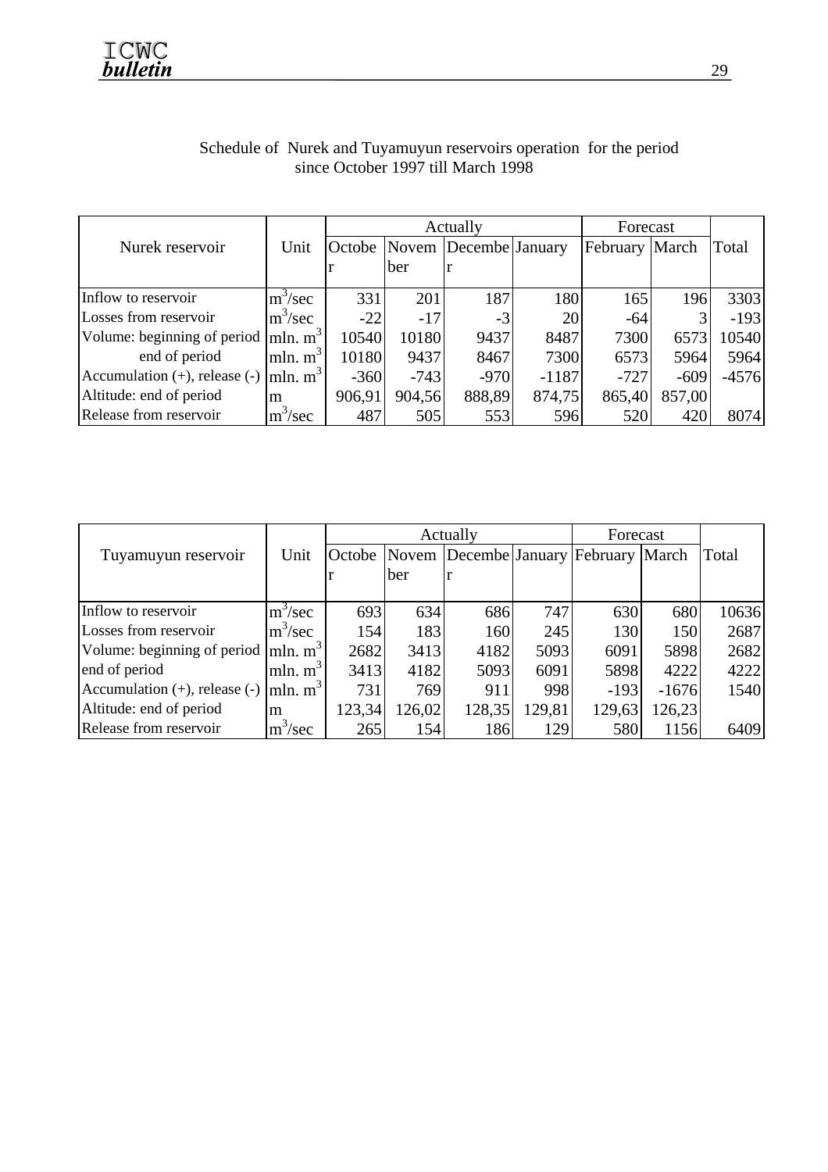|                                                           |                                  |        |        | Actually              |         | Forecast |        |         |
|-----------------------------------------------------------|----------------------------------|--------|--------|-----------------------|---------|----------|--------|---------|
| Nurek reservoir                                           | Unit                             | Octobe |        | Novem Decembe January |         | February | March  | Total   |
|                                                           |                                  |        | ber    |                       |         |          |        |         |
| Inflow to reservoir                                       | $m^3/sec$                        | 331    | 201    | 187                   | 180     | 165      | 196    | 3303    |
| Losses from reservoir                                     | $\rm{m}^3/\rm{sec}$              | $-22$  | $-17$  | $-3$                  | 20      | -64      |        | $-193$  |
| Volume: beginning of period $ mln. m^3 $                  |                                  | 10540  | 10180  | 9437                  | 8487    | 7300     | 6573   | 10540   |
| end of period                                             | $\left  \text{mln. m}^3 \right $ | 10180  | 9437   | 8467                  | 7300    | 6573     | 5964   | 5964    |
| Accumulation (+), release (-) $\vert$ mln. m <sup>3</sup> |                                  | $-360$ | $-743$ | $-970$                | $-1187$ | $-727$   | $-609$ | $-4576$ |
| Altitude: end of period                                   | m                                | 906,91 | 904,56 | 888,89                | 874,75  | 865,40   | 857,00 |         |
| Release from reservoir                                    | $m^3/sec$                        | 487    | 505    | 553                   | 596     | 520      | 420    | 8074    |

# Schedule of Nurek and Tuyamuyun reservoirs operation for the period since October 1997 till March 1998

|                                                        |                                    |        |        | Actually                                    |        | Forecast |         |       |
|--------------------------------------------------------|------------------------------------|--------|--------|---------------------------------------------|--------|----------|---------|-------|
| Tuyamuyun reservoir                                    | Unit                               |        |        | Octobe Novem Decembe January February March |        |          |         | Total |
|                                                        |                                    |        | ber    |                                             |        |          |         |       |
|                                                        |                                    |        |        |                                             |        |          |         |       |
| Inflow to reservoir                                    | $m^3$ /sec                         | 693    | 634    | 686                                         | 747    | 630      | 680     | 10636 |
| Losses from reservoir                                  | $\rm{m}^3/\rm{sec}$                | 154    | 183    | 160                                         | 245    | 130      | 150     | 2687  |
| Volume: beginning of period $ \text{mln}, \text{m}^3 $ |                                    | 2682   | 3413   | 4182                                        | 5093   | 6091     | 5898    | 2682  |
| end of period                                          | mln. $m^3$                         | 3413   | 4182   | 5093                                        | 6091   | 5898     | 4222    | 4222  |
| Accumulation $(+)$ , release $(-)$                     | $\left  \text{mln. m}^{3} \right $ | 731    | 769    | 911                                         | 998    | $-193$   | $-1676$ | 1540  |
| Altitude: end of period                                | m                                  | 123,34 | 126,02 | 128,35                                      | 129,81 | 129,63   | 126,23  |       |
| Release from reservoir                                 | $m^3/sec$                          | 265    | 154    | 186                                         | 129    | 580      | 1156    | 6409  |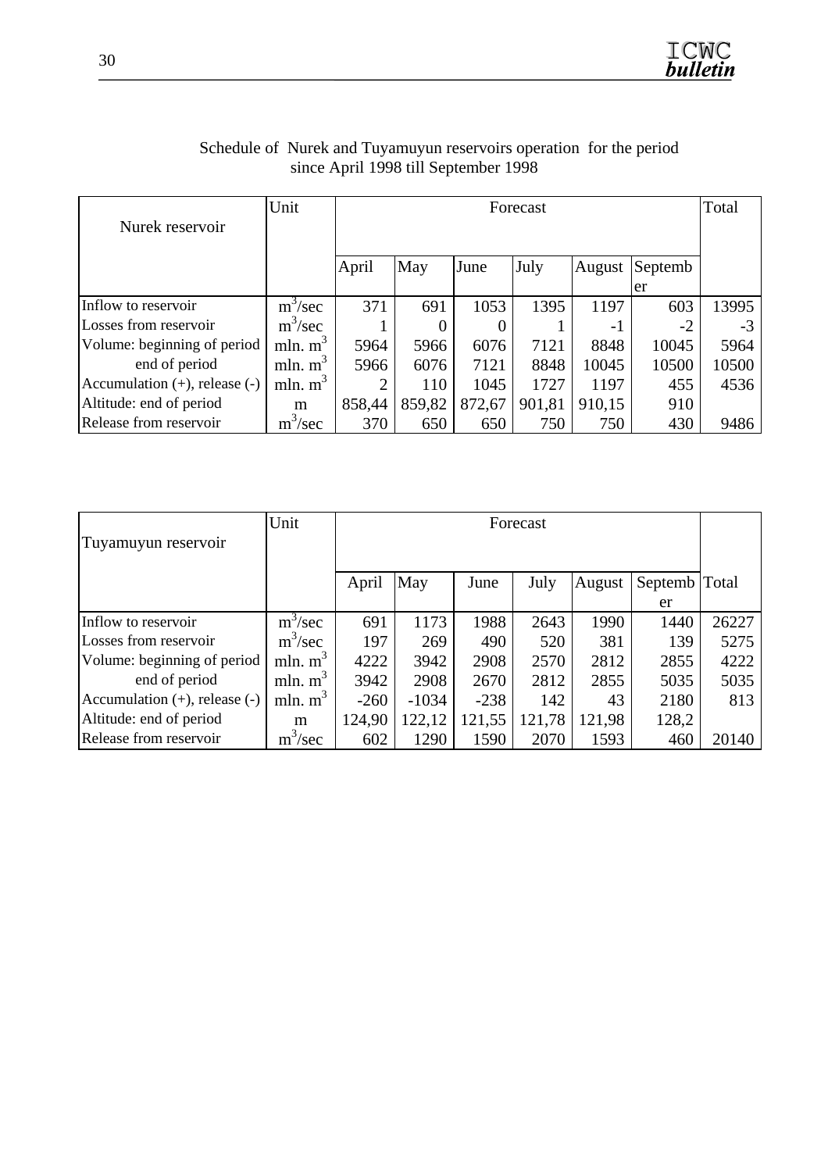|                                    | Unit       |        |        |        | Forecast |        |         | Total |
|------------------------------------|------------|--------|--------|--------|----------|--------|---------|-------|
| Nurek reservoir                    |            |        |        |        |          |        |         |       |
|                                    |            |        |        |        |          |        |         |       |
|                                    |            | April  | May    | June   | July     | August | Septemb |       |
|                                    |            |        |        |        |          |        | er      |       |
| Inflow to reservoir                | $m^3/sec$  | 371    | 691    | 1053   | 1395     | 1197   | 603     | 13995 |
| Losses from reservoir              | $m^3/sec$  |        |        | 0      |          | -1     | -2      | $-3$  |
| Volume: beginning of period        | mln. $m^3$ | 5964   | 5966   | 6076   | 7121     | 8848   | 10045   | 5964  |
| end of period                      | mln. $m3$  | 5966   | 6076   | 7121   | 8848     | 10045  | 10500   | 10500 |
| Accumulation $(+)$ , release $(-)$ | mln. $m3$  |        | 110    | 1045   | 1727     | 1197   | 455     | 4536  |
| Altitude: end of period            | m          | 858,44 | 859,82 | 872,67 | 901,81   | 910,15 | 910     |       |
| Release from reservoir             | $m^3/sec$  | 370    | 650    | 650    | 750      | 750    | 430     | 9486  |

# Schedule of Nurek and Tuyamuyun reservoirs operation for the period since April 1998 till September 1998

|                                    | Unit       |        |         |        | Forecast |        |               |       |
|------------------------------------|------------|--------|---------|--------|----------|--------|---------------|-------|
| Tuyamuyun reservoir                |            |        |         |        |          |        |               |       |
|                                    |            | April  | May     | June   | July     | August | Septemb Total |       |
|                                    |            |        |         |        |          |        | er            |       |
| Inflow to reservoir                | $m^3/sec$  | 691    | 1173    | 1988   | 2643     | 1990   | 1440          | 26227 |
| Losses from reservoir              | $m^3/sec$  | 197    | 269     | 490    | 520      | 381    | 139           | 5275  |
| Volume: beginning of period        | mln. $m3$  | 4222   | 3942    | 2908   | 2570     | 2812   | 2855          | 4222  |
| end of period                      | mln. $m^3$ | 3942   | 2908    | 2670   | 2812     | 2855   | 5035          | 5035  |
| Accumulation $(+)$ , release $(-)$ | mln. $m3$  | $-260$ | $-1034$ | $-238$ | 142      | 43     | 2180          | 813   |
| Altitude: end of period            | m          | 124,90 | 122,12  | 121,55 | 121,78   | 121,98 | 128,2         |       |
| Release from reservoir             | $m^3/sec$  | 602    | 1290    | 1590   | 2070     | 1593   | 460           | 20140 |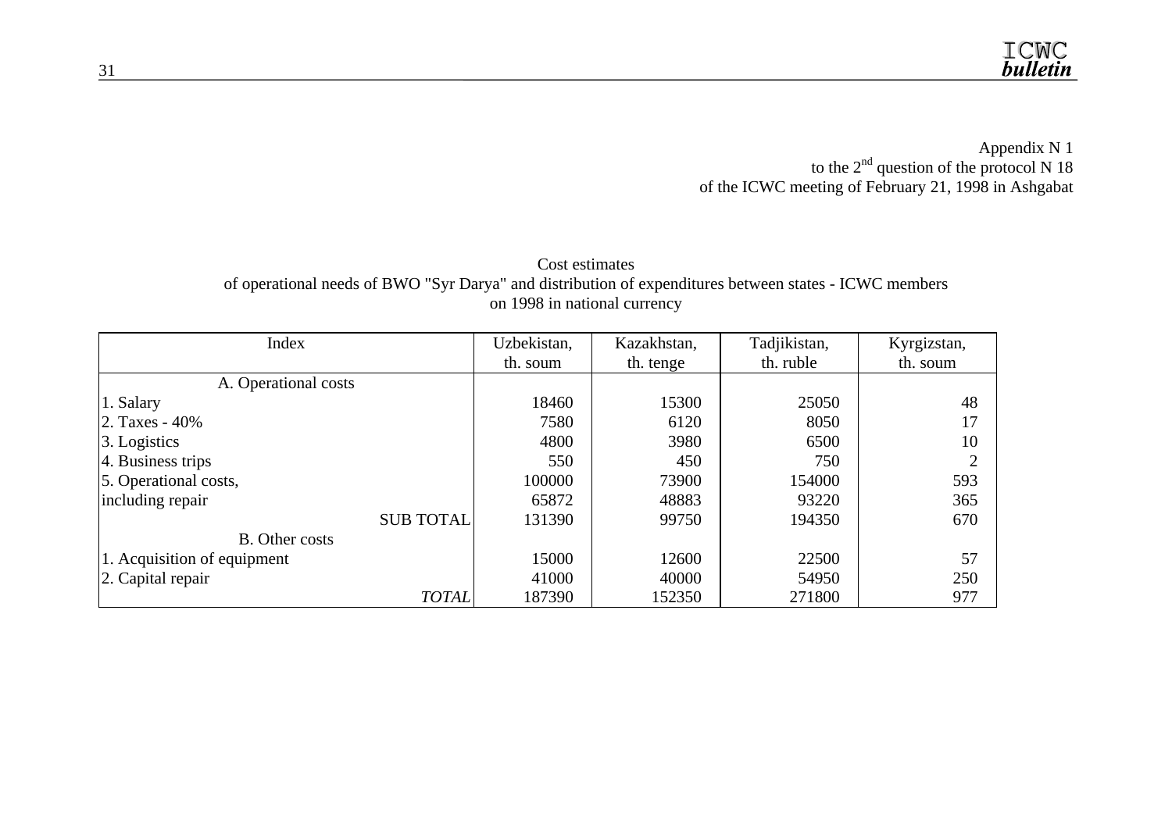Appendix N 1 to the  $2<sup>nd</sup>$  question of the protocol N 18 of the ICWC meeting of February 21, 1998 in Ashgabat

#### Cost estimates of operational needs of BWO "Syr Darya" and distribution of expenditures between states - ICWC members on 1998 in national currency

| Index                       | Uzbekistan, | Kazakhstan, | Tadjikistan, | Kyrgizstan, |
|-----------------------------|-------------|-------------|--------------|-------------|
|                             | th. soum    | th. tenge   | th. ruble    | th. soum    |
| A. Operational costs        |             |             |              |             |
| 1. Salary                   | 18460       | 15300       | 25050        | 48          |
| 2. Taxes - $40\%$           | 7580        | 6120        | 8050         | 17          |
| $\beta$ . Logistics         | 4800        | 3980        | 6500         | 10          |
| 4. Business trips           | 550         | 450         | 750          |             |
| 5. Operational costs,       | 100000      | 73900       | 154000       | 593         |
| including repair            | 65872       | 48883       | 93220        | 365         |
| <b>SUB TOTAL</b>            | 131390      | 99750       | 194350       | 670         |
| <b>B.</b> Other costs       |             |             |              |             |
| 1. Acquisition of equipment | 15000       | 12600       | 22500        | 57          |
| 2. Capital repair           | 41000       | 40000       | 54950        | 250         |
| <b>TOTAL</b>                | 187390      | 152350      | 271800       | 977         |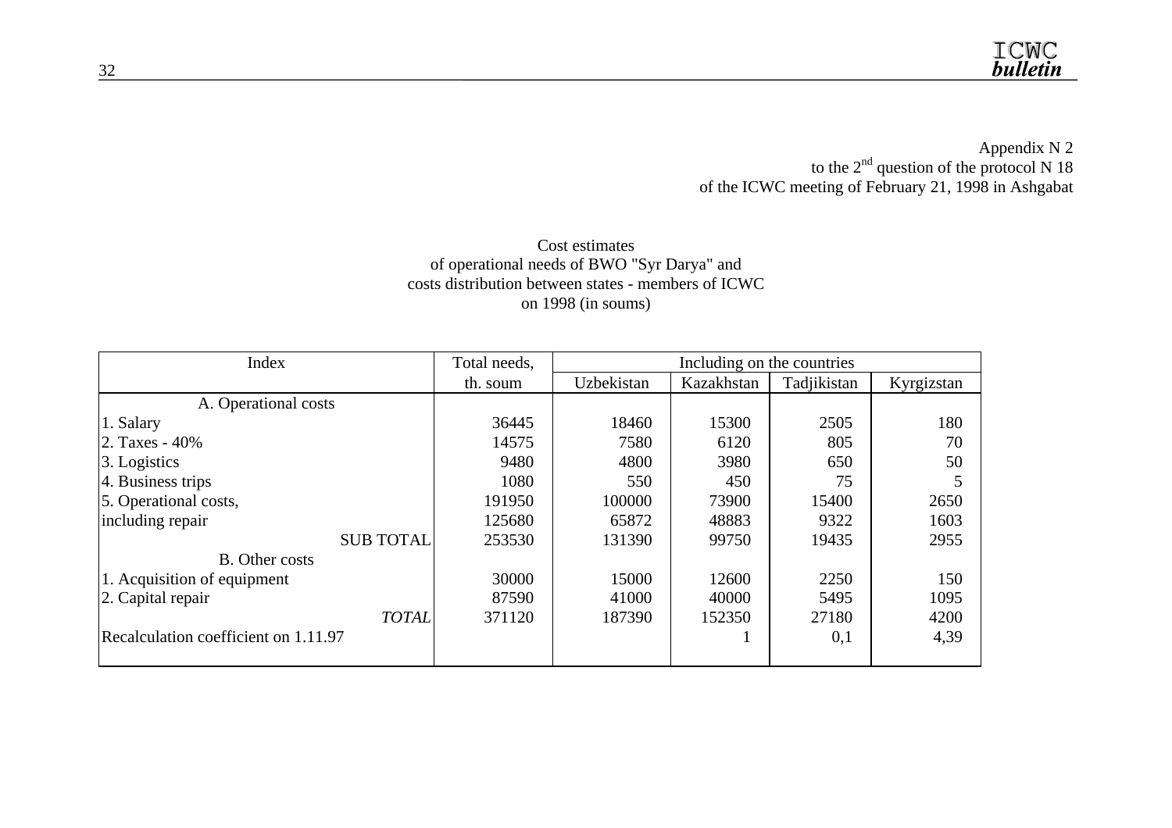Appendix N 2 to the  $2<sup>nd</sup>$  question of the protocol N 18 of the ICWC meeting of February 21, 1998 in Ashgabat

#### Cost estimates of operational needs of BWO "Syr Darya" and costs distribution between states - members of ICWC on 1998 (in soums)

| Index                                | Total needs, |            | Including on the countries |             |            |
|--------------------------------------|--------------|------------|----------------------------|-------------|------------|
|                                      | th. soum     | Uzbekistan | Kazakhstan                 | Tadjikistan | Kyrgizstan |
| A. Operational costs                 |              |            |                            |             |            |
| 1. Salary                            | 36445        | 18460      | 15300                      | 2505        | 180        |
| 2. Taxes - 40%                       | 14575        | 7580       | 6120                       | 805         | 70         |
| 3. Logistics                         | 9480         | 4800       | 3980                       | 650         | 50         |
| 4. Business trips                    | 1080         | 550        | 450                        | 75          |            |
| 5. Operational costs,                | 191950       | 100000     | 73900                      | 15400       | 2650       |
| including repair                     | 125680       | 65872      | 48883                      | 9322        | 1603       |
| <b>SUB TOTAL</b>                     | 253530       | 131390     | 99750                      | 19435       | 2955       |
| <b>B.</b> Other costs                |              |            |                            |             |            |
| 1. Acquisition of equipment          | 30000        | 15000      | 12600                      | 2250        | 150        |
| 2. Capital repair                    | 87590        | 41000      | 40000                      | 5495        | 1095       |
| <b>TOTAL</b>                         | 371120       | 187390     | 152350                     | 27180       | 4200       |
| Recalculation coefficient on 1.11.97 |              |            |                            | 0,1         | 4,39       |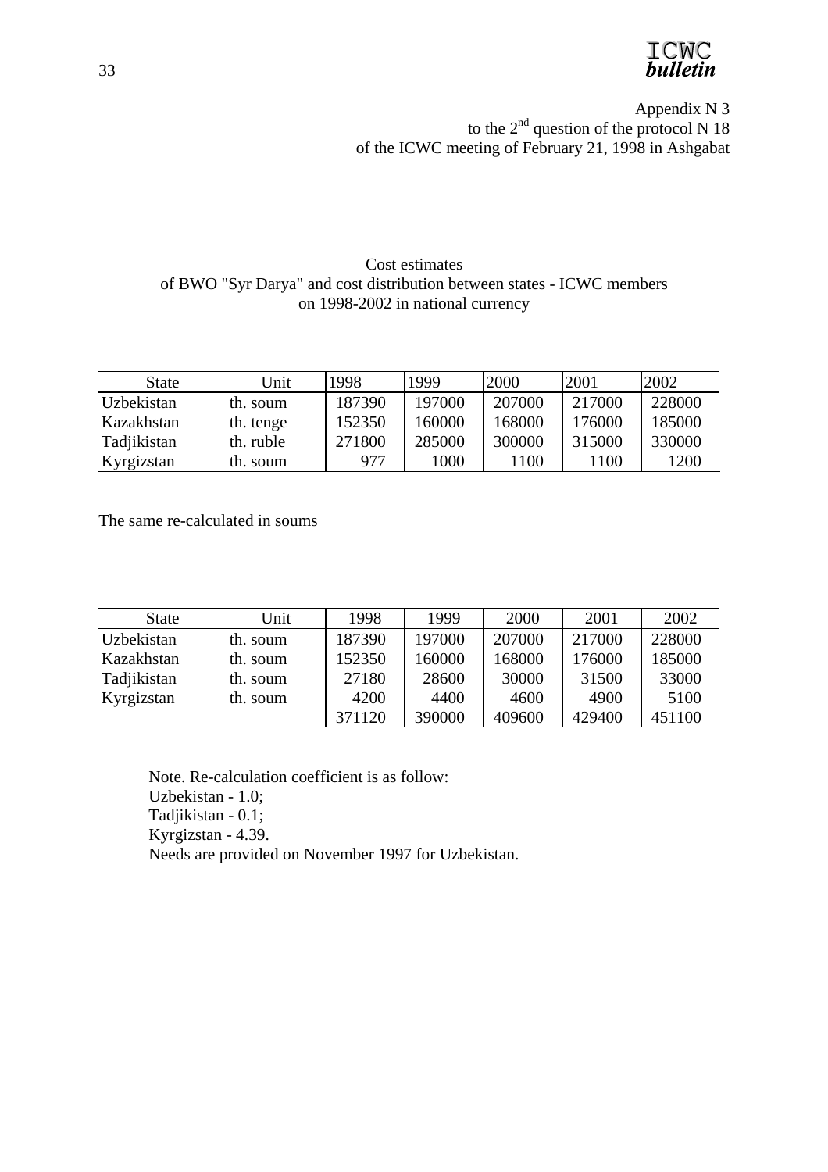TCMC **bulletin** 

Appendix N 3 to the  $2<sup>nd</sup>$  question of the protocol N 18 of the ICWC meeting of February 21, 1998 in Ashgabat

#### Cost estimates of BWO "Syr Darya" and cost distribution between states - ICWC members on 1998-2002 in national currency

| <b>State</b> | Unit      | 1998   | 1999   | 2000   | 2001   | 2002   |
|--------------|-----------|--------|--------|--------|--------|--------|
| Uzbekistan   | th. soum  | 187390 | 197000 | 207000 | 217000 | 228000 |
| Kazakhstan   | th. tenge | 152350 | 160000 | 168000 | 176000 | 185000 |
| Tadjikistan  | th. ruble | 271800 | 285000 | 300000 | 315000 | 330000 |
| Kyrgizstan   | th. soum  | 977    | 1000   | 1100   | 1100   | 1200   |

The same re-calculated in soums

| <b>State</b> | Unit     | 1998   | 1999   | 2000   | 2001   | 2002   |
|--------------|----------|--------|--------|--------|--------|--------|
| Uzbekistan   | th. soum | 187390 | 197000 | 207000 | 217000 | 228000 |
| Kazakhstan   | th. soum | 152350 | 160000 | 168000 | 176000 | 185000 |
| Tadjikistan  | th. soum | 27180  | 28600  | 30000  | 31500  | 33000  |
| Kyrgizstan   | th. soum | 4200   | 4400   | 4600   | 4900   | 5100   |
|              |          | 371120 | 390000 | 409600 | 429400 | 451100 |

Note. Re-calculation coefficient is as follow: Uzbekistan - 1.0; Tadjikistan - 0.1; Kyrgizstan - 4.39. Needs are provided on November 1997 for Uzbekistan.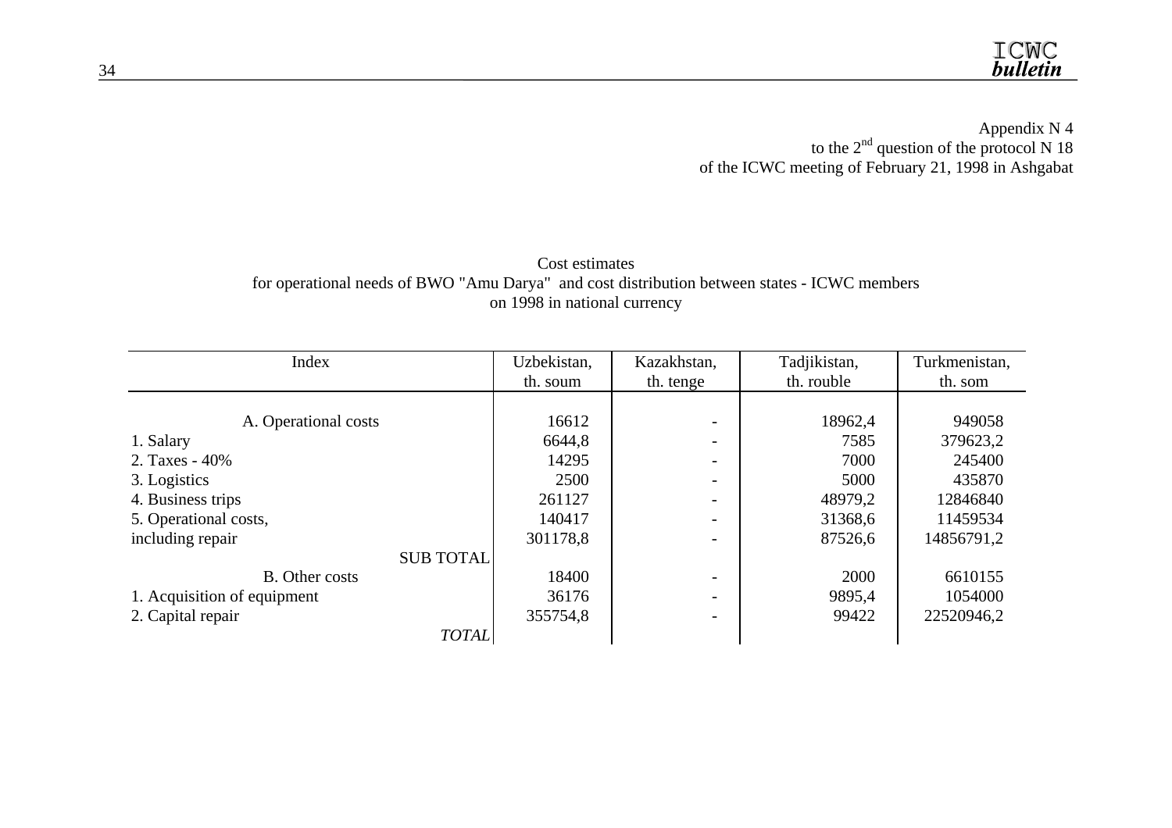Appendix N 4 to the  $2<sup>nd</sup>$  question of the protocol N 18 of the ICWC meeting of February 21, 1998 in Ashgabat

# Cost estimates for operational needs of BWO "Amu Darya" and cost distribution between states - ICWC members on 1998 in national currency

| Index                       | Uzbekistan, | Kazakhstan, | Tadjikistan, | Turkmenistan, |
|-----------------------------|-------------|-------------|--------------|---------------|
|                             | th. soum    | th. tenge   | th. rouble   | th. som       |
|                             |             |             |              |               |
| A. Operational costs        | 16612       |             | 18962,4      | 949058        |
| 1. Salary                   | 6644,8      |             | 7585         | 379623,2      |
| 2. Taxes - 40%              | 14295       |             | 7000         | 245400        |
| 3. Logistics                | 2500        |             | 5000         | 435870        |
| 4. Business trips           | 261127      |             | 48979,2      | 12846840      |
| 5. Operational costs,       | 140417      |             | 31368,6      | 11459534      |
| including repair            | 301178,8    |             | 87526,6      | 14856791,2    |
| <b>SUB TOTAL</b>            |             |             |              |               |
| <b>B.</b> Other costs       | 18400       |             | 2000         | 6610155       |
| 1. Acquisition of equipment | 36176       |             | 9895,4       | 1054000       |
| 2. Capital repair           | 355754,8    |             | 99422        | 22520946,2    |
| <b>TOTAL</b>                |             |             |              |               |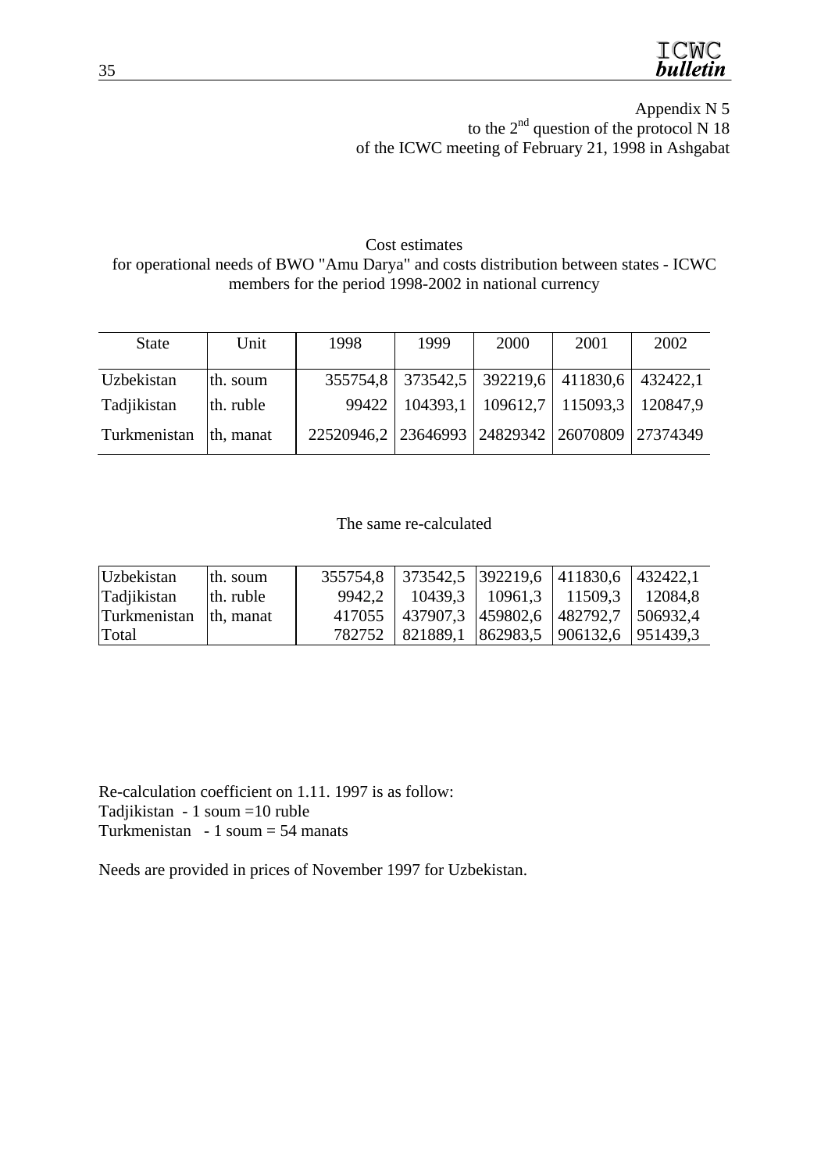

Appendix N 5 to the  $2<sup>nd</sup>$  question of the protocol N 18 of the ICWC meeting of February 21, 1998 in Ashgabat

Cost estimates for operational needs of BWO "Amu Darya" and costs distribution between states - ICWC members for the period 1998-2002 in national currency

| <b>State</b> | Unit      | 1998                                           | 1999     | 2000                                      | 2001                       | 2002 |
|--------------|-----------|------------------------------------------------|----------|-------------------------------------------|----------------------------|------|
| Uzbekistan   | th. soum  | 355754,8                                       | 373542,5 |                                           | 392219,6 411830,6 432422,1 |      |
| Tadjikistan  | th. ruble | 99422                                          |          | 104393,1   109612,7   115093,3   120847,9 |                            |      |
| Turkmenistan | th, manat | 22520946,2 23646993 24829342 26070809 27374349 |          |                                           |                            |      |

#### The same re-calculated

| <b>Uzbekistan</b> | th. soum  |          | 355754,8 373542,5 392219,6 411830,6 432422,1       |                                               |  |
|-------------------|-----------|----------|----------------------------------------------------|-----------------------------------------------|--|
| Tadjikistan       | th. ruble | $9942.2$ |                                                    | $10439.3$   $10961.3$   $11509.3$   $12084.8$ |  |
| Turkmenistan      | th. manat | 417055   | $\vert$ 437907,3   459802,6   482792,7   506932,4  |                                               |  |
| Total             |           | 782752   | $ 821889,1 \t  862983,5 \t  906132,6 \t  951439,3$ |                                               |  |

Re-calculation coefficient on 1.11. 1997 is as follow: Tadjikistan - 1 soum =10 ruble Turkmenistan - 1 soum = 54 manats

Needs are provided in prices of November 1997 for Uzbekistan.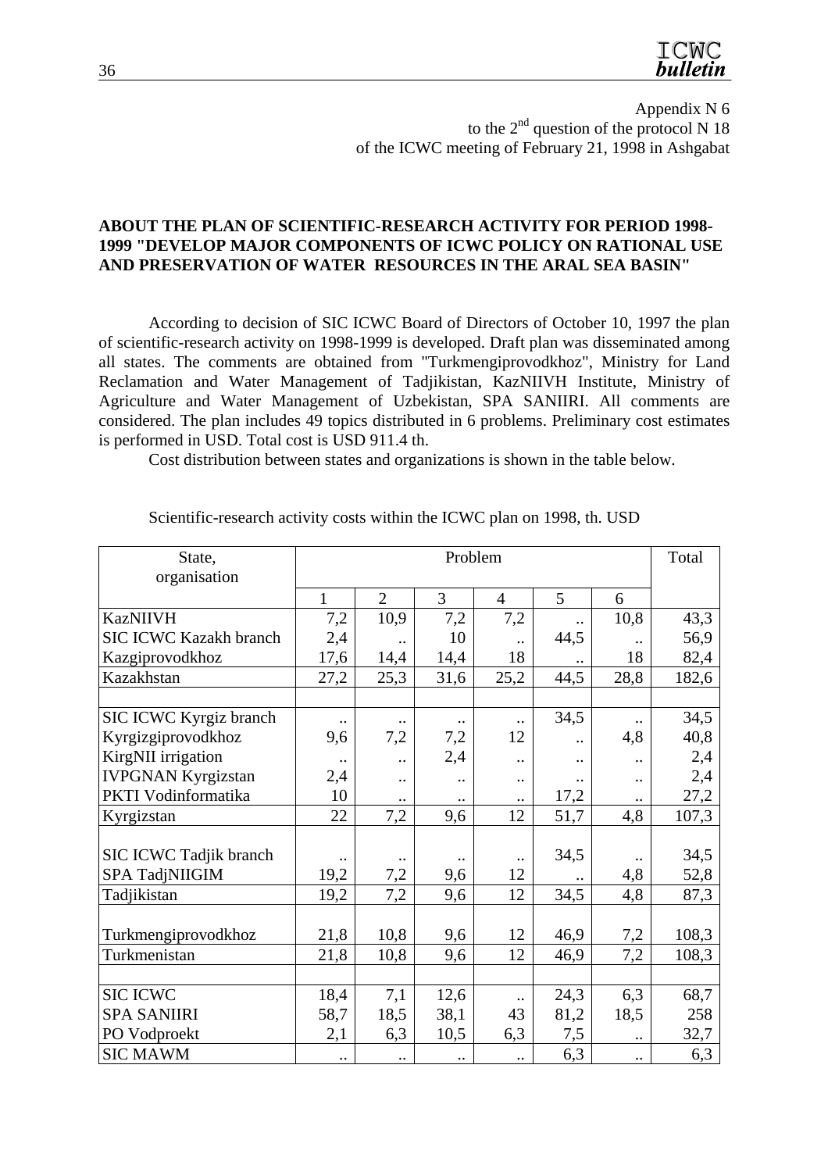

Appendix N 6 to the  $2<sup>nd</sup>$  question of the protocol N 18 of the ICWC meeting of February 21, 1998 in Ashgabat

#### **ABOUT THE PLAN OF SCIENTIFIC-RESEARCH ACTIVITY FOR PERIOD 1998- 1999 "DEVELOP MAJOR COMPONENTS OF ICWC POLICY ON RATIONAL USE AND PRESERVATION OF WATER RESOURCES IN THE ARAL SEA BASIN"**

According to decision of SIC ICWC Board of Directors of October 10, 1997 the plan of scientific-research activity on 1998-1999 is developed. Draft plan was disseminated among all states. The comments are obtained from "Turkmengiprovodkhoz", Ministry for Land Reclamation and Water Management of Tadjikistan, KazNIIVH Institute, Ministry of Agriculture and Water Management of Uzbekistan, SPA SANIIRI. All comments are considered. The plan includes 49 topics distributed in 6 problems. Preliminary cost estimates is performed in USD. Total cost is USD 911.4 th.

Cost distribution between states and organizations is shown in the table below.

| State,<br>organisation        | Problem      |                      |                      |                      |                      | Total                |       |
|-------------------------------|--------------|----------------------|----------------------|----------------------|----------------------|----------------------|-------|
|                               | $\mathbf{1}$ | $\overline{2}$       | 3                    | $\overline{4}$       | 5                    | 6                    |       |
| <b>KazNIIVH</b>               | 7,2          | 10,9                 | 7,2                  | 7,2                  |                      | 10,8                 | 43,3  |
| <b>SIC ICWC Kazakh branch</b> | 2,4          | $\cdot$ .            | 10                   | $\ddotsc$            | 44,5                 |                      | 56,9  |
| Kazgiprovodkhoz               | 17,6         | 14,4                 | 14,4                 | 18                   |                      | 18                   | 82,4  |
| Kazakhstan                    | 27,2         | 25,3                 | 31,6                 | 25,2                 | 44,5                 | 28,8                 | 182,6 |
|                               |              |                      |                      |                      |                      |                      |       |
| SIC ICWC Kyrgiz branch        |              |                      |                      |                      | 34,5                 |                      | 34,5  |
| Kyrgizgiprovodkhoz            | 9,6          | 7,2                  | 7,2                  | 12                   |                      | 4,8                  | 40,8  |
| KirgNII irrigation            | $\ddotsc$    | $\ddot{\phantom{0}}$ | 2,4                  | $\ddot{\phantom{0}}$ | $\ddot{\phantom{0}}$ |                      | 2,4   |
| <b>IVPGNAN Kyrgizstan</b>     | 2,4          | $\ddotsc$            | $\ddot{\phantom{0}}$ | $\ddotsc$            |                      | $\ddot{\phantom{0}}$ | 2,4   |
| PKTI Vodinformatika           | 10           | $\bullet$ .          |                      |                      | 17,2                 |                      | 27,2  |
| Kyrgizstan                    | 22           | 7,2                  | 9,6                  | 12                   | 51,7                 | 4,8                  | 107,3 |
|                               |              |                      |                      |                      |                      |                      |       |
| SIC ICWC Tadjik branch        |              | $\cdot$ .            |                      | $\ddotsc$            | 34,5                 |                      | 34,5  |
| SPA TadjNIIGIM                | 19,2         | 7,2                  | 9,6                  | 12                   |                      | 4,8                  | 52,8  |
| Tadjikistan                   | 19,2         | 7,2                  | 9,6                  | 12                   | 34,5                 | 4,8                  | 87,3  |
|                               |              |                      |                      |                      |                      |                      |       |
| Turkmengiprovodkhoz           | 21,8         | 10,8                 | 9,6                  | 12                   | 46,9                 | 7,2                  | 108,3 |
| Turkmenistan                  | 21,8         | 10,8                 | 9,6                  | 12                   | 46,9                 | 7,2                  | 108,3 |
|                               |              |                      |                      |                      |                      |                      |       |
| <b>SIC ICWC</b>               | 18,4         | 7,1                  | 12,6                 | $\ddotsc$            | 24,3                 | 6,3                  | 68,7  |
| <b>SPA SANIIRI</b>            | 58,7         | 18,5                 | 38,1                 | 43                   | 81,2                 | 18,5                 | 258   |
| PO Vodproekt                  | 2,1          | 6,3                  | 10,5                 | 6,3                  | 7,5                  | $\ddot{\phantom{0}}$ | 32,7  |
| <b>SIC MAWM</b>               | $\cdot$ .    | $\bullet$ .          | $\cdot\cdot$         | $\cdot$ .            | 6,3                  | $\cdot$ .            | 6,3   |

Scientific-research activity costs within the ICWC plan on 1998, th. USD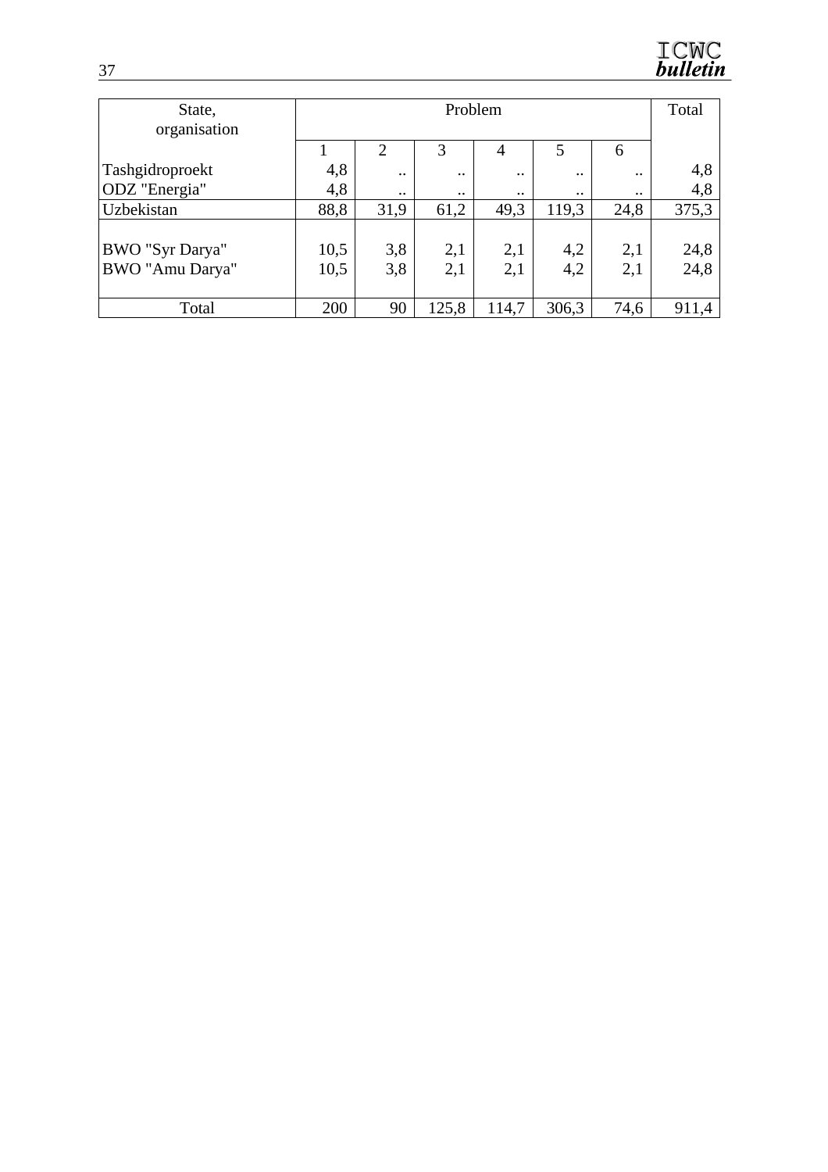

| State,<br>organisation             | Problem      |                |                      |                      |                      | Total      |              |
|------------------------------------|--------------|----------------|----------------------|----------------------|----------------------|------------|--------------|
|                                    |              | $\overline{2}$ | 3                    | $\overline{4}$       | 5                    | 6          |              |
| Tashgidroproekt                    | 4,8          | $\ddotsc$      | $\ddot{\phantom{0}}$ | $\ddot{\phantom{0}}$ | $\ddotsc$            | $\cdot$ .  | 4,8          |
| ODZ "Energia"                      | 4,8          | $\ddotsc$      | $\ddot{\phantom{0}}$ | $\cdot \cdot$        | $\ddot{\phantom{0}}$ |            | 4,8          |
| Uzbekistan                         | 88,8         | 31,9           | 61,2                 | 49,3                 | 119,3                | 24,8       | 375,3        |
| BWO "Syr Darya"<br>BWO "Amu Darya" | 10,5<br>10,5 | 3,8<br>3,8     | 2,1<br>2,1           | 2,1<br>2,1           | 4,2<br>4,2           | 2,1<br>2,1 | 24,8<br>24,8 |
|                                    |              |                |                      |                      |                      |            |              |
| Total                              | 200          | 90             | 125,8                | 114,7                | 306,3                | 74,6       | 911,4        |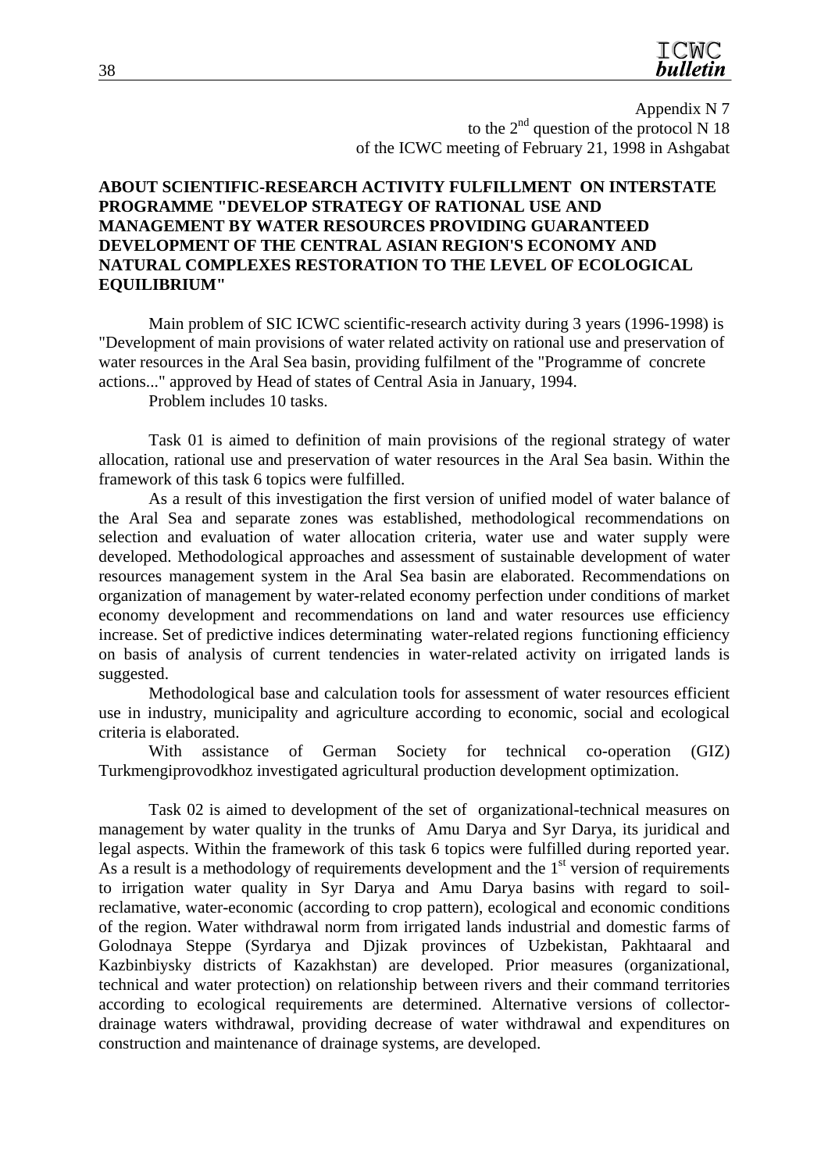

Appendix N 7 to the  $2<sup>nd</sup>$  question of the protocol N 18 of the ICWC meeting of February 21, 1998 in Ashgabat

#### **ABOUT SCIENTIFIC-RESEARCH ACTIVITY FULFILLMENT ON INTERSTATE PROGRAMME "DEVELOP STRATEGY OF RATIONAL USE AND MANAGEMENT BY WATER RESOURCES PROVIDING GUARANTEED DEVELOPMENT OF THE CENTRAL ASIAN REGION'S ECONOMY AND NATURAL COMPLEXES RESTORATION TO THE LEVEL OF ECOLOGICAL EQUILIBRIUM"**

Main problem of SIC ICWC scientific-research activity during 3 years (1996-1998) is "Development of main provisions of water related activity on rational use and preservation of water resources in the Aral Sea basin, providing fulfilment of the "Programme of concrete actions..." approved by Head of states of Central Asia in January, 1994.

Problem includes 10 tasks.

Task 01 is aimed to definition of main provisions of the regional strategy of water allocation, rational use and preservation of water resources in the Aral Sea basin. Within the framework of this task 6 topics were fulfilled.

As a result of this investigation the first version of unified model of water balance of the Aral Sea and separate zones was established, methodological recommendations on selection and evaluation of water allocation criteria, water use and water supply were developed. Methodological approaches and assessment of sustainable development of water resources management system in the Aral Sea basin are elaborated. Recommendations on organization of management by water-related economy perfection under conditions of market economy development and recommendations on land and water resources use efficiency increase. Set of predictive indices determinating water-related regions functioning efficiency on basis of analysis of current tendencies in water-related activity on irrigated lands is suggested.

Methodological base and calculation tools for assessment of water resources efficient use in industry, municipality and agriculture according to economic, social and ecological criteria is elaborated.

With assistance of German Society for technical co-operation (GIZ) Turkmengiprovodkhoz investigated agricultural production development optimization.

Task 02 is aimed to development of the set of organizational-technical measures on management by water quality in the trunks of Amu Darya and Syr Darya, its juridical and legal aspects. Within the framework of this task 6 topics were fulfilled during reported year. As a result is a methodology of requirements development and the  $1<sup>st</sup>$  version of requirements to irrigation water quality in Syr Darya and Amu Darya basins with regard to soilreclamative, water-economic (according to crop pattern), ecological and economic conditions of the region. Water withdrawal norm from irrigated lands industrial and domestic farms of Golodnaya Steppe (Syrdarya and Djizak provinces of Uzbekistan, Pakhtaaral and Kazbinbiysky districts of Kazakhstan) are developed. Prior measures (organizational, technical and water protection) on relationship between rivers and their command territories according to ecological requirements are determined. Alternative versions of collectordrainage waters withdrawal, providing decrease of water withdrawal and expenditures on construction and maintenance of drainage systems, are developed.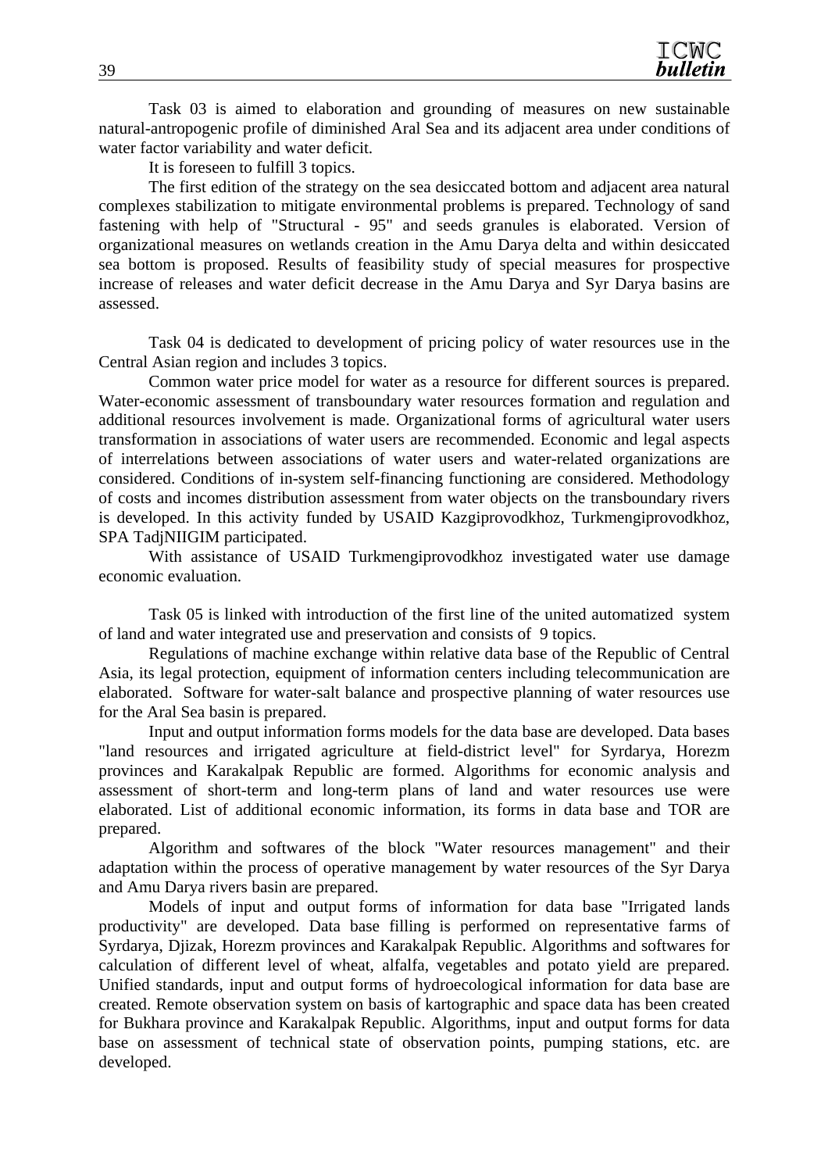Task 03 is aimed to elaboration and grounding of measures on new sustainable natural-antropogenic profile of diminished Aral Sea and its adjacent area under conditions of water factor variability and water deficit.

It is foreseen to fulfill 3 topics.

The first edition of the strategy on the sea desiccated bottom and adjacent area natural complexes stabilization to mitigate environmental problems is prepared. Technology of sand fastening with help of "Structural - 95" and seeds granules is elaborated. Version of organizational measures on wetlands creation in the Amu Darya delta and within desiccated sea bottom is proposed. Results of feasibility study of special measures for prospective increase of releases and water deficit decrease in the Amu Darya and Syr Darya basins are assessed.

Task 04 is dedicated to development of pricing policy of water resources use in the Central Asian region and includes 3 topics.

Common water price model for water as a resource for different sources is prepared. Water-economic assessment of transboundary water resources formation and regulation and additional resources involvement is made. Organizational forms of agricultural water users transformation in associations of water users are recommended. Economic and legal aspects of interrelations between associations of water users and water-related organizations are considered. Conditions of in-system self-financing functioning are considered. Methodology of costs and incomes distribution assessment from water objects on the transboundary rivers is developed. In this activity funded by USAID Kazgiprovodkhoz, Turkmengiprovodkhoz, SPA TadjNIIGIM participated.

With assistance of USAID Turkmengiprovodkhoz investigated water use damage economic evaluation.

Task 05 is linked with introduction of the first line of the united automatized system of land and water integrated use and preservation and consists of 9 topics.

Regulations of machine exchange within relative data base of the Republic of Central Asia, its legal protection, equipment of information centers including telecommunication are elaborated. Software for water-salt balance and prospective planning of water resources use for the Aral Sea basin is prepared.

Input and output information forms models for the data base are developed. Data bases "land resources and irrigated agriculture at field-district level" for Syrdarya, Horezm provinces and Karakalpak Republic are formed. Algorithms for economic analysis and assessment of short-term and long-term plans of land and water resources use were elaborated. List of additional economic information, its forms in data base and TOR are prepared.

Algorithm and softwares of the block "Water resources management" and their adaptation within the process of operative management by water resources of the Syr Darya and Amu Darya rivers basin are prepared.

Models of input and output forms of information for data base "Irrigated lands productivity" are developed. Data base filling is performed on representative farms of Syrdarya, Djizak, Horezm provinces and Karakalpak Republic. Algorithms and softwares for calculation of different level of wheat, alfalfa, vegetables and potato yield are prepared. Unified standards, input and output forms of hydroecological information for data base are created. Remote observation system on basis of kartographic and space data has been created for Bukhara province and Karakalpak Republic. Algorithms, input and output forms for data base on assessment of technical state of observation points, pumping stations, etc. are developed.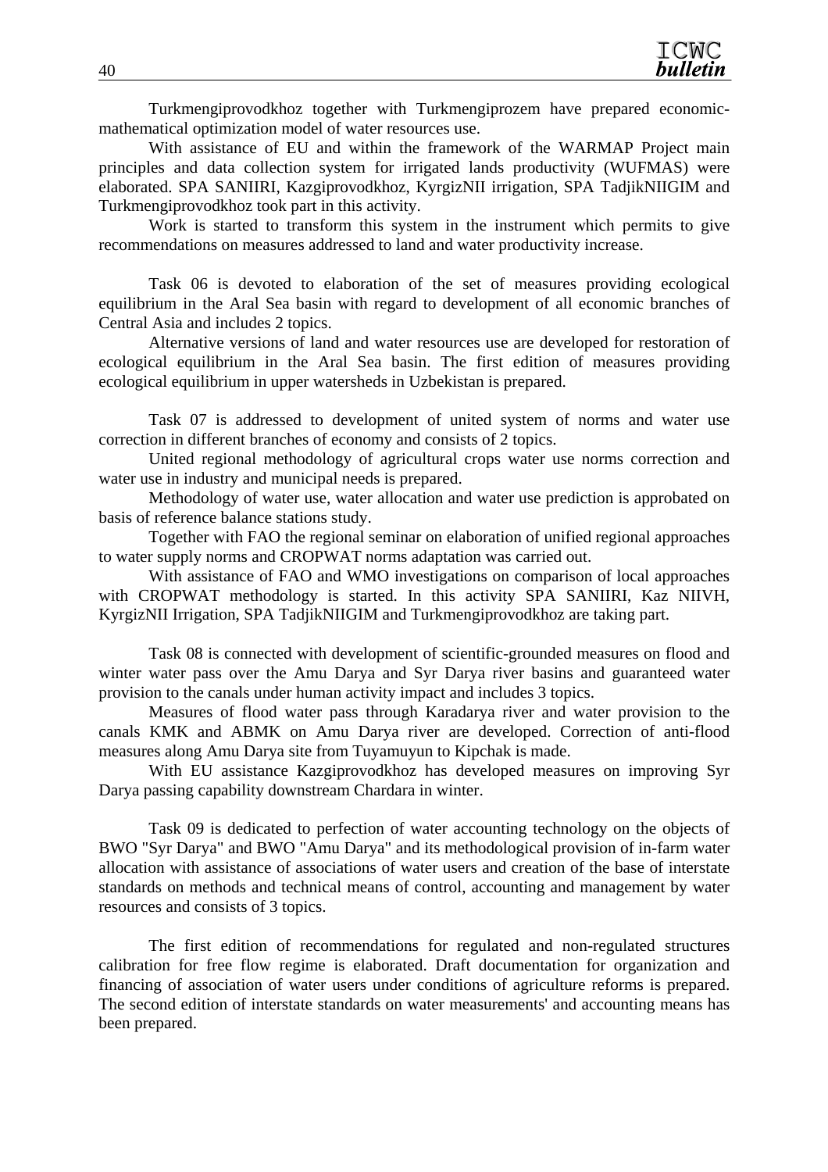Turkmengiprovodkhoz together with Turkmengiprozem have prepared economicmathematical optimization model of water resources use.

With assistance of EU and within the framework of the WARMAP Project main principles and data collection system for irrigated lands productivity (WUFMAS) were elaborated. SPA SANIIRI, Kazgiprovodkhoz, KyrgizNII irrigation, SPA TadjikNIIGIM and Turkmengiprovodkhoz took part in this activity.

Work is started to transform this system in the instrument which permits to give recommendations on measures addressed to land and water productivity increase.

Task 06 is devoted to elaboration of the set of measures providing ecological equilibrium in the Aral Sea basin with regard to development of all economic branches of Central Asia and includes 2 topics.

Alternative versions of land and water resources use are developed for restoration of ecological equilibrium in the Aral Sea basin. The first edition of measures providing ecological equilibrium in upper watersheds in Uzbekistan is prepared.

Task 07 is addressed to development of united system of norms and water use correction in different branches of economy and consists of 2 topics.

United regional methodology of agricultural crops water use norms correction and water use in industry and municipal needs is prepared.

Methodology of water use, water allocation and water use prediction is approbated on basis of reference balance stations study.

Together with FAO the regional seminar on elaboration of unified regional approaches to water supply norms and CROPWAT norms adaptation was carried out.

With assistance of FAO and WMO investigations on comparison of local approaches with CROPWAT methodology is started. In this activity SPA SANIIRI, Kaz NIIVH, KyrgizNII Irrigation, SPA TadjikNIIGIM and Turkmengiprovodkhoz are taking part.

Task 08 is connected with development of scientific-grounded measures on flood and winter water pass over the Amu Darya and Syr Darya river basins and guaranteed water provision to the canals under human activity impact and includes 3 topics.

Measures of flood water pass through Karadarya river and water provision to the canals KMK and ABMK on Amu Darya river are developed. Correction of anti-flood measures along Amu Darya site from Tuyamuyun to Kipchak is made.

With EU assistance Kazgiprovodkhoz has developed measures on improving Syr Darya passing capability downstream Chardara in winter.

Task 09 is dedicated to perfection of water accounting technology on the objects of BWO "Syr Darya" and BWO "Amu Darya" and its methodological provision of in-farm water allocation with assistance of associations of water users and creation of the base of interstate standards on methods and technical means of control, accounting and management by water resources and consists of 3 topics.

The first edition of recommendations for regulated and non-regulated structures calibration for free flow regime is elaborated. Draft documentation for organization and financing of association of water users under conditions of agriculture reforms is prepared. The second edition of interstate standards on water measurements' and accounting means has been prepared.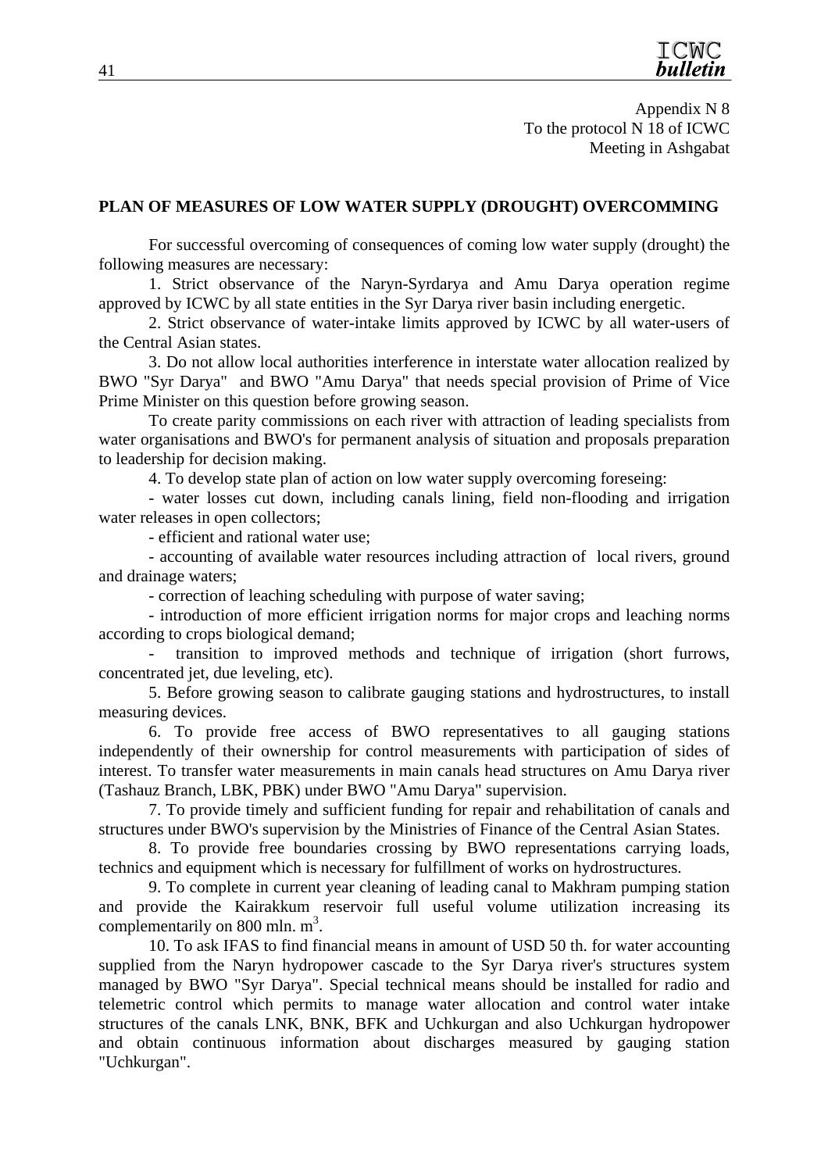# **PLAN OF MEASURES OF LOW WATER SUPPLY (DROUGHT) OVERCOMMING**

For successful overcoming of consequences of coming low water supply (drought) the following measures are necessary:

1. Strict observance of the Naryn-Syrdarya and Amu Darya operation regime approved by ICWC by all state entities in the Syr Darya river basin including energetic.

2. Strict observance of water-intake limits approved by ICWC by all water-users of the Central Asian states.

3. Do not allow local authorities interference in interstate water allocation realized by BWO "Syr Darya" and BWO "Amu Darya" that needs special provision of Prime of Vice Prime Minister on this question before growing season.

To create parity commissions on each river with attraction of leading specialists from water organisations and BWO's for permanent analysis of situation and proposals preparation to leadership for decision making.

4. To develop state plan of action on low water supply overcoming foreseing:

- water losses cut down, including canals lining, field non-flooding and irrigation water releases in open collectors;

- efficient and rational water use;

- accounting of available water resources including attraction of local rivers, ground and drainage waters;

- correction of leaching scheduling with purpose of water saving;

- introduction of more efficient irrigation norms for major crops and leaching norms according to crops biological demand;

transition to improved methods and technique of irrigation (short furrows, concentrated jet, due leveling, etc).

5. Before growing season to calibrate gauging stations and hydrostructures, to install measuring devices.

6. To provide free access of BWO representatives to all gauging stations independently of their ownership for control measurements with participation of sides of interest. To transfer water measurements in main canals head structures on Amu Darya river (Tashauz Branch, LBK, PBK) under BWO "Amu Darya" supervision.

7. To provide timely and sufficient funding for repair and rehabilitation of canals and structures under BWO's supervision by the Ministries of Finance of the Central Asian States.

8. To provide free boundaries crossing by BWO representations carrying loads, technics and equipment which is necessary for fulfillment of works on hydrostructures.

9. To complete in current year cleaning of leading canal to Makhram pumping station and provide the Kairakkum reservoir full useful volume utilization increasing its complementarily on 800 mln.  $m<sup>3</sup>$ .

10. To ask IFAS to find financial means in amount of USD 50 th. for water accounting supplied from the Naryn hydropower cascade to the Syr Darya river's structures system managed by BWO "Syr Darya". Special technical means should be installed for radio and telemetric control which permits to manage water allocation and control water intake structures of the canals LNK, BNK, BFK and Uchkurgan and also Uchkurgan hydropower and obtain continuous information about discharges measured by gauging station "Uchkurgan".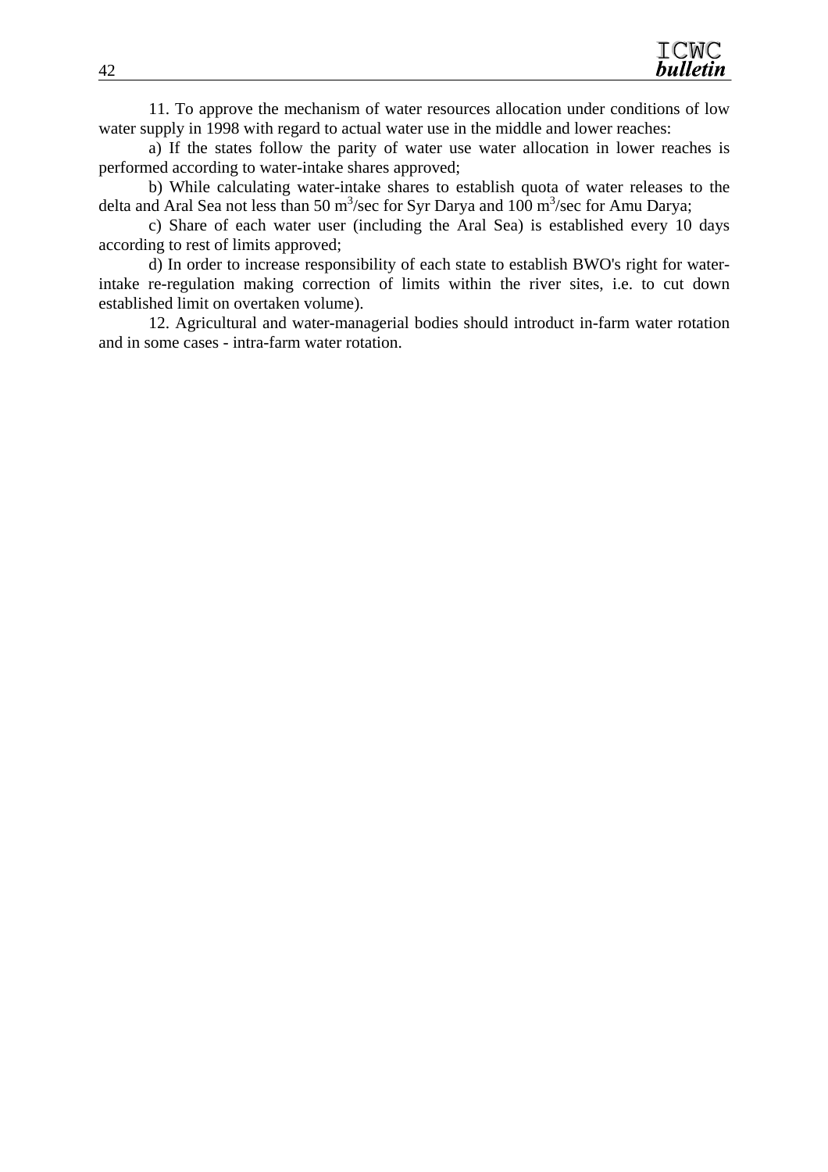11. To approve the mechanism of water resources allocation under conditions of low water supply in 1998 with regard to actual water use in the middle and lower reaches:

a) If the states follow the parity of water use water allocation in lower reaches is performed according to water-intake shares approved;

b) While calculating water-intake shares to establish quota of water releases to the delta and Aral Sea not less than 50 m<sup>3</sup>/sec for Syr Darya and 100 m<sup>3</sup>/sec for Amu Darya;

c) Share of each water user (including the Aral Sea) is established every 10 days according to rest of limits approved;

d) In order to increase responsibility of each state to establish BWO's right for waterintake re-regulation making correction of limits within the river sites, i.e. to cut down established limit on overtaken volume).

12. Agricultural and water-managerial bodies should introduct in-farm water rotation and in some cases - intra-farm water rotation.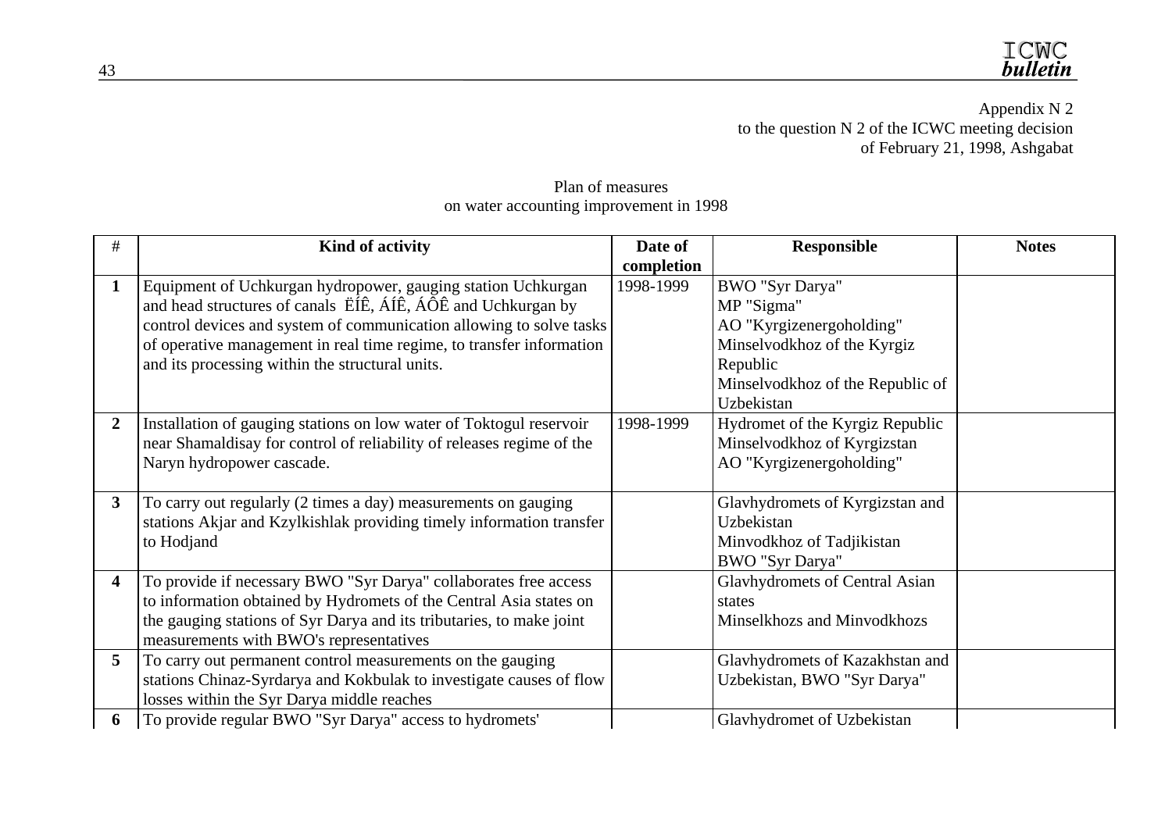Appendix N 2 to the question N 2 of the ICWC meeting decision of February 21, 1998, Ashgabat

Plan of measures on water accounting improvement in 1998

| #              | Kind of activity                                                      | Date of    | <b>Responsible</b>               | <b>Notes</b> |
|----------------|-----------------------------------------------------------------------|------------|----------------------------------|--------------|
|                |                                                                       | completion |                                  |              |
| $\mathbf{1}$   | Equipment of Uchkurgan hydropower, gauging station Uchkurgan          | 1998-1999  | BWO "Syr Darya"                  |              |
|                | and head structures of canals EIE, AIE, AOE and Uchkurgan by          |            | MP "Sigma"                       |              |
|                | control devices and system of communication allowing to solve tasks   |            | AO "Kyrgizenergoholding"         |              |
|                | of operative management in real time regime, to transfer information  |            | Minselvodkhoz of the Kyrgiz      |              |
|                | and its processing within the structural units.                       |            | Republic                         |              |
|                |                                                                       |            | Minselvodkhoz of the Republic of |              |
|                |                                                                       |            | Uzbekistan                       |              |
| $\overline{2}$ | Installation of gauging stations on low water of Toktogul reservoir   | 1998-1999  | Hydromet of the Kyrgiz Republic  |              |
|                | near Shamaldisay for control of reliability of releases regime of the |            | Minselvodkhoz of Kyrgizstan      |              |
|                | Naryn hydropower cascade.                                             |            | AO "Kyrgizenergoholding"         |              |
|                |                                                                       |            |                                  |              |
| 3              | To carry out regularly (2 times a day) measurements on gauging        |            | Glavhydromets of Kyrgizstan and  |              |
|                | stations Akjar and Kzylkishlak providing timely information transfer  |            | Uzbekistan                       |              |
|                | to Hodjand                                                            |            | Minvodkhoz of Tadjikistan        |              |
|                |                                                                       |            | BWO "Syr Darya"                  |              |
| 4              | To provide if necessary BWO "Syr Darya" collaborates free access      |            | Glavhydromets of Central Asian   |              |
|                | to information obtained by Hydromets of the Central Asia states on    |            | states                           |              |
|                | the gauging stations of Syr Darya and its tributaries, to make joint  |            | Minselkhozs and Minvodkhozs      |              |
|                | measurements with BWO's representatives                               |            |                                  |              |
| 5              | To carry out permanent control measurements on the gauging            |            | Glavhydromets of Kazakhstan and  |              |
|                | stations Chinaz-Syrdarya and Kokbulak to investigate causes of flow   |            | Uzbekistan, BWO "Syr Darya"      |              |
|                | losses within the Syr Darya middle reaches                            |            |                                  |              |
| 6              | To provide regular BWO "Syr Darya" access to hydromets'               |            | Glavhydromet of Uzbekistan       |              |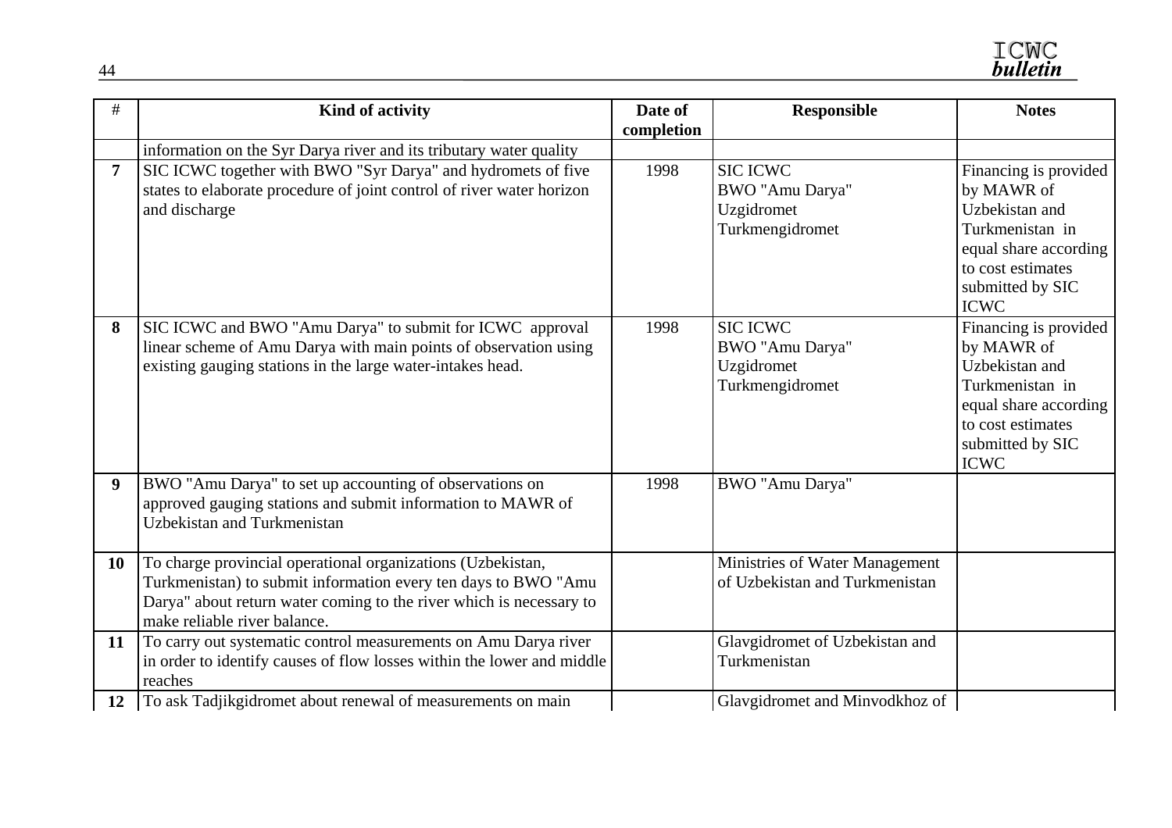| #                | Kind of activity                                                                                                                                                                                                                     | Date of<br>completion | <b>Responsible</b>                                                  | <b>Notes</b>                                                                                                                                              |
|------------------|--------------------------------------------------------------------------------------------------------------------------------------------------------------------------------------------------------------------------------------|-----------------------|---------------------------------------------------------------------|-----------------------------------------------------------------------------------------------------------------------------------------------------------|
|                  | information on the Syr Darya river and its tributary water quality                                                                                                                                                                   |                       |                                                                     |                                                                                                                                                           |
| $\overline{7}$   | SIC ICWC together with BWO "Syr Darya" and hydromets of five<br>states to elaborate procedure of joint control of river water horizon<br>and discharge                                                                               | 1998                  | <b>SIC ICWC</b><br>BWO "Amu Darya"<br>Uzgidromet<br>Turkmengidromet | Financing is provided<br>by MAWR of<br>Uzbekistan and<br>Turkmenistan in<br>equal share according<br>to cost estimates<br>submitted by SIC<br><b>ICWC</b> |
| 8                | SIC ICWC and BWO "Amu Darya" to submit for ICWC approval<br>linear scheme of Amu Darya with main points of observation using<br>existing gauging stations in the large water-intakes head.                                           | 1998                  | <b>SIC ICWC</b><br>BWO "Amu Darya"<br>Uzgidromet<br>Turkmengidromet | Financing is provided<br>by MAWR of<br>Uzbekistan and<br>Turkmenistan in<br>equal share according<br>to cost estimates<br>submitted by SIC<br><b>ICWC</b> |
| $\boldsymbol{9}$ | BWO "Amu Darya" to set up accounting of observations on<br>approved gauging stations and submit information to MAWR of<br>Uzbekistan and Turkmenistan                                                                                | 1998                  | BWO "Amu Darya"                                                     |                                                                                                                                                           |
| <b>10</b>        | To charge provincial operational organizations (Uzbekistan,<br>Turkmenistan) to submit information every ten days to BWO "Amu<br>Darya" about return water coming to the river which is necessary to<br>make reliable river balance. |                       | Ministries of Water Management<br>of Uzbekistan and Turkmenistan    |                                                                                                                                                           |
| 11               | To carry out systematic control measurements on Amu Darya river<br>in order to identify causes of flow losses within the lower and middle<br>reaches                                                                                 |                       | Glavgidromet of Uzbekistan and<br>Turkmenistan                      |                                                                                                                                                           |
| 12               | To ask Tadjikgidromet about renewal of measurements on main                                                                                                                                                                          |                       | Glavgidromet and Minvodkhoz of                                      |                                                                                                                                                           |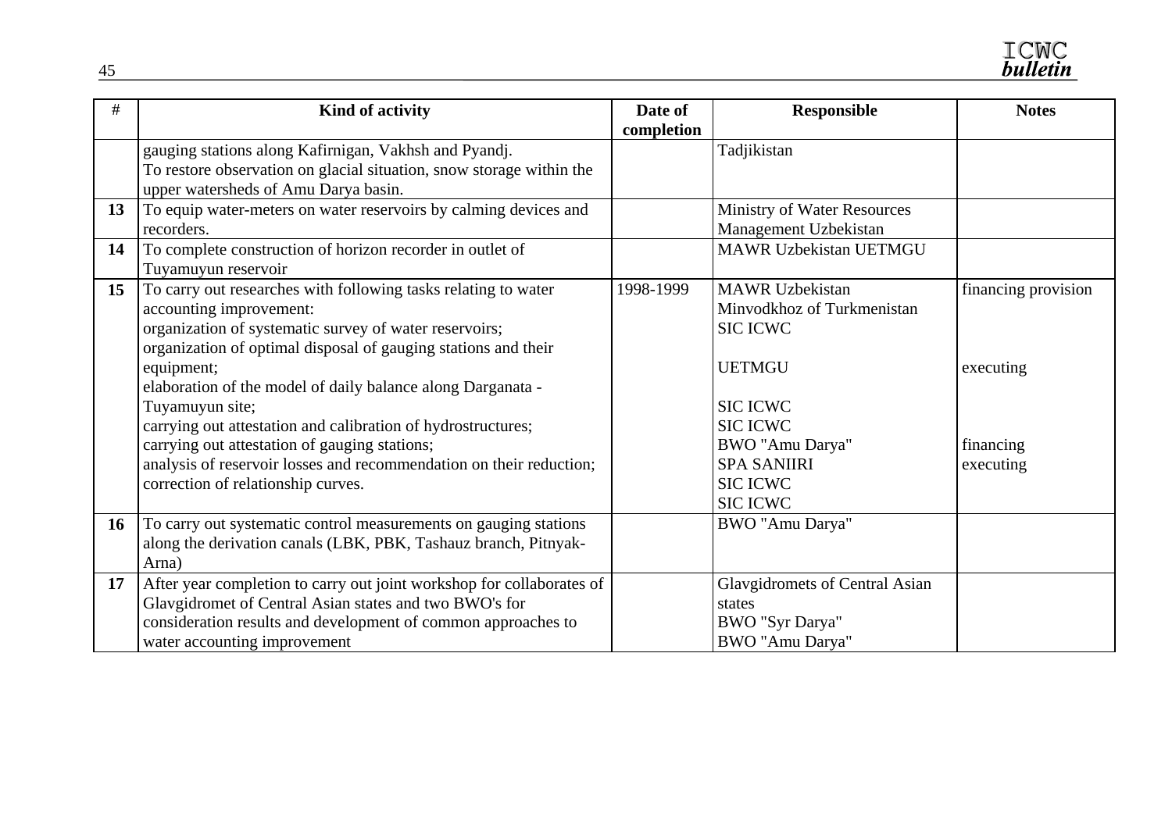| #         | Kind of activity                                                                                                                                                                                                                                                                                                                                                                                                                                                                                                                                    | Date of<br>completion | <b>Responsible</b>                                                                                                                                                                                            | <b>Notes</b>                                               |
|-----------|-----------------------------------------------------------------------------------------------------------------------------------------------------------------------------------------------------------------------------------------------------------------------------------------------------------------------------------------------------------------------------------------------------------------------------------------------------------------------------------------------------------------------------------------------------|-----------------------|---------------------------------------------------------------------------------------------------------------------------------------------------------------------------------------------------------------|------------------------------------------------------------|
|           | gauging stations along Kafirnigan, Vakhsh and Pyandj.<br>To restore observation on glacial situation, snow storage within the<br>upper watersheds of Amu Darya basin.                                                                                                                                                                                                                                                                                                                                                                               |                       | Tadjikistan                                                                                                                                                                                                   |                                                            |
| 13        | To equip water-meters on water reservoirs by calming devices and<br>recorders.                                                                                                                                                                                                                                                                                                                                                                                                                                                                      |                       | Ministry of Water Resources<br>Management Uzbekistan                                                                                                                                                          |                                                            |
| 14        | To complete construction of horizon recorder in outlet of<br>Tuyamuyun reservoir                                                                                                                                                                                                                                                                                                                                                                                                                                                                    |                       | <b>MAWR Uzbekistan UETMGU</b>                                                                                                                                                                                 |                                                            |
| 15        | To carry out researches with following tasks relating to water<br>accounting improvement:<br>organization of systematic survey of water reservoirs;<br>organization of optimal disposal of gauging stations and their<br>equipment;<br>elaboration of the model of daily balance along Darganata -<br>Tuyamuyun site;<br>carrying out attestation and calibration of hydrostructures;<br>carrying out attestation of gauging stations;<br>analysis of reservoir losses and recommendation on their reduction;<br>correction of relationship curves. | 1998-1999             | <b>MAWR</b> Uzbekistan<br>Minvodkhoz of Turkmenistan<br><b>SIC ICWC</b><br><b>UETMGU</b><br><b>SIC ICWC</b><br><b>SIC ICWC</b><br>BWO "Amu Darya"<br><b>SPA SANIIRI</b><br><b>SIC ICWC</b><br><b>SIC ICWC</b> | financing provision<br>executing<br>financing<br>executing |
| <b>16</b> | To carry out systematic control measurements on gauging stations<br>along the derivation canals (LBK, PBK, Tashauz branch, Pitnyak-<br>Arna)                                                                                                                                                                                                                                                                                                                                                                                                        |                       | BWO "Amu Darya"                                                                                                                                                                                               |                                                            |
| 17        | After year completion to carry out joint workshop for collaborates of<br>Glavgidromet of Central Asian states and two BWO's for<br>consideration results and development of common approaches to<br>water accounting improvement                                                                                                                                                                                                                                                                                                                    |                       | Glavgidromets of Central Asian<br>states<br>BWO "Syr Darya"<br>BWO "Amu Darya"                                                                                                                                |                                                            |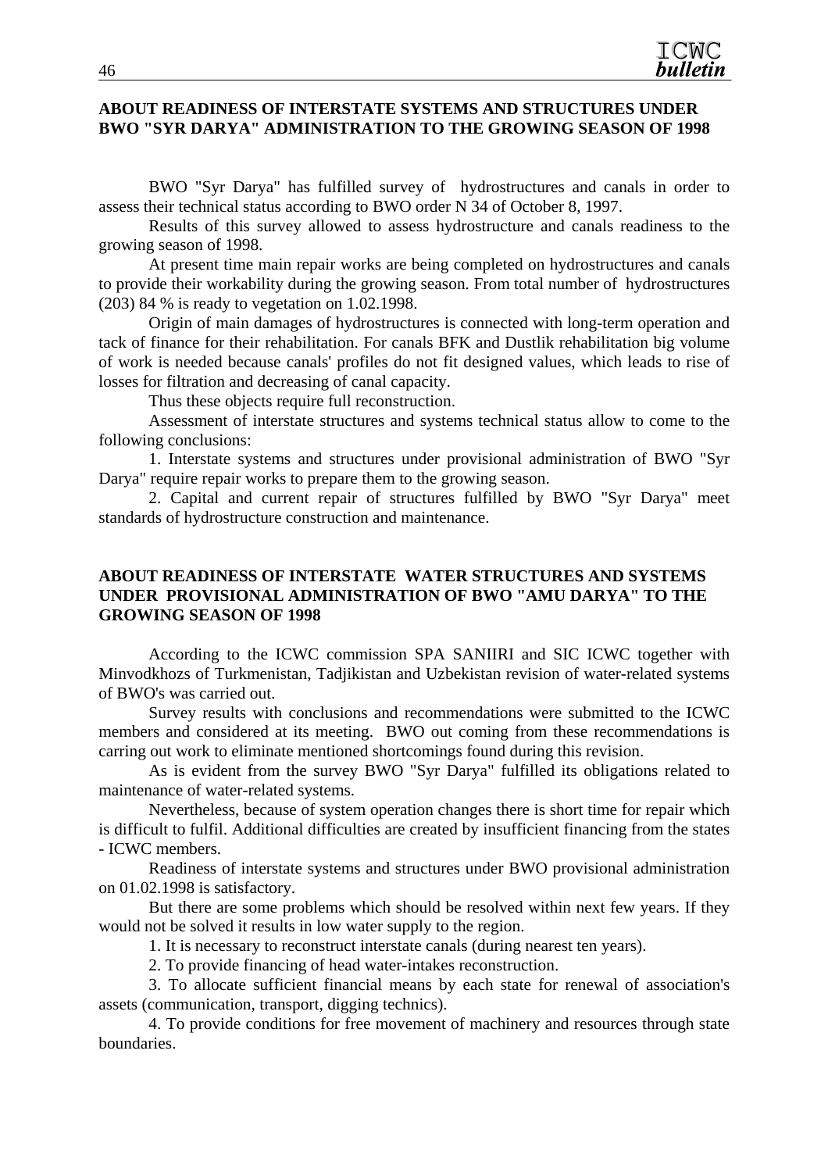#### **ABOUT READINESS OF INTERSTATE SYSTEMS AND STRUCTURES UNDER BWO "SYR DARYA" ADMINISTRATION TO THE GROWING SEASON OF 1998**

BWO "Syr Darya" has fulfilled survey of hydrostructures and canals in order to assess their technical status according to BWO order N 34 of October 8, 1997.

Results of this survey allowed to assess hydrostructure and canals readiness to the growing season of 1998.

At present time main repair works are being completed on hydrostructures and canals to provide their workability during the growing season. From total number of hydrostructures (203) 84 % is ready to vegetation on 1.02.1998.

Origin of main damages of hydrostructures is connected with long-term operation and tack of finance for their rehabilitation. For canals BFK and Dustlik rehabilitation big volume of work is needed because canals' profiles do not fit designed values, which leads to rise of losses for filtration and decreasing of canal capacity.

Thus these objects require full reconstruction.

Assessment of interstate structures and systems technical status allow to come to the following conclusions:

1. Interstate systems and structures under provisional administration of BWO "Syr Darya" require repair works to prepare them to the growing season.

2. Capital and current repair of structures fulfilled by BWO "Syr Darya" meet standards of hydrostructure construction and maintenance.

#### **ABOUT READINESS OF INTERSTATE WATER STRUCTURES AND SYSTEMS UNDER PROVISIONAL ADMINISTRATION OF BWO "AMU DARYA" TO THE GROWING SEASON OF 1998**

According to the ICWC commission SPA SANIIRI and SIC ICWC together with Minvodkhozs of Turkmenistan, Tadjikistan and Uzbekistan revision of water-related systems of BWO's was carried out.

Survey results with conclusions and recommendations were submitted to the ICWC members and considered at its meeting. BWO out coming from these recommendations is carring out work to eliminate mentioned shortcomings found during this revision.

As is evident from the survey BWO "Syr Darya" fulfilled its obligations related to maintenance of water-related systems.

Nevertheless, because of system operation changes there is short time for repair which is difficult to fulfil. Additional difficulties are created by insufficient financing from the states - ICWC members.

Readiness of interstate systems and structures under BWO provisional administration on 01.02.1998 is satisfactory.

But there are some problems which should be resolved within next few years. If they would not be solved it results in low water supply to the region.

1. It is necessary to reconstruct interstate canals (during nearest ten years).

2. To provide financing of head water-intakes reconstruction.

3. To allocate sufficient financial means by each state for renewal of association's assets (communication, transport, digging technics).

4. To provide conditions for free movement of machinery and resources through state boundaries.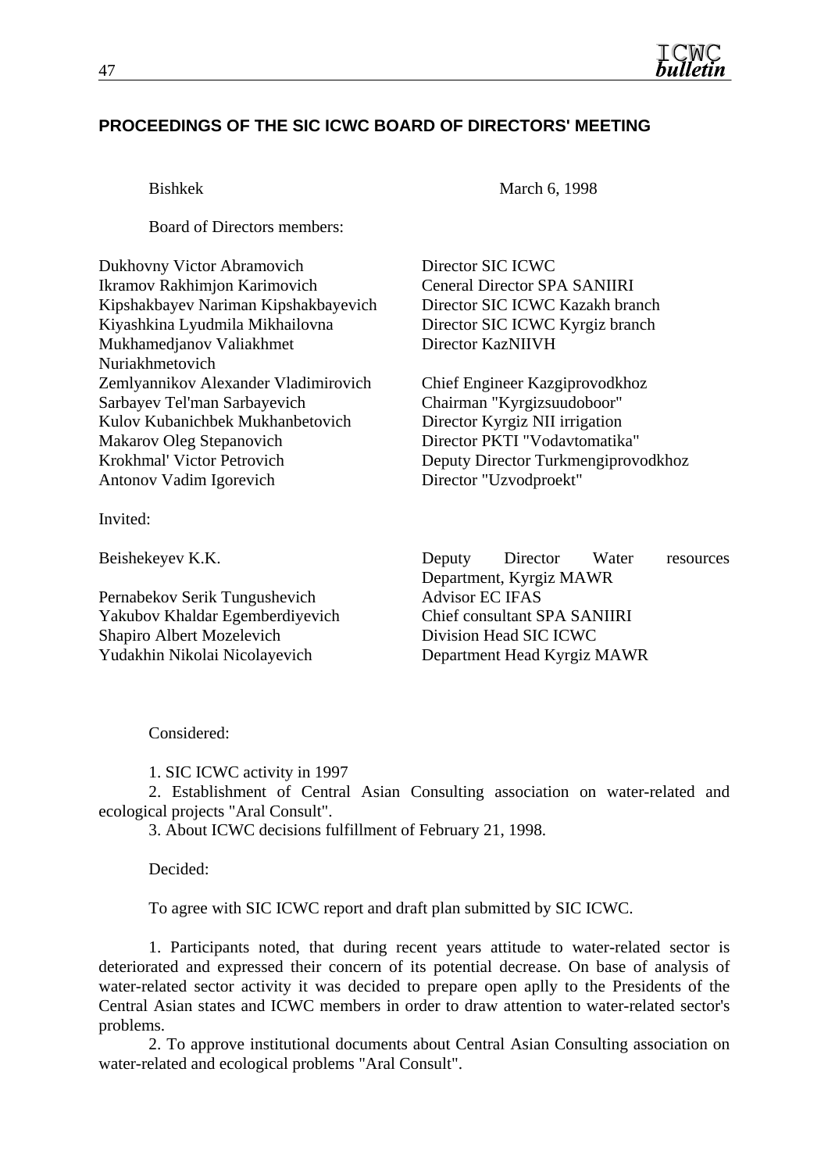

# **PROCEEDINGS OF THE SIC ICWC BOARD OF DIRECTORS' MEETING**

Board of Directors members:

Dukhovny Victor Abramovich Director SIC ICWC Ikramov Rakhimjon Karimovich Ceneral Director SPA SANIIRI Kipshakbayev Nariman Kipshakbayevich Director SIC ICWC Kazakh branch Kiyashkina Lyudmila Mikhailovna Director SIC ICWC Kyrgiz branch Mukhamedjanov Valiakhmet Nuriakhmetovich Zemlyannikov Alexander Vladimirovich Chief Engineer Kazgiprovodkhoz Sarbayev Tel'man Sarbayevich Chairman "Kyrgizsuudoboor" Kulov Kubanichbek Mukhanbetovich Director Kyrgiz NII irrigation Makarov Oleg Stepanovich Director PKTI "Vodavtomatika" Krokhmal' Victor Petrovich Deputy Director Turkmengiprovodkhoz Antonov Vadim Igorevich Director "Uzvodproekt"

Invited:

Pernabekov Serik Tungushevich Advisor EC IFAS Yakubov Khaldar Egemberdiyevich Chief consultant SPA SANIIRI Shapiro Albert Mozelevich Division Head SIC ICWC Yudakhin Nikolai Nicolayevich Department Head Kyrgiz MAWR

Bishkek March 6, 1998

Director KazNIIVH

Beishekeyev K.K. Deputy Director Water resources Department, Kyrgiz MAWR

Considered:

1. SIC ICWC activity in 1997

2. Establishment of Central Asian Consulting association on water-related and ecological projects "Aral Consult".

3. About ICWC decisions fulfillment of February 21, 1998.

Decided:

To agree with SIC ICWC report and draft plan submitted by SIC ICWC.

1. Participants noted, that during recent years attitude to water-related sector is deteriorated and expressed their concern of its potential decrease. On base of analysis of water-related sector activity it was decided to prepare open aplly to the Presidents of the Central Asian states and ICWC members in order to draw attention to water-related sector's problems.

2. To approve institutional documents about Central Asian Consulting association on water-related and ecological problems "Aral Consult".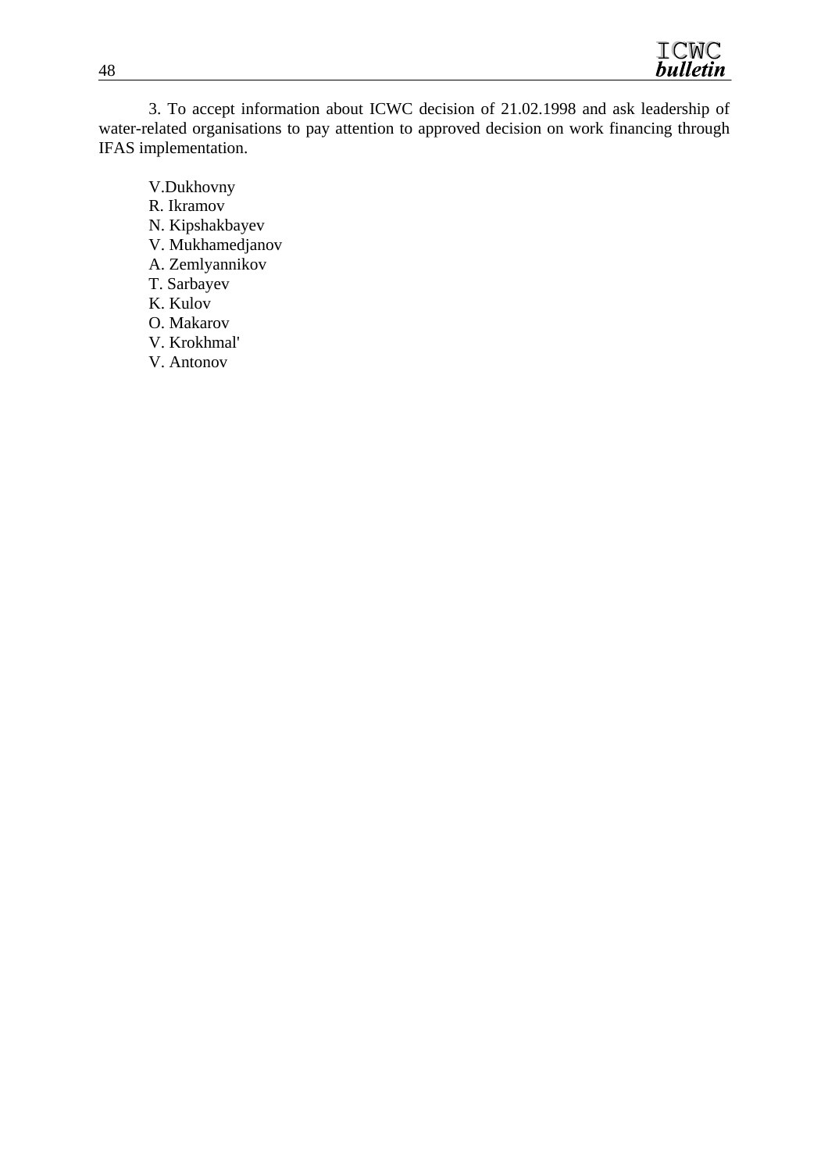

3. To accept information about ICWC decision of 21.02.1998 and ask leadership of water-related organisations to pay attention to approved decision on work financing through IFAS implementation.

V.Dukhovny R. Ikramov N. Kipshakbayev V. Mukhamedjanov A. Zemlyannikov T. Sarbayev K. Kulov O. Makarov V. Krokhmal' V. Antonov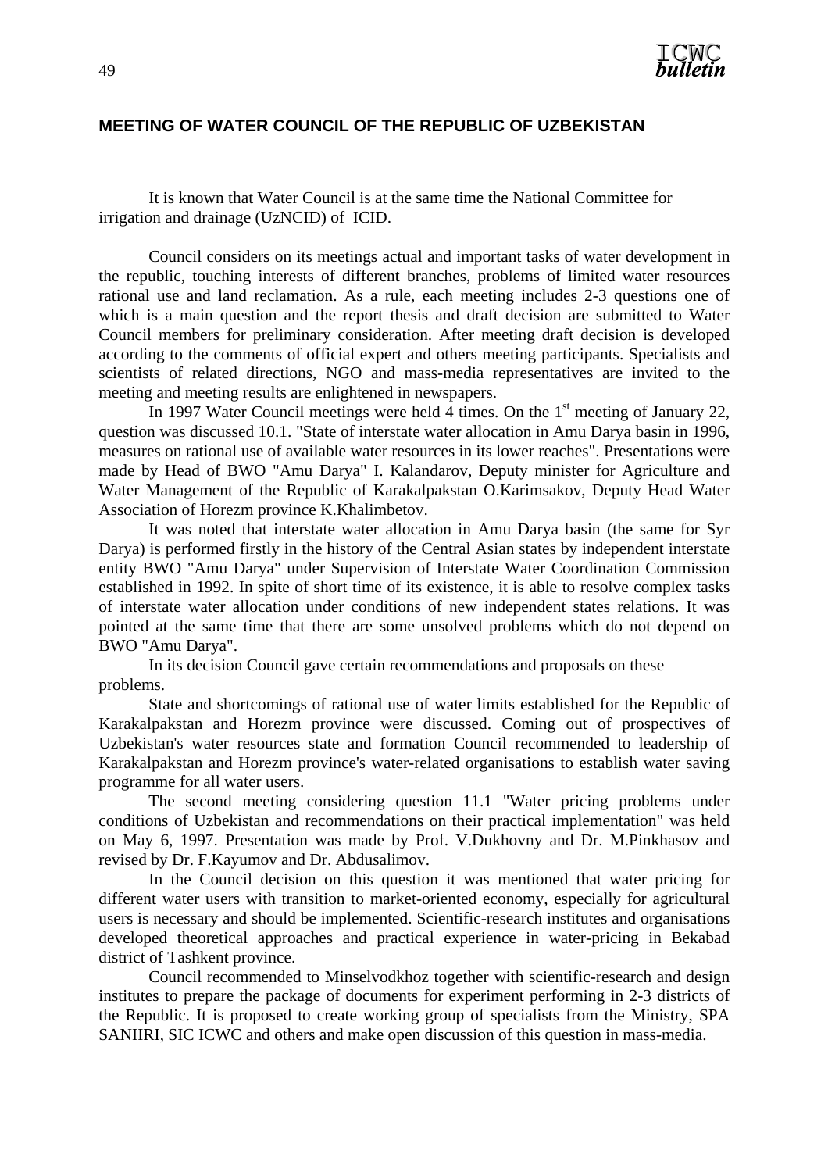#### **MEETING OF WATER COUNCIL OF THE REPUBLIC OF UZBEKISTAN**

It is known that Water Council is at the same time the National Committee for irrigation and drainage (UzNCID) of ICID.

Council considers on its meetings actual and important tasks of water development in the republic, touching interests of different branches, problems of limited water resources rational use and land reclamation. As a rule, each meeting includes 2-3 questions one of which is a main question and the report thesis and draft decision are submitted to Water Council members for preliminary consideration. After meeting draft decision is developed according to the comments of official expert and others meeting participants. Specialists and scientists of related directions, NGO and mass-media representatives are invited to the meeting and meeting results are enlightened in newspapers.

In 1997 Water Council meetings were held 4 times. On the  $1<sup>st</sup>$  meeting of January 22, question was discussed 10.1. "State of interstate water allocation in Amu Darya basin in 1996, measures on rational use of available water resources in its lower reaches". Presentations were made by Head of BWO "Amu Darya" I. Kalandarov, Deputy minister for Agriculture and Water Management of the Republic of Karakalpakstan O.Karimsakov, Deputy Head Water Association of Horezm province K.Khalimbetov.

It was noted that interstate water allocation in Amu Darya basin (the same for Syr Darya) is performed firstly in the history of the Central Asian states by independent interstate entity BWO "Amu Darya" under Supervision of Interstate Water Coordination Commission established in 1992. In spite of short time of its existence, it is able to resolve complex tasks of interstate water allocation under conditions of new independent states relations. It was pointed at the same time that there are some unsolved problems which do not depend on BWO "Amu Darya".

In its decision Council gave certain recommendations and proposals on these problems.

State and shortcomings of rational use of water limits established for the Republic of Karakalpakstan and Horezm province were discussed. Coming out of prospectives of Uzbekistan's water resources state and formation Council recommended to leadership of Karakalpakstan and Horezm province's water-related organisations to establish water saving programme for all water users.

The second meeting considering question 11.1 "Water pricing problems under conditions of Uzbekistan and recommendations on their practical implementation" was held on May 6, 1997. Presentation was made by Prof. V.Dukhovny and Dr. M.Pinkhasov and revised by Dr. F.Kayumov and Dr. Abdusalimov.

In the Council decision on this question it was mentioned that water pricing for different water users with transition to market-oriented economy, especially for agricultural users is necessary and should be implemented. Scientific-research institutes and organisations developed theoretical approaches and practical experience in water-pricing in Bekabad district of Tashkent province.

Council recommended to Minselvodkhoz together with scientific-research and design institutes to prepare the package of documents for experiment performing in 2-3 districts of the Republic. It is proposed to create working group of specialists from the Ministry, SPA SANIIRI, SIC ICWC and others and make open discussion of this question in mass-media.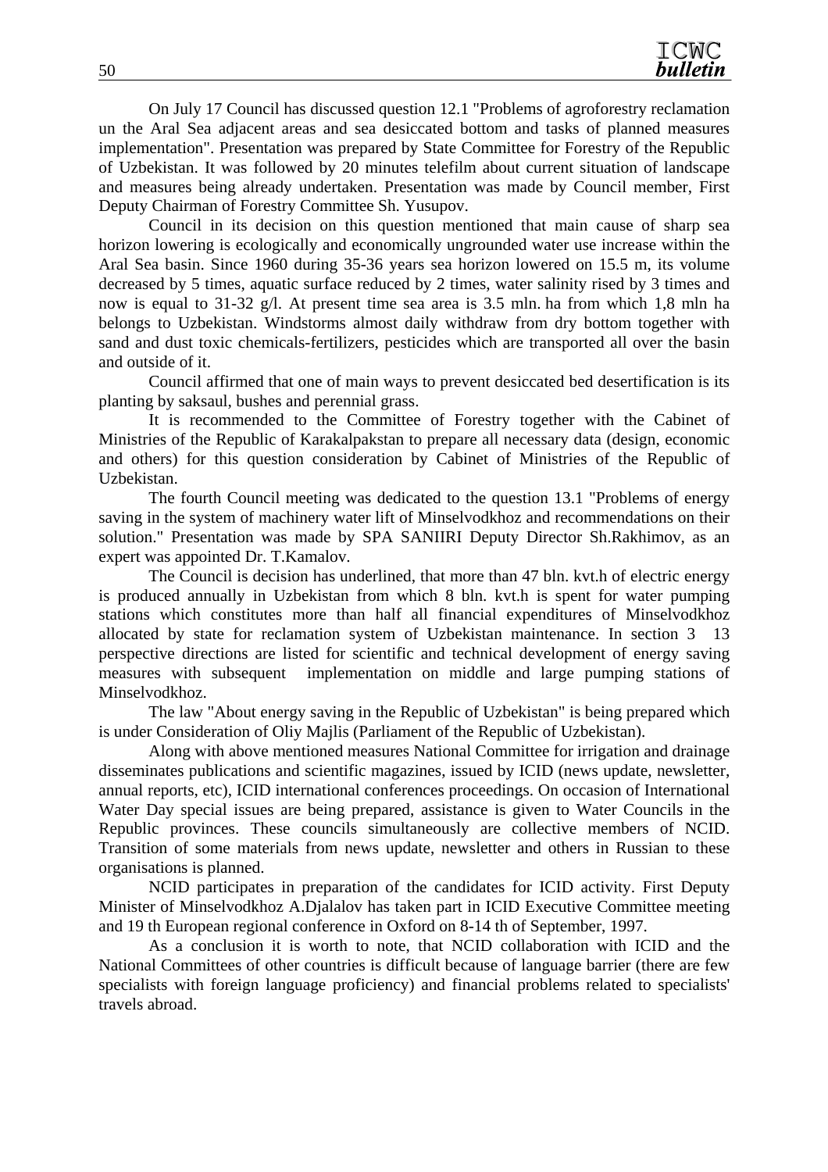On July 17 Council has discussed question 12.1 "Problems of agroforestry reclamation un the Aral Sea adjacent areas and sea desiccated bottom and tasks of planned measures implementation". Presentation was prepared by State Committee for Forestry of the Republic of Uzbekistan. It was followed by 20 minutes telefilm about current situation of landscape and measures being already undertaken. Presentation was made by Council member, First Deputy Chairman of Forestry Committee Sh. Yusupov.

Council in its decision on this question mentioned that main cause of sharp sea horizon lowering is ecologically and economically ungrounded water use increase within the Aral Sea basin. Since 1960 during 35-36 years sea horizon lowered on 15.5 m, its volume decreased by 5 times, aquatic surface reduced by 2 times, water salinity rised by 3 times and now is equal to 31-32 g/l. At present time sea area is 3.5 mln. ha from which 1,8 mln ha belongs to Uzbekistan. Windstorms almost daily withdraw from dry bottom together with sand and dust toxic chemicals-fertilizers, pesticides which are transported all over the basin and outside of it.

Council affirmed that one of main ways to prevent desiccated bed desertification is its planting by saksaul, bushes and perennial grass.

It is recommended to the Committee of Forestry together with the Cabinet of Ministries of the Republic of Karakalpakstan to prepare all necessary data (design, economic and others) for this question consideration by Cabinet of Ministries of the Republic of Uzbekistan.

The fourth Council meeting was dedicated to the question 13.1 "Problems of energy saving in the system of machinery water lift of Minselvodkhoz and recommendations on their solution." Presentation was made by SPA SANIIRI Deputy Director Sh.Rakhimov, as an expert was appointed Dr. T.Kamalov.

The Council is decision has underlined, that more than 47 bln. kvt.h of electric energy is produced annually in Uzbekistan from which 8 bln. kvt.h is spent for water pumping stations which constitutes more than half all financial expenditures of Minselvodkhoz allocated by state for reclamation system of Uzbekistan maintenance. In section 3 13 perspective directions are listed for scientific and technical development of energy saving measures with subsequent implementation on middle and large pumping stations of Minselvodkhoz.

The law "About energy saving in the Republic of Uzbekistan" is being prepared which is under Consideration of Oliy Majlis (Parliament of the Republic of Uzbekistan).

Along with above mentioned measures National Committee for irrigation and drainage disseminates publications and scientific magazines, issued by ICID (news update, newsletter, annual reports, etc), ICID international conferences proceedings. On occasion of International Water Day special issues are being prepared, assistance is given to Water Councils in the Republic provinces. These councils simultaneously are collective members of NCID. Transition of some materials from news update, newsletter and others in Russian to these organisations is planned.

NCID participates in preparation of the candidates for ICID activity. First Deputy Minister of Minselvodkhoz A.Djalalov has taken part in ICID Executive Committee meeting and 19 th European regional conference in Oxford on 8-14 th of September, 1997.

As a conclusion it is worth to note, that NCID collaboration with ICID and the National Committees of other countries is difficult because of language barrier (there are few specialists with foreign language proficiency) and financial problems related to specialists' travels abroad.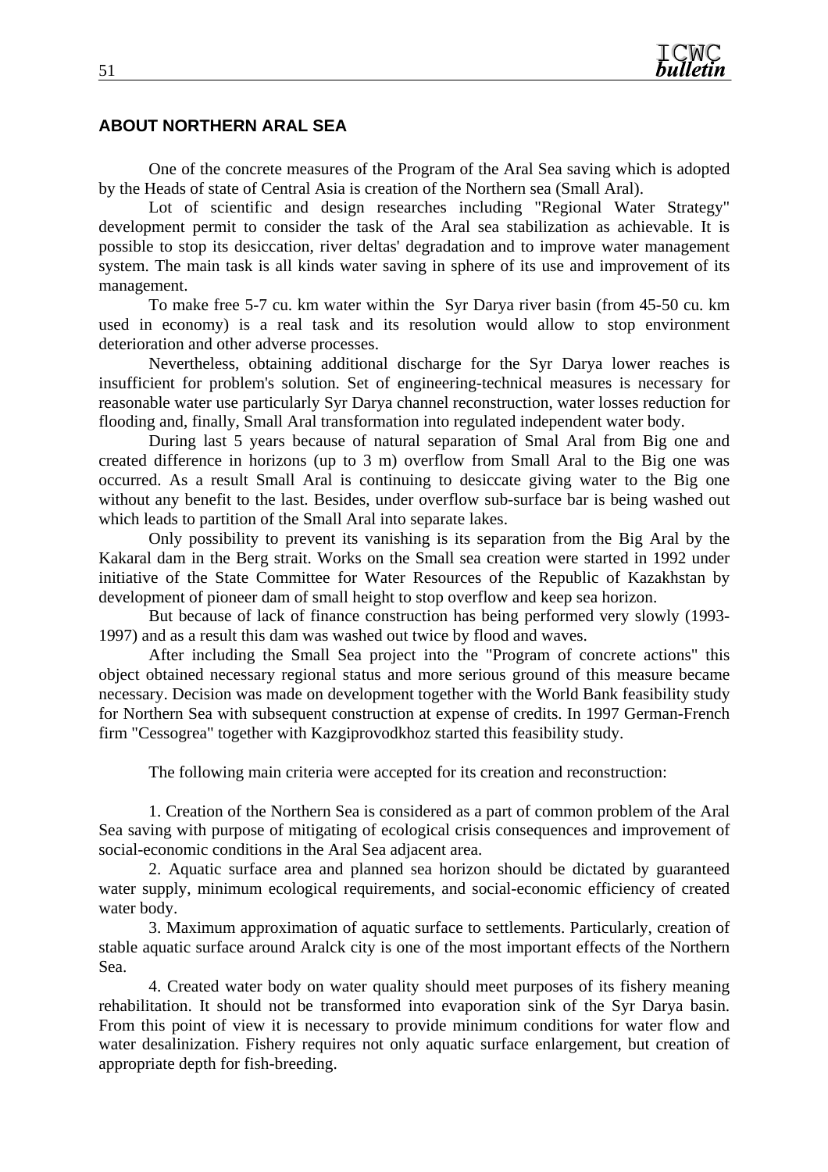#### **ABOUT NORTHERN ARAL SEA**

One of the concrete measures of the Program of the Aral Sea saving which is adopted by the Heads of state of Central Asia is creation of the Northern sea (Small Aral).

Lot of scientific and design researches including "Regional Water Strategy" development permit to consider the task of the Aral sea stabilization as achievable. It is possible to stop its desiccation, river deltas' degradation and to improve water management system. The main task is all kinds water saving in sphere of its use and improvement of its management.

To make free 5-7 cu. km water within the Syr Darya river basin (from 45-50 cu. km used in economy) is a real task and its resolution would allow to stop environment deterioration and other adverse processes.

Nevertheless, obtaining additional discharge for the Syr Darya lower reaches is insufficient for problem's solution. Set of engineering-technical measures is necessary for reasonable water use particularly Syr Darya channel reconstruction, water losses reduction for flooding and, finally, Small Aral transformation into regulated independent water body.

During last 5 years because of natural separation of Smal Aral from Big one and created difference in horizons (up to 3 m) overflow from Small Aral to the Big one was occurred. As a result Small Aral is continuing to desiccate giving water to the Big one without any benefit to the last. Besides, under overflow sub-surface bar is being washed out which leads to partition of the Small Aral into separate lakes.

Only possibility to prevent its vanishing is its separation from the Big Aral by the Kakaral dam in the Berg strait. Works on the Small sea creation were started in 1992 under initiative of the State Committee for Water Resources of the Republic of Kazakhstan by development of pioneer dam of small height to stop overflow and keep sea horizon.

But because of lack of finance construction has being performed very slowly (1993- 1997) and as a result this dam was washed out twice by flood and waves.

After including the Small Sea project into the "Program of concrete actions" this object obtained necessary regional status and more serious ground of this measure became necessary. Decision was made on development together with the World Bank feasibility study for Northern Sea with subsequent construction at expense of credits. In 1997 German-French firm "Cessogrea" together with Kazgiprovodkhoz started this feasibility study.

The following main criteria were accepted for its creation and reconstruction:

1. Creation of the Northern Sea is considered as a part of common problem of the Aral Sea saving with purpose of mitigating of ecological crisis consequences and improvement of social-economic conditions in the Aral Sea adjacent area.

2. Aquatic surface area and planned sea horizon should be dictated by guaranteed water supply, minimum ecological requirements, and social-economic efficiency of created water body.

3. Maximum approximation of aquatic surface to settlements. Particularly, creation of stable aquatic surface around Aralck city is one of the most important effects of the Northern Sea.

4. Created water body on water quality should meet purposes of its fishery meaning rehabilitation. It should not be transformed into evaporation sink of the Syr Darya basin. From this point of view it is necessary to provide minimum conditions for water flow and water desalinization. Fishery requires not only aquatic surface enlargement, but creation of appropriate depth for fish-breeding.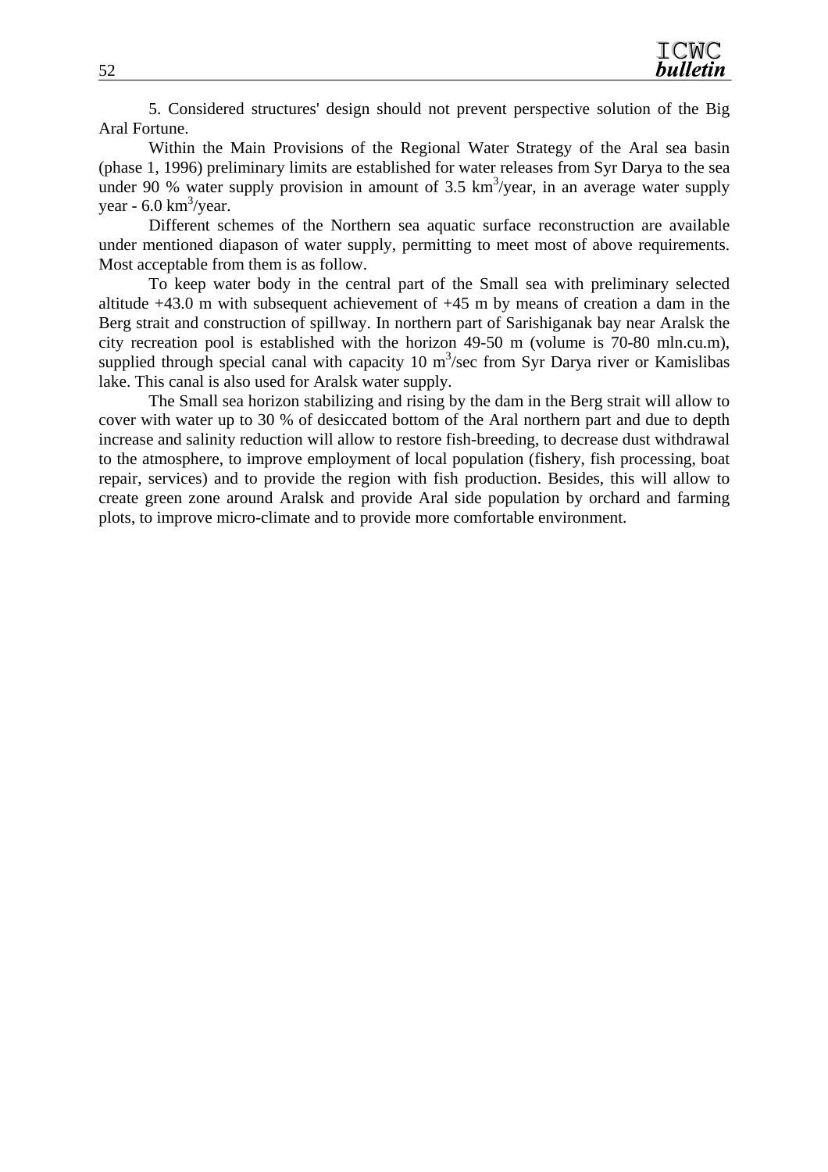5. Considered structures' design should not prevent perspective solution of the Big Aral Fortune.

Within the Main Provisions of the Regional Water Strategy of the Aral sea basin (phase 1, 1996) preliminary limits are established for water releases from Syr Darya to the sea under 90 % water supply provision in amount of  $3.5 \text{ km}^3/\text{year}$ , in an average water supply year -  $6.0 \text{ km}^3/\text{year}$ .

Different schemes of the Northern sea aquatic surface reconstruction are available under mentioned diapason of water supply, permitting to meet most of above requirements. Most acceptable from them is as follow.

To keep water body in the central part of the Small sea with preliminary selected altitude +43.0 m with subsequent achievement of +45 m by means of creation a dam in the Berg strait and construction of spillway. In northern part of Sarishiganak bay near Aralsk the city recreation pool is established with the horizon 49-50 m (volume is 70-80 mln.cu.m), supplied through special canal with capacity 10  $m<sup>3</sup>/sec$  from Syr Darya river or Kamislibas lake. This canal is also used for Aralsk water supply.

The Small sea horizon stabilizing and rising by the dam in the Berg strait will allow to cover with water up to 30 % of desiccated bottom of the Aral northern part and due to depth increase and salinity reduction will allow to restore fish-breeding, to decrease dust withdrawal to the atmosphere, to improve employment of local population (fishery, fish processing, boat repair, services) and to provide the region with fish production. Besides, this will allow to create green zone around Aralsk and provide Aral side population by orchard and farming plots, to improve micro-climate and to provide more comfortable environment.